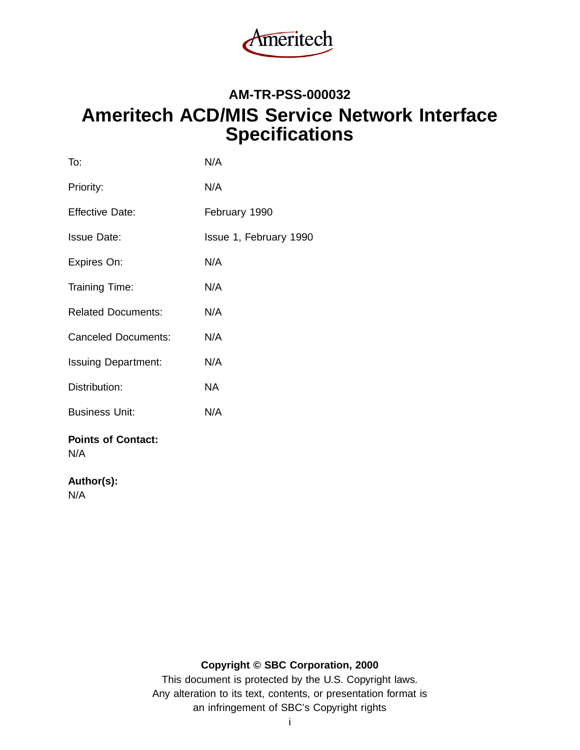

# **AM-TR-PSS-000032 Ameritech ACD/MIS Service Network Interface Specifications**

| N/A                    |
|------------------------|
| N/A                    |
| February 1990          |
| Issue 1, February 1990 |
| N/A                    |
| N/A                    |
| N/A                    |
| N/A                    |
| N/A                    |
| <b>NA</b>              |
| N/A                    |
|                        |
|                        |

# **Author(s):**

N/A

# **Copyright © SBC Corporation, 2000**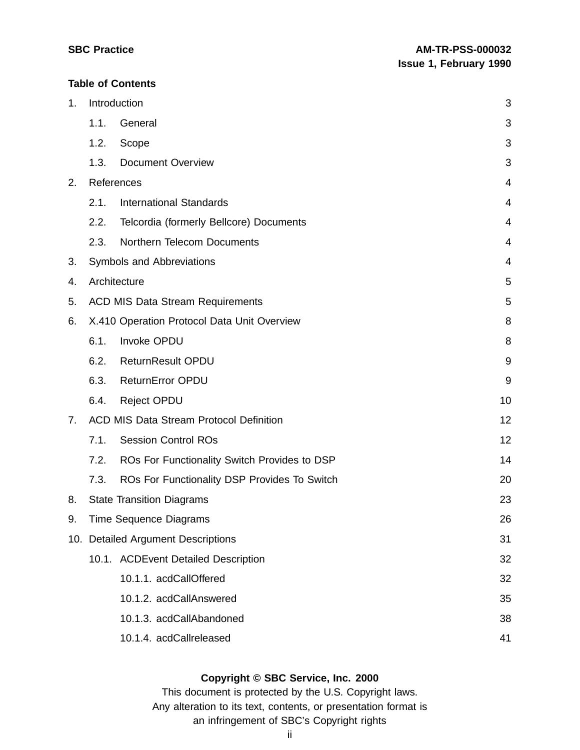#### **Table of Contents**

| 1. |      | Introduction                                   | 3  |
|----|------|------------------------------------------------|----|
|    | 1.1. | General                                        | 3  |
|    | 1.2. | Scope                                          | 3  |
|    | 1.3. | Document Overview                              | 3  |
| 2. |      | References                                     | 4  |
|    | 2.1. | <b>International Standards</b>                 | 4  |
|    | 2.2. | Telcordia (formerly Bellcore) Documents        | 4  |
|    | 2.3. | Northern Telecom Documents                     | 4  |
| 3. |      | Symbols and Abbreviations                      | 4  |
| 4. |      | Architecture                                   | 5  |
| 5. |      | <b>ACD MIS Data Stream Requirements</b>        | 5  |
| 6. |      | X.410 Operation Protocol Data Unit Overview    | 8  |
|    | 6.1. | Invoke OPDU                                    | 8  |
|    | 6.2. | <b>ReturnResult OPDU</b>                       | 9  |
|    | 6.3. | <b>ReturnError OPDU</b>                        | 9  |
|    | 6.4. | <b>Reject OPDU</b>                             | 10 |
| 7. |      | <b>ACD MIS Data Stream Protocol Definition</b> | 12 |
|    | 7.1. | <b>Session Control ROs</b>                     | 12 |
|    | 7.2. | ROs For Functionality Switch Provides to DSP   | 14 |
|    | 7.3. | ROs For Functionality DSP Provides To Switch   | 20 |
| 8. |      | <b>State Transition Diagrams</b>               | 23 |
| 9. |      | Time Sequence Diagrams                         | 26 |
|    |      | 10. Detailed Argument Descriptions             | 31 |
|    |      | 10.1. ACDEvent Detailed Description            | 32 |
|    |      | 10.1.1. acdCallOffered                         | 32 |
|    |      | 10.1.2. acdCallAnswered                        | 35 |
|    |      | 10.1.3. acdCallAbandoned                       | 38 |
|    |      | 10.1.4. acdCallreleased                        | 41 |

# **Copyright © SBC Service, Inc. 2000**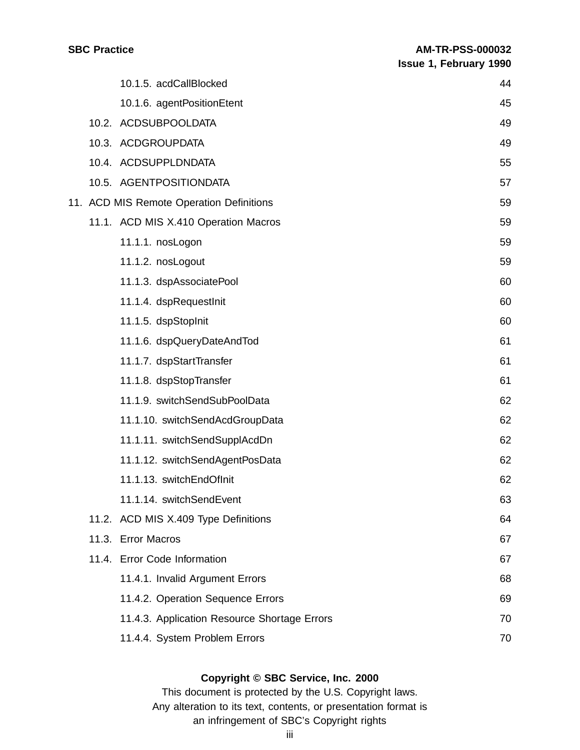|  | 10.1.5. acdCallBlocked                       | 44 |
|--|----------------------------------------------|----|
|  | 10.1.6. agentPositionEtent                   | 45 |
|  | 10.2. ACDSUBPOOLDATA                         | 49 |
|  | 10.3. ACDGROUPDATA                           | 49 |
|  | 10.4. ACDSUPPLDNDATA                         | 55 |
|  | 10.5. AGENTPOSITIONDATA                      | 57 |
|  | 11. ACD MIS Remote Operation Definitions     | 59 |
|  | 11.1. ACD MIS X.410 Operation Macros         | 59 |
|  | 11.1.1. nosLogon                             | 59 |
|  | 11.1.2. nosLogout                            | 59 |
|  | 11.1.3. dspAssociatePool                     | 60 |
|  | 11.1.4. dspRequestInit                       | 60 |
|  | 11.1.5. dspStopInit                          | 60 |
|  | 11.1.6. dspQueryDateAndTod                   | 61 |
|  | 11.1.7. dspStartTransfer                     | 61 |
|  | 11.1.8. dspStopTransfer                      | 61 |
|  | 11.1.9. switchSendSubPoolData                | 62 |
|  | 11.1.10. switchSendAcdGroupData              | 62 |
|  | 11.1.11. switchSendSupplAcdDn                | 62 |
|  | 11.1.12. switchSendAgentPosData              | 62 |
|  | 11.1.13. switchEndOfInit                     | 62 |
|  | 11.1.14. switchSendEvent                     | 63 |
|  | 11.2. ACD MIS X.409 Type Definitions         | 64 |
|  | 11.3. Error Macros                           | 67 |
|  | 11.4. Error Code Information                 | 67 |
|  | 11.4.1. Invalid Argument Errors              | 68 |
|  | 11.4.2. Operation Sequence Errors            | 69 |
|  | 11.4.3. Application Resource Shortage Errors | 70 |
|  | 11.4.4. System Problem Errors                | 70 |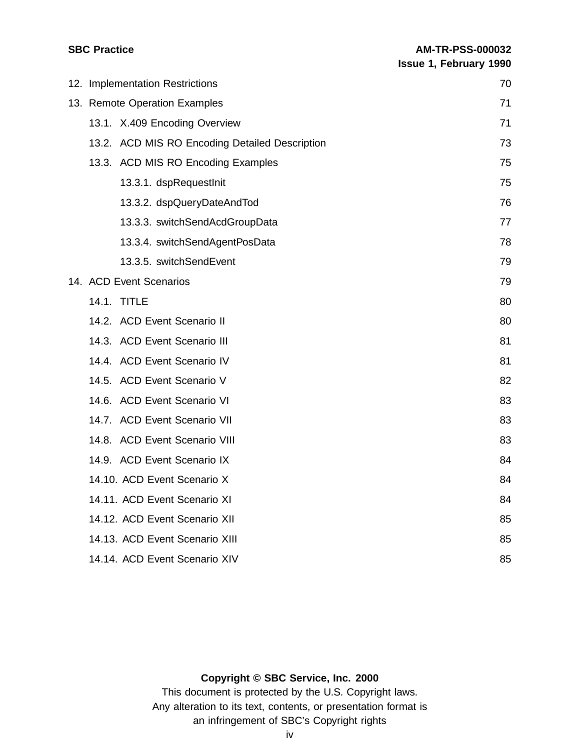|  | 12. Implementation Restrictions                | 70 |
|--|------------------------------------------------|----|
|  | 13. Remote Operation Examples                  | 71 |
|  | 13.1. X.409 Encoding Overview                  | 71 |
|  | 13.2. ACD MIS RO Encoding Detailed Description | 73 |
|  | 13.3. ACD MIS RO Encoding Examples             | 75 |
|  | 13.3.1. dspRequestInit                         | 75 |
|  | 13.3.2. dspQueryDateAndTod                     | 76 |
|  | 13.3.3. switchSendAcdGroupData                 | 77 |
|  | 13.3.4. switchSendAgentPosData                 | 78 |
|  | 13.3.5. switchSendEvent                        | 79 |
|  | 14. ACD Event Scenarios                        | 79 |
|  | 14.1. TITLE                                    | 80 |
|  | 14.2. ACD Event Scenario II                    | 80 |
|  | 14.3. ACD Event Scenario III                   | 81 |
|  | 14.4. ACD Event Scenario IV                    | 81 |
|  | 14.5. ACD Event Scenario V                     | 82 |
|  | 14.6. ACD Event Scenario VI                    | 83 |
|  | 14.7. ACD Event Scenario VII                   | 83 |
|  | 14.8. ACD Event Scenario VIII                  | 83 |
|  | 14.9. ACD Event Scenario IX                    | 84 |
|  | 14.10. ACD Event Scenario X                    | 84 |
|  | 14.11. ACD Event Scenario XI                   | 84 |
|  | 14.12. ACD Event Scenario XII                  | 85 |
|  | 14.13. ACD Event Scenario XIII                 | 85 |
|  | 14.14. ACD Event Scenario XIV                  | 85 |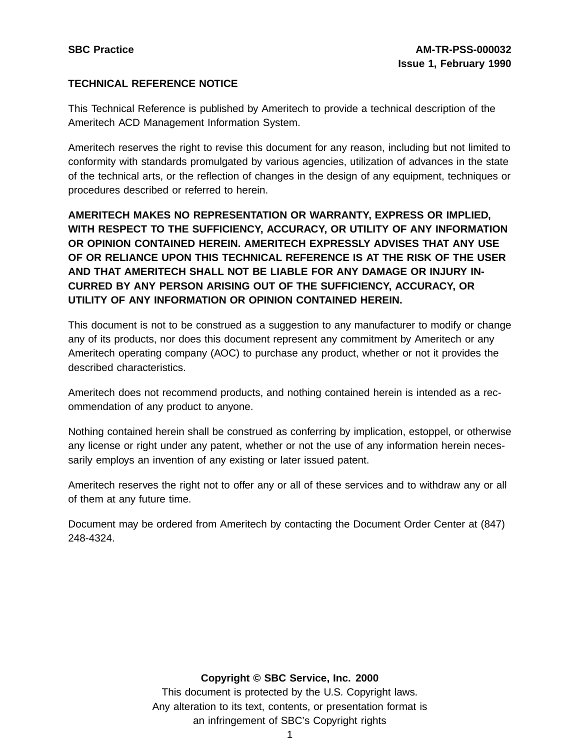# **TECHNICAL REFERENCE NOTICE**

This Technical Reference is published by Ameritech to provide a technical description of the Ameritech ACD Management Information System.

Ameritech reserves the right to revise this document for any reason, including but not limited to conformity with standards promulgated by various agencies, utilization of advances in the state of the technical arts, or the reflection of changes in the design of any equipment, techniques or procedures described or referred to herein.

**AMERITECH MAKES NO REPRESENTATION OR WARRANTY, EXPRESS OR IMPLIED, WITH RESPECT TO THE SUFFICIENCY, ACCURACY, OR UTILITY OF ANY INFORMATION OR OPINION CONTAINED HEREIN. AMERITECH EXPRESSLY ADVISES THAT ANY USE OF OR RELIANCE UPON THIS TECHNICAL REFERENCE IS AT THE RISK OF THE USER AND THAT AMERITECH SHALL NOT BE LIABLE FOR ANY DAMAGE OR INJURY IN-CURRED BY ANY PERSON ARISING OUT OF THE SUFFICIENCY, ACCURACY, OR UTILITY OF ANY INFORMATION OR OPINION CONTAINED HEREIN.**

This document is not to be construed as a suggestion to any manufacturer to modify or change any of its products, nor does this document represent any commitment by Ameritech or any Ameritech operating company (AOC) to purchase any product, whether or not it provides the described characteristics.

Ameritech does not recommend products, and nothing contained herein is intended as a recommendation of any product to anyone.

Nothing contained herein shall be construed as conferring by implication, estoppel, or otherwise any license or right under any patent, whether or not the use of any information herein necessarily employs an invention of any existing or later issued patent.

Ameritech reserves the right not to offer any or all of these services and to withdraw any or all of them at any future time.

Document may be ordered from Ameritech by contacting the Document Order Center at (847) 248-4324.

#### **Copyright © SBC Service, Inc. 2000**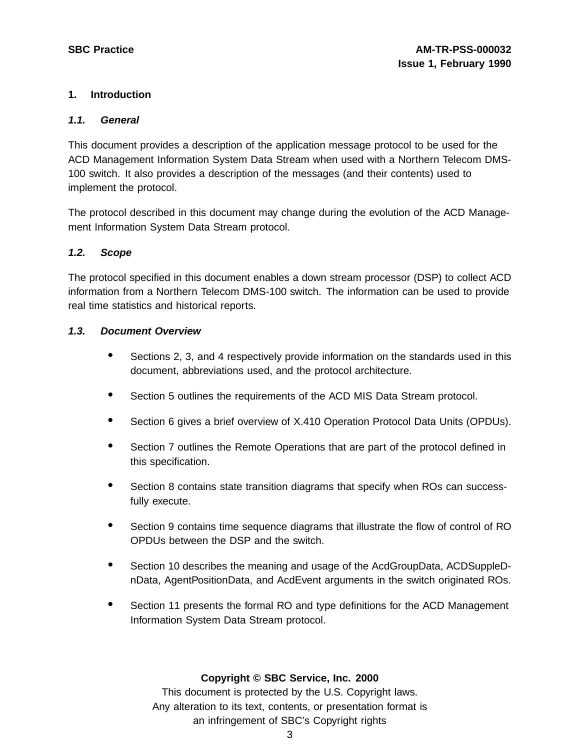## **1. Introduction**

#### **1.1. General**

This document provides a description of the application message protocol to be used for the ACD Management Information System Data Stream when used with a Northern Telecom DMS-100 switch. It also provides a description of the messages (and their contents) used to implement the protocol.

The protocol described in this document may change during the evolution of the ACD Management Information System Data Stream protocol.

#### **1.2. Scope**

The protocol specified in this document enables a down stream processor (DSP) to collect ACD information from a Northern Telecom DMS-100 switch. The information can be used to provide real time statistics and historical reports.

#### **1.3. Document Overview**

- Sections 2, 3, and 4 respectively provide information on the standards used in this document, abbreviations used, and the protocol architecture.
- Section 5 outlines the requirements of the ACD MIS Data Stream protocol.
- Section <sup>6</sup> gives <sup>a</sup> brief overview of X.410 Operation Protocol Data Units (OPDUs).
- Section <sup>7</sup> outlines the Remote Operations that are part of the protocol defined in this specification.
- Section 8 contains state transition diagrams that specify when ROs can successfully execute.
- Section 9 contains time sequence diagrams that illustrate the flow of control of RO OPDUs between the DSP and the switch.
- Section <sup>10</sup> describes the meaning and usage of the AcdGroupData, ACDSuppleDnData, AgentPositionData, and AcdEvent arguments in the switch originated ROs.
- Section <sup>11</sup> presents the formal RO and type definitions for the ACD Management Information System Data Stream protocol.

#### **Copyright © SBC Service, Inc. 2000**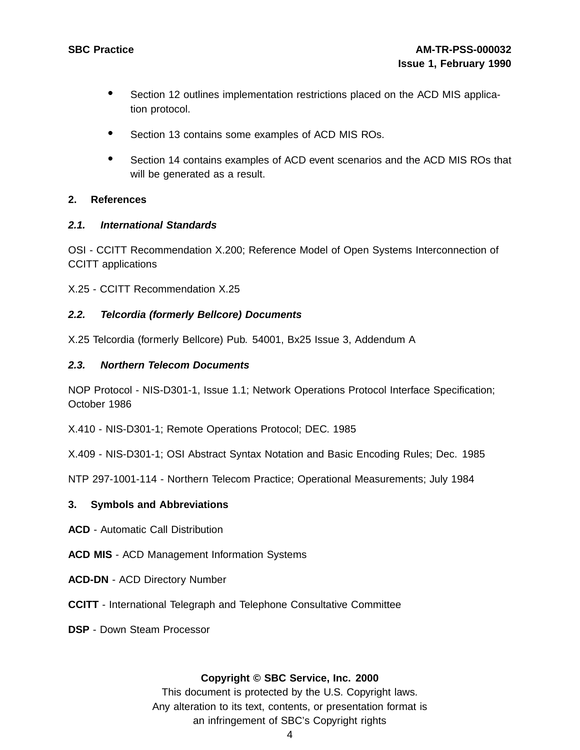- Section <sup>12</sup> outlines implementation restrictions placed on the ACD MIS application protocol.
- Section 13 contains some examples of ACD MIS ROs.
- Section <sup>14</sup> contains examples of ACD event scenarios and the ACD MIS ROs that will be generated as a result.

#### **2. References**

#### **2.1. International Standards**

OSI - CCITT Recommendation X.200; Reference Model of Open Systems Interconnection of CCITT applications

X.25 - CCITT Recommendation X.25

#### **2.2. Telcordia (formerly Bellcore) Documents**

X.25 Telcordia (formerly Bellcore) Pub. 54001, Bx25 Issue 3, Addendum A

#### **2.3. Northern Telecom Documents**

NOP Protocol - NIS-D301-1, Issue 1.1; Network Operations Protocol Interface Specification; October 1986

X.410 - NIS-D301-1; Remote Operations Protocol; DEC. 1985

X.409 - NIS-D301-1; OSI Abstract Syntax Notation and Basic Encoding Rules; Dec. 1985

NTP 297-1001-114 - Northern Telecom Practice; Operational Measurements; July 1984

#### **3. Symbols and Abbreviations**

- **ACD** Automatic Call Distribution
- **ACD MIS** ACD Management Information Systems
- **ACD-DN** ACD Directory Number
- **CCITT** International Telegraph and Telephone Consultative Committee
- **DSP** Down Steam Processor

#### **Copyright © SBC Service, Inc. 2000**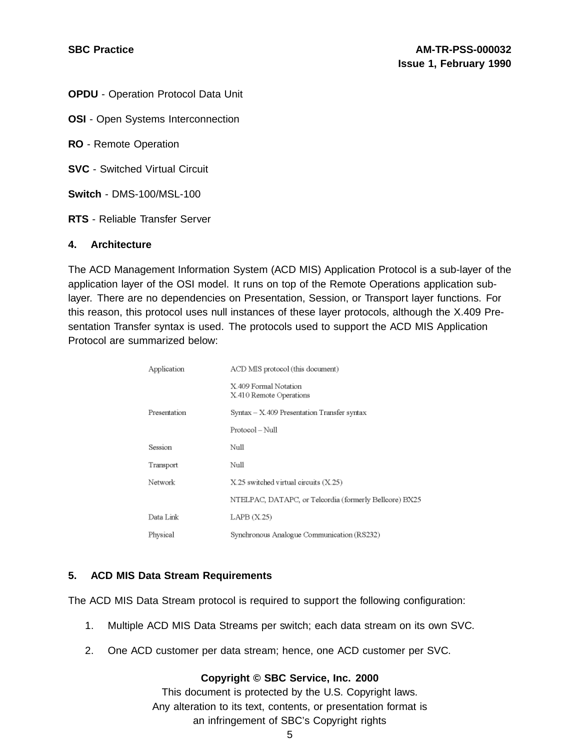**OPDU** - Operation Protocol Data Unit

**OSI** - Open Systems Interconnection

**RO** - Remote Operation

**SVC** - Switched Virtual Circuit

**Switch** - DMS-100/MSL-100

**RTS** - Reliable Transfer Server

#### **4. Architecture**

The ACD Management Information System (ACD MIS) Application Protocol is a sub-layer of the application layer of the OSI model. It runs on top of the Remote Operations application sublayer. There are no dependencies on Presentation, Session, or Transport layer functions. For this reason, this protocol uses null instances of these layer protocols, although the X.409 Presentation Transfer syntax is used. The protocols used to support the ACD MIS Application Protocol are summarized below:

| Application  | ACD MIS protocol (this document)                       |
|--------------|--------------------------------------------------------|
|              | X 409 Formal Notation<br>X.410 Remote Operations       |
| Presentation | Syntax - X.409 Presentation Transfer syntax            |
|              | Protocol – Null                                        |
| Session      | Null                                                   |
| Transport    | Null                                                   |
| Network      | X.25 switched virtual circuits (X.25)                  |
|              | NTELPAC, DATAPC, or Telcordia (formerly Bellcore) BX25 |
| Data Link    | LAPB (X.25)                                            |
| Physical     | Synchronous Analogue Communication (RS232)             |

#### **5. ACD MIS Data Stream Requirements**

The ACD MIS Data Stream protocol is required to support the following configuration:

- 1. Multiple ACD MIS Data Streams per switch; each data stream on its own SVC.
- 2. One ACD customer per data stream; hence, one ACD customer per SVC.

#### **Copyright © SBC Service, Inc. 2000**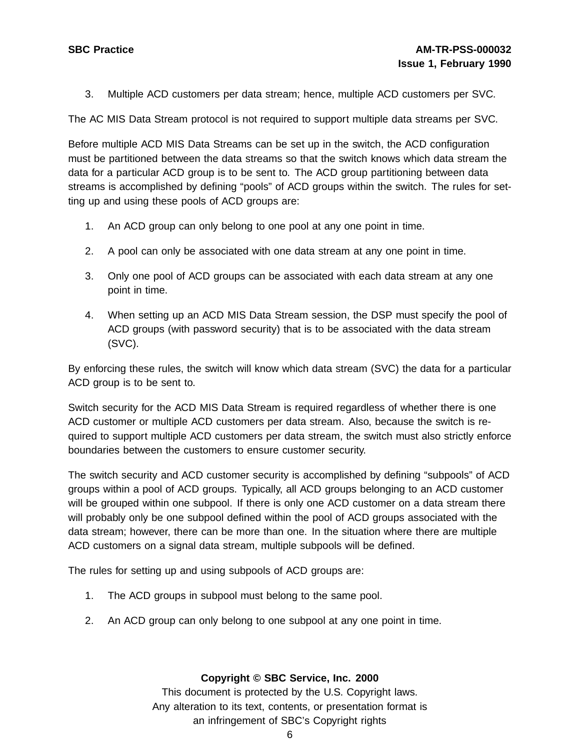3. Multiple ACD customers per data stream; hence, multiple ACD customers per SVC.

The AC MIS Data Stream protocol is not required to support multiple data streams per SVC.

Before multiple ACD MIS Data Streams can be set up in the switch, the ACD configuration must be partitioned between the data streams so that the switch knows which data stream the data for a particular ACD group is to be sent to. The ACD group partitioning between data streams is accomplished by defining "pools" of ACD groups within the switch. The rules for setting up and using these pools of ACD groups are:

- 1. An ACD group can only belong to one pool at any one point in time.
- 2. A pool can only be associated with one data stream at any one point in time.
- 3. Only one pool of ACD groups can be associated with each data stream at any one point in time.
- 4. When setting up an ACD MIS Data Stream session, the DSP must specify the pool of ACD groups (with password security) that is to be associated with the data stream (SVC).

By enforcing these rules, the switch will know which data stream (SVC) the data for a particular ACD group is to be sent to.

Switch security for the ACD MIS Data Stream is required regardless of whether there is one ACD customer or multiple ACD customers per data stream. Also, because the switch is required to support multiple ACD customers per data stream, the switch must also strictly enforce boundaries between the customers to ensure customer security.

The switch security and ACD customer security is accomplished by defining "subpools" of ACD groups within a pool of ACD groups. Typically, all ACD groups belonging to an ACD customer will be grouped within one subpool. If there is only one ACD customer on a data stream there will probably only be one subpool defined within the pool of ACD groups associated with the data stream; however, there can be more than one. In the situation where there are multiple ACD customers on a signal data stream, multiple subpools will be defined.

The rules for setting up and using subpools of ACD groups are:

- 1. The ACD groups in subpool must belong to the same pool.
- 2. An ACD group can only belong to one subpool at any one point in time.

#### **Copyright © SBC Service, Inc. 2000**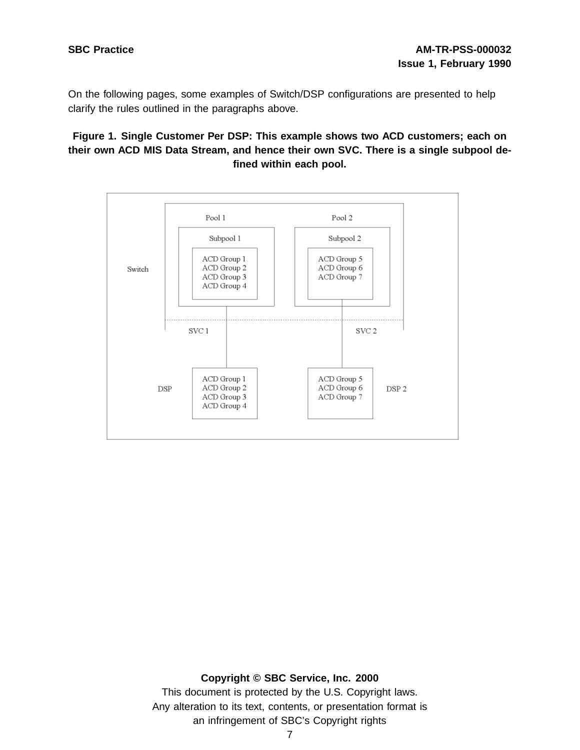On the following pages, some examples of Switch/DSP configurations are presented to help clarify the rules outlined in the paragraphs above.

**Figure 1. Single Customer Per DSP: This example shows two ACD customers; each on their own ACD MIS Data Stream, and hence their own SVC. There is a single subpool defined within each pool.**



#### **Copyright © SBC Service, Inc. 2000**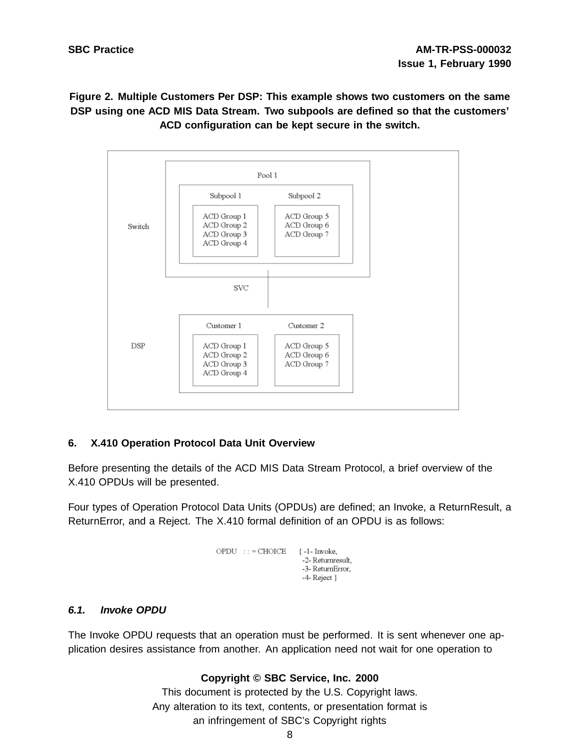**Figure 2. Multiple Customers Per DSP: This example shows two customers on the same DSP using one ACD MIS Data Stream. Two subpools are defined so that the customers' ACD configuration can be kept secure in the switch.**



# **6. X.410 Operation Protocol Data Unit Overview**

Before presenting the details of the ACD MIS Data Stream Protocol, a brief overview of the X.410 OPDUs will be presented.

Four types of Operation Protocol Data Units (OPDUs) are defined; an Invoke, a ReturnResult, a ReturnError, and a Reject. The X.410 formal definition of an OPDU is as follows:

```
\mbox{OPDU} \quad : \; : = \mbox{CHOICE} \qquad \{ \mbox{ -1- Invoke},-2- Returnresult.
                         -3- ReturnError,
                         -4-Reject }
```
#### **6.1. Invoke OPDU**

The Invoke OPDU requests that an operation must be performed. It is sent whenever one application desires assistance from another. An application need not wait for one operation to

#### **Copyright © SBC Service, Inc. 2000**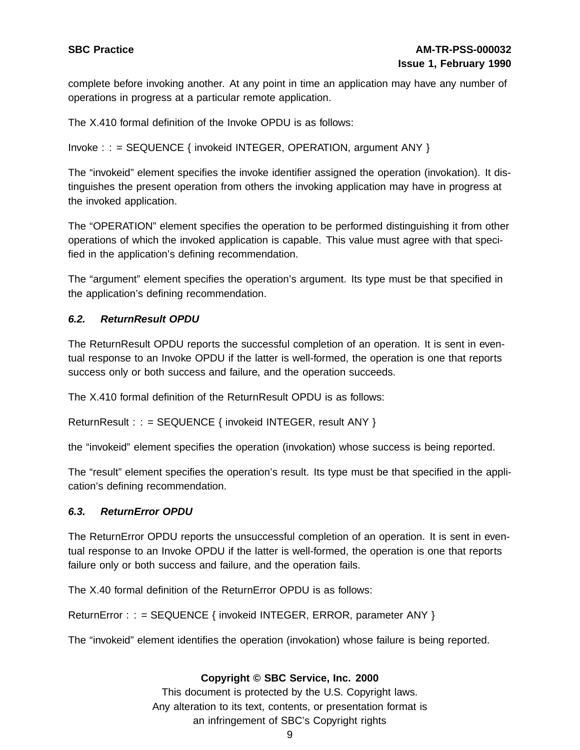complete before invoking another. At any point in time an application may have any number of operations in progress at a particular remote application.

The X.410 formal definition of the Invoke OPDU is as follows:

```
Invoke : : = SEQUENCE { invokeid INTEGER, OPERATION, argument ANY }
```
The "invokeid" element specifies the invoke identifier assigned the operation (invokation). It distinguishes the present operation from others the invoking application may have in progress at the invoked application.

The "OPERATION" element specifies the operation to be performed distinguishing it from other operations of which the invoked application is capable. This value must agree with that specified in the application's defining recommendation.

The "argument" element specifies the operation's argument. Its type must be that specified in the application's defining recommendation.

# **6.2. ReturnResult OPDU**

The ReturnResult OPDU reports the successful completion of an operation. It is sent in eventual response to an Invoke OPDU if the latter is well-formed, the operation is one that reports success only or both success and failure, and the operation succeeds.

The X.410 formal definition of the ReturnResult OPDU is as follows:

ReturnResult : : = SEQUENCE { invokeid INTEGER, result ANY }

the "invokeid" element specifies the operation (invokation) whose success is being reported.

The "result" element specifies the operation's result. Its type must be that specified in the application's defining recommendation.

#### **6.3. ReturnError OPDU**

The ReturnError OPDU reports the unsuccessful completion of an operation. It is sent in eventual response to an Invoke OPDU if the latter is well-formed, the operation is one that reports failure only or both success and failure, and the operation fails.

The X.40 formal definition of the ReturnError OPDU is as follows:

ReturnError : : = SEQUENCE { invokeid INTEGER, ERROR, parameter ANY }

The "invokeid" element identifies the operation (invokation) whose failure is being reported.

#### **Copyright © SBC Service, Inc. 2000**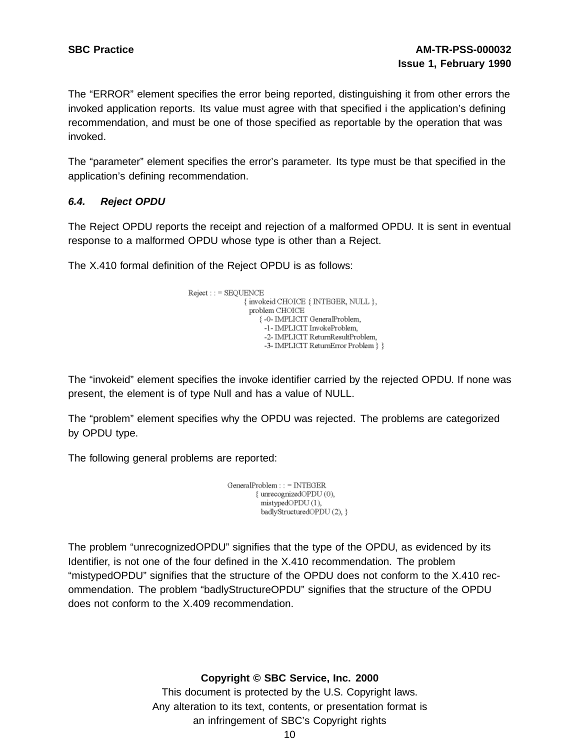The "ERROR" element specifies the error being reported, distinguishing it from other errors the invoked application reports. Its value must agree with that specified i the application's defining recommendation, and must be one of those specified as reportable by the operation that was invoked.

The "parameter" element specifies the error's parameter. Its type must be that specified in the application's defining recommendation.

#### **6.4. Reject OPDU**

The Reject OPDU reports the receipt and rejection of a malformed OPDU. It is sent in eventual response to a malformed OPDU whose type is other than a Reject.

The X.410 formal definition of the Reject OPDU is as follows:

```
Reject: := SEQUENCE{ invokeid CHOICE { INTEGER, NULL },
    problem CHOICE
       {-0- IMPLICIT GeneralProblem,
        -1- IMPLICIT InvokeProblem,
         -2- IMPLICIT ReturnResultProblem,
         -3- IMPLICIT ReturnError Problem } }
```
The "invokeid" element specifies the invoke identifier carried by the rejected OPDU. If none was present, the element is of type Null and has a value of NULL.

The "problem" element specifies why the OPDU was rejected. The problems are categorized by OPDU type.

The following general problems are reported:

GeneralProblem:: = INTEGER { unrecognizedOPDU (0), mistypedOPDU(1), badlyStructuredOPDU(2), }

The problem "unrecognizedOPDU" signifies that the type of the OPDU, as evidenced by its Identifier, is not one of the four defined in the X.410 recommendation. The problem "mistypedOPDU" signifies that the structure of the OPDU does not conform to the X.410 recommendation. The problem "badlyStructureOPDU" signifies that the structure of the OPDU does not conform to the X.409 recommendation.

**Copyright © SBC Service, Inc. 2000**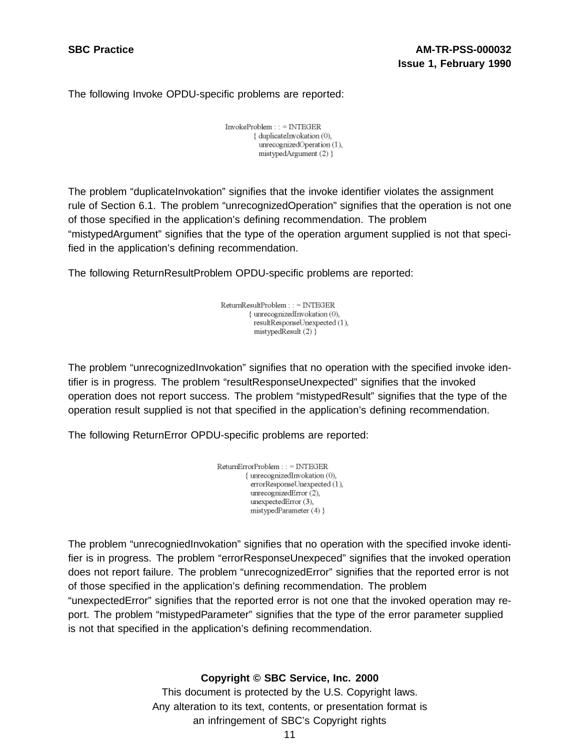The following Invoke OPDU-specific problems are reported:

 $InvokeProblem$ : = INTEGER { duplicateInvokation (0), unrecognizedOperation (1). mistypedArgument (2) }

The problem "duplicateInvokation" signifies that the invoke identifier violates the assignment rule of Section 6.1. The problem "unrecognizedOperation" signifies that the operation is not one of those specified in the application's defining recommendation. The problem "mistypedArgument" signifies that the type of the operation argument supplied is not that specified in the application's defining recommendation.

The following ReturnResultProblem OPDU-specific problems are reported:

ReturnResultProblem:: = INTEGER { unrecognizedInvokation (0), resultResponseUnexpected (1), mistypedResult (2) }

The problem "unrecognizedInvokation" signifies that no operation with the specified invoke identifier is in progress. The problem "resultResponseUnexpected" signifies that the invoked operation does not report success. The problem "mistypedResult" signifies that the type of the operation result supplied is not that specified in the application's defining recommendation.

The following ReturnError OPDU-specific problems are reported:

| ReturnErrorProblem : : = INTEGER |
|----------------------------------|
| { unrecognizedInvokation (0),    |
| errorResponseUnexpected (1),     |
| unrecognizedError (2),           |
| unexpectedError (3),             |
| mistypedParameter $(4)$ }        |
|                                  |

The problem "unrecogniedInvokation" signifies that no operation with the specified invoke identifier is in progress. The problem "errorResponseUnexpeced" signifies that the invoked operation does not report failure. The problem "unrecognizedError" signifies that the reported error is not of those specified in the application's defining recommendation. The problem "unexpectedError" signifies that the reported error is not one that the invoked operation may report. The problem "mistypedParameter" signifies that the type of the error parameter supplied is not that specified in the application's defining recommendation.

#### **Copyright © SBC Service, Inc. 2000**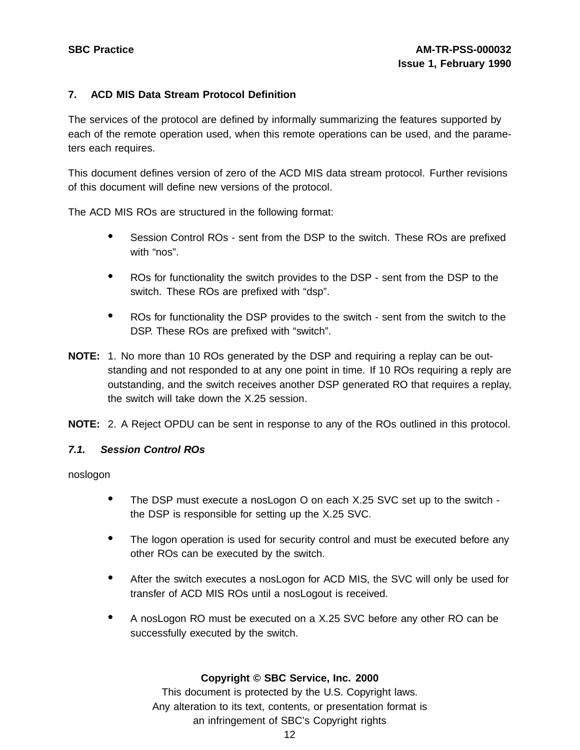### **7. ACD MIS Data Stream Protocol Definition**

The services of the protocol are defined by informally summarizing the features supported by each of the remote operation used, when this remote operations can be used, and the parameters each requires.

This document defines version of zero of the ACD MIS data stream protocol. Further revisions of this document will define new versions of the protocol.

The ACD MIS ROs are structured in the following format:

- Session Control ROs sent from the DSP to the switch. These ROs are prefixed with "nos".
- ROs for functionality the switch provides to the DSP sent from the DSP to the switch. These ROs are prefixed with "dsp".
- ROs for functionality the DSP provides to the switch sent from the switch to the DSP. These ROs are prefixed with "switch".
- **NOTE:** 1. No more than 10 ROs generated by the DSP and requiring a replay can be outstanding and not responded to at any one point in time. If 10 ROs requiring a reply are outstanding, and the switch receives another DSP generated RO that requires a replay, the switch will take down the X.25 session.

**NOTE:** 2. A Reject OPDU can be sent in response to any of the ROs outlined in this protocol.

#### **7.1. Session Control ROs**

noslogon

- The DSP must execute <sup>a</sup> nosLogon <sup>O</sup> on each X.25 SVC set up to the switch the DSP is responsible for setting up the X.25 SVC.
- The logon operation is used for security control and must be executed before any other ROs can be executed by the switch.
- After the switch executes <sup>a</sup> nosLogon for ACD MIS, the SVC will only be used for transfer of ACD MIS ROs until a nosLogout is received.
- <sup>A</sup> nosLogon RO must be executed on <sup>a</sup> X.25 SVC before any other RO can be successfully executed by the switch.

#### **Copyright © SBC Service, Inc. 2000**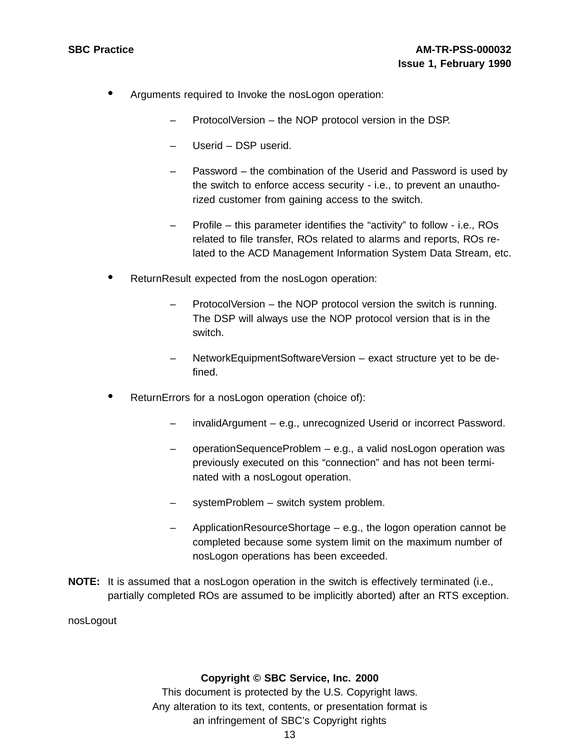- Arguments required to Invoke the nosLogon operation:
	- ProtocolVersion the NOP protocol version in the DSP.
	- Userid DSP userid.
	- Password the combination of the Userid and Password is used by the switch to enforce access security - i.e., to prevent an unauthorized customer from gaining access to the switch.
	- Profile this parameter identifies the "activity" to follow i.e., ROs related to file transfer, ROs related to alarms and reports, ROs related to the ACD Management Information System Data Stream, etc.
- ReturnResult expected from the nosLogon operation:
	- ProtocolVersion the NOP protocol version the switch is running. The DSP will always use the NOP protocol version that is in the switch.
	- NetworkEquipmentSoftwareVersion exact structure yet to be defined.
- ReturnErrors for a nosLogon operation (choice of):
	- invalidArgument e.g., unrecognized Userid or incorrect Password.
	- operationSequenceProblem e.g., a valid nosLogon operation was previously executed on this "connection" and has not been terminated with a nosLogout operation.
	- systemProblem switch system problem.
	- ApplicationResourceShortage e.g., the logon operation cannot be completed because some system limit on the maximum number of nosLogon operations has been exceeded.
- **NOTE:** It is assumed that a nosLogon operation in the switch is effectively terminated (i.e., partially completed ROs are assumed to be implicitly aborted) after an RTS exception.

nosLogout

#### **Copyright © SBC Service, Inc. 2000**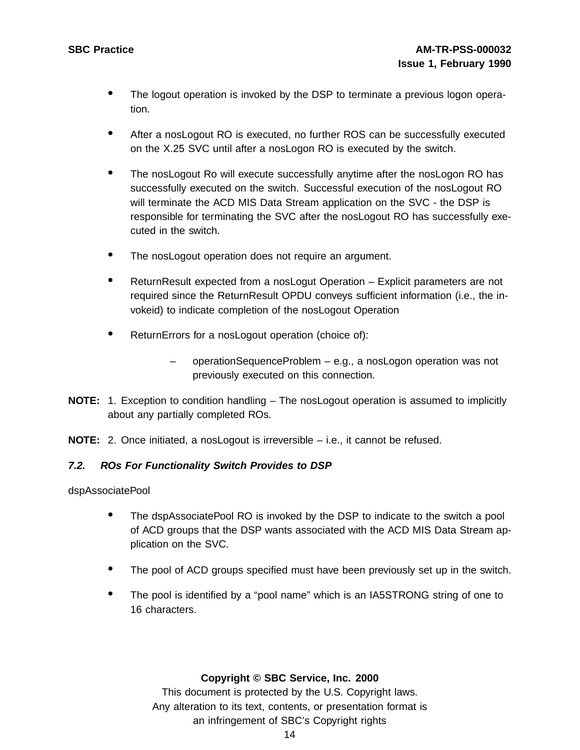- The logout operation is invoked by the DSP to terminate a previous logon operation.
- After <sup>a</sup> nosLogout RO is executed, no further ROS can be successfully executed on the X.25 SVC until after a nosLogon RO is executed by the switch.
- The nosLogout Ro will execute successfully anytime after the nosLogon RO has successfully executed on the switch. Successful execution of the nosLogout RO will terminate the ACD MIS Data Stream application on the SVC - the DSP is responsible for terminating the SVC after the nosLogout RO has successfully executed in the switch.
- The nosLogout operation does not require an argument.
- ReturnResult expected from a nosLogut Operation Explicit parameters are not required since the ReturnResult OPDU conveys sufficient information (i.e., the invokeid) to indicate completion of the nosLogout Operation
- ReturnErrors for <sup>a</sup> nosLogout operation (choice of):
	- operationSequenceProblem e.g., a nosLogon operation was not previously executed on this connection.
- **NOTE:** 1. Exception to condition handling The nosLogout operation is assumed to implicitly about any partially completed ROs.
- **NOTE:** 2. Once initiated, a nosLogout is irreversible i.e., it cannot be refused.

#### **7.2. ROs For Functionality Switch Provides to DSP**

dspAssociatePool

- The dspAssociatePool RO is invoked by the DSP to indicate to the switch <sup>a</sup> pool of ACD groups that the DSP wants associated with the ACD MIS Data Stream application on the SVC.
- The pool of ACD groups specified must have been previously set up in the switch.
- The pool is identified by <sup>a</sup> "pool name" which is an IA5STRONG string of one to 16 characters.

#### **Copyright © SBC Service, Inc. 2000**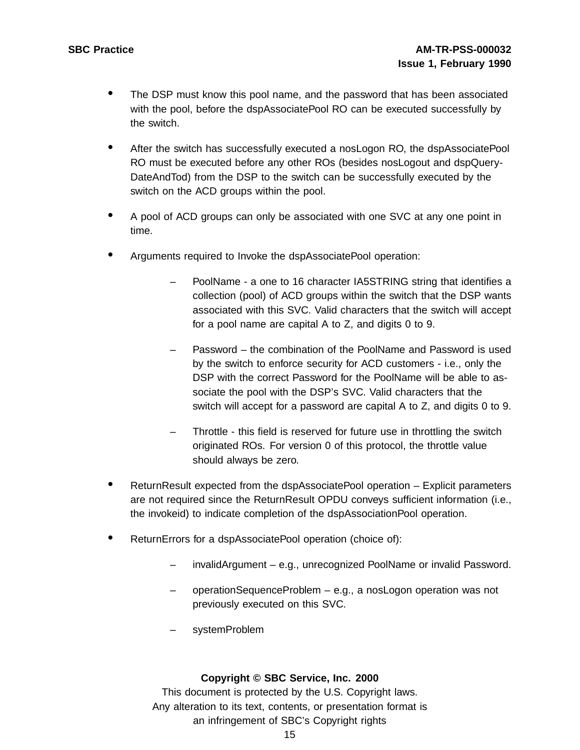- The DSP must know this pool name, and the password that has been associated with the pool, before the dspAssociatePool RO can be executed successfully by the switch.
- After the switch has successfully executed <sup>a</sup> nosLogon RO, the dspAssociatePool RO must be executed before any other ROs (besides nosLogout and dspQuery-DateAndTod) from the DSP to the switch can be successfully executed by the switch on the ACD groups within the pool.
- <sup>A</sup> pool of ACD groups can only be associated with one SVC at any one point in time.
- Arguments required to Invoke the dspAssociatePool operation:
	- PoolName a one to 16 character IA5STRING string that identifies a collection (pool) of ACD groups within the switch that the DSP wants associated with this SVC. Valid characters that the switch will accept for a pool name are capital A to Z, and digits 0 to 9.
	- Password the combination of the PoolName and Password is used by the switch to enforce security for ACD customers - i.e., only the DSP with the correct Password for the PoolName will be able to associate the pool with the DSP's SVC. Valid characters that the switch will accept for a password are capital A to Z, and digits 0 to 9.
	- Throttle this field is reserved for future use in throttling the switch originated ROs. For version 0 of this protocol, the throttle value should always be zero.
- ReturnResult expected from the dspAssociatePool operation Explicit parameters are not required since the ReturnResult OPDU conveys sufficient information (i.e., the invokeid) to indicate completion of the dspAssociationPool operation.
- ReturnErrors for <sup>a</sup> dspAssociatePool operation (choice of):
	- invalidArgument e.g., unrecognized PoolName or invalid Password.
	- operationSequenceProblem e.g., a nosLogon operation was not previously executed on this SVC.
	- systemProblem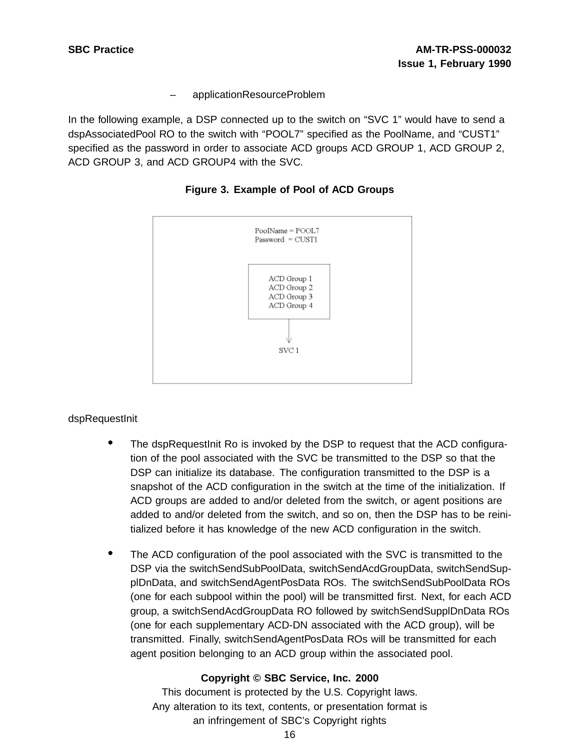– applicationResourceProblem

In the following example, a DSP connected up to the switch on "SVC 1" would have to send a dspAssociatedPool RO to the switch with "POOL7" specified as the PoolName, and "CUST1" specified as the password in order to associate ACD groups ACD GROUP 1, ACD GROUP 2, ACD GROUP 3, and ACD GROUP4 with the SVC.





# dspRequestInit

- The dspRequestInit Ro is invoked by the DSP to request that the ACD configuration of the pool associated with the SVC be transmitted to the DSP so that the DSP can initialize its database. The configuration transmitted to the DSP is a snapshot of the ACD configuration in the switch at the time of the initialization. If ACD groups are added to and/or deleted from the switch, or agent positions are added to and/or deleted from the switch, and so on, then the DSP has to be reinitialized before it has knowledge of the new ACD configuration in the switch.
- The ACD configuration of the pool associated with the SVC is transmitted to the DSP via the switchSendSubPoolData, switchSendAcdGroupData, switchSendSupplDnData, and switchSendAgentPosData ROs. The switchSendSubPoolData ROs (one for each subpool within the pool) will be transmitted first. Next, for each ACD group, a switchSendAcdGroupData RO followed by switchSendSupplDnData ROs (one for each supplementary ACD-DN associated with the ACD group), will be transmitted. Finally, switchSendAgentPosData ROs will be transmitted for each agent position belonging to an ACD group within the associated pool.

# **Copyright © SBC Service, Inc. 2000**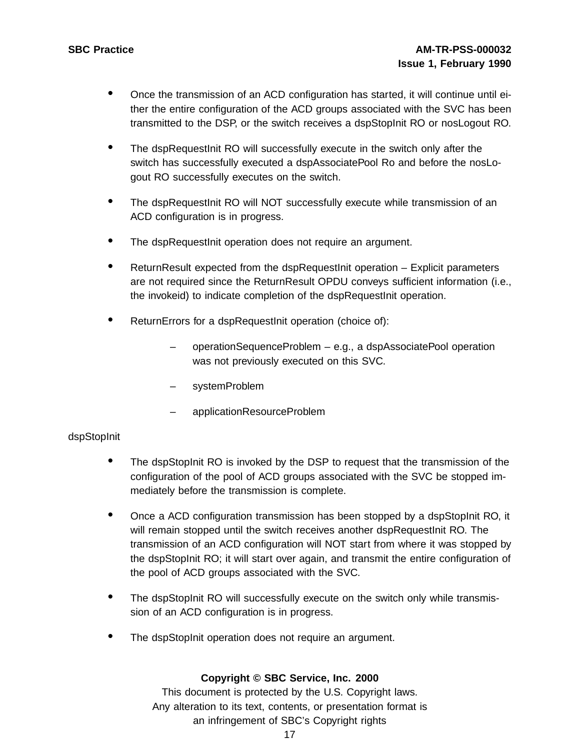- Once the transmission of an ACD configuration has started, it will continue until either the entire configuration of the ACD groups associated with the SVC has been transmitted to the DSP, or the switch receives a dspStopInit RO or nosLogout RO.
- The dspRequestInit RO will successfully execute in the switch only after the switch has successfully executed a dspAssociatePool Ro and before the nosLogout RO successfully executes on the switch.
- The dspRequestInit RO will NOT successfully execute while transmission of an ACD configuration is in progress.
- The dspRequestInit operation does not require an argument.
- ReturnResult expected from the dspRequestInit operation Explicit parameters are not required since the ReturnResult OPDU conveys sufficient information (i.e., the invokeid) to indicate completion of the dspRequestInit operation.
- ReturnErrors for <sup>a</sup> dspRequestInit operation (choice of):
	- operationSequenceProblem e.g., a dspAssociatePool operation was not previously executed on this SVC.
	- systemProblem
	- applicationResourceProblem

# dspStopInit

- The dspStopInit RO is invoked by the DSP to request that the transmission of the configuration of the pool of ACD groups associated with the SVC be stopped immediately before the transmission is complete.
- Once a ACD configuration transmission has been stopped by a dspStopInit RO, it will remain stopped until the switch receives another dspRequestInit RO. The transmission of an ACD configuration will NOT start from where it was stopped by the dspStopInit RO; it will start over again, and transmit the entire configuration of the pool of ACD groups associated with the SVC.
- The dspStopInit RO will successfully execute on the switch only while transmission of an ACD configuration is in progress.
- The dspStopInit operation does not require an argument.

# **Copyright © SBC Service, Inc. 2000**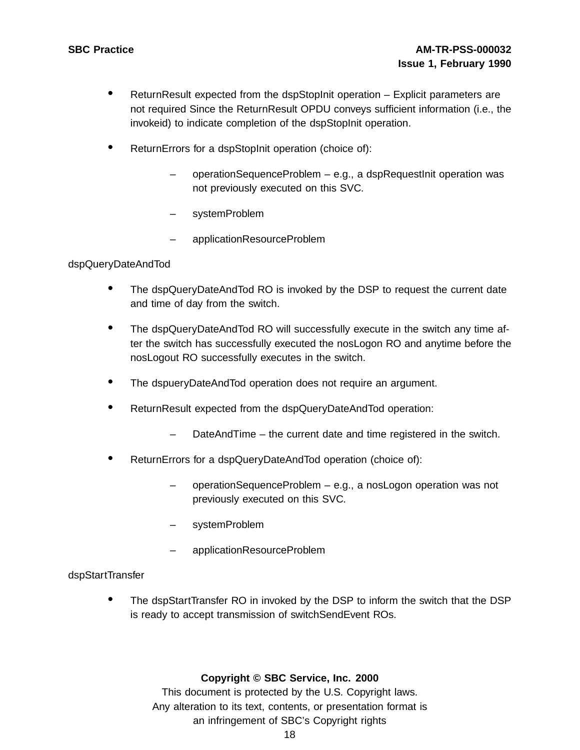- ReturnResult expected from the dspStopInit operation Explicit parameters are not required Since the ReturnResult OPDU conveys sufficient information (i.e., the invokeid) to indicate completion of the dspStopInit operation.
- ReturnErrors for a dspStopInit operation (choice of):
	- operationSequenceProblem e.g., a dspRequestInit operation was not previously executed on this SVC.
	- systemProblem
	- applicationResourceProblem

# dspQueryDateAndTod

- The dspQueryDateAndTod RO is invoked by the DSP to request the current date and time of day from the switch.
- The dspQueryDateAndTod RO will successfully execute in the switch any time after the switch has successfully executed the nosLogon RO and anytime before the nosLogout RO successfully executes in the switch.
- The dspueryDateAndTod operation does not require an argument.
- ReturnResult expected from the dspQueryDateAndTod operation:
	- DateAndTime the current date and time registered in the switch.
- ReturnErrors for <sup>a</sup> dspQueryDateAndTod operation (choice of):
	- operationSequenceProblem e.g., a nosLogon operation was not previously executed on this SVC.
	- systemProblem
	- applicationResourceProblem

dspStartTransfer

The dspStartTransfer RO in invoked by the DSP to inform the switch that the DSP is ready to accept transmission of switchSendEvent ROs.

#### **Copyright © SBC Service, Inc. 2000**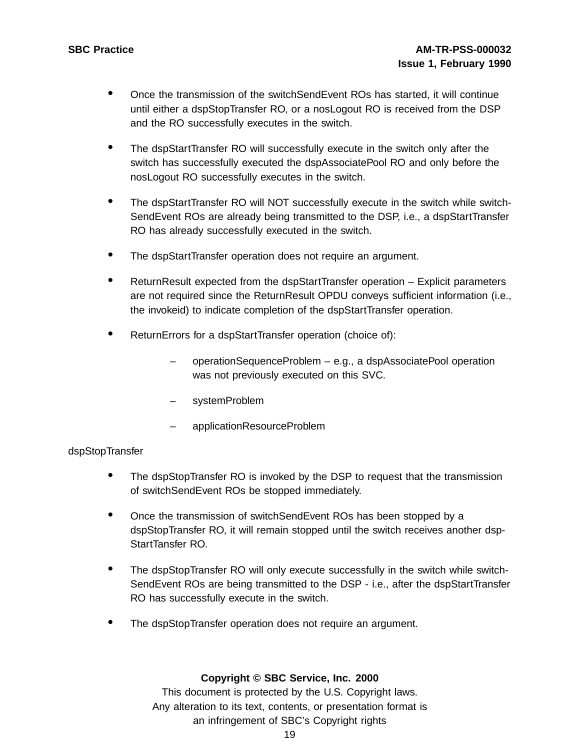- Once the transmission of the switchSendEvent ROs has started, it will continue until either a dspStopTransfer RO, or a nosLogout RO is received from the DSP and the RO successfully executes in the switch.
- The dspStartTransfer RO will successfully execute in the switch only after the switch has successfully executed the dspAssociatePool RO and only before the nosLogout RO successfully executes in the switch.
- The dspStartTransfer RO will NOT successfully execute in the switch while switch-SendEvent ROs are already being transmitted to the DSP, i.e., a dspStartTransfer RO has already successfully executed in the switch.
- The dspStartTransfer operation does not require an argument.
- ReturnResult expected from the dspStartTransfer operation Explicit parameters are not required since the ReturnResult OPDU conveys sufficient information (i.e., the invokeid) to indicate completion of the dspStartTransfer operation.
- ReturnErrors for <sup>a</sup> dspStartTransfer operation (choice of):
	- operationSequenceProblem e.g., a dspAssociatePool operation was not previously executed on this SVC.
	- systemProblem
	- applicationResourceProblem

#### dspStopTransfer

- The dspStopTransfer RO is invoked by the DSP to request that the transmission of switchSendEvent ROs be stopped immediately.
- Once the transmission of switchSendEvent ROs has been stopped by a dspStopTransfer RO, it will remain stopped until the switch receives another dsp-StartTansfer RO.
- The dspStopTransfer RO will only execute successfully in the switch while switch-SendEvent ROs are being transmitted to the DSP - i.e., after the dspStartTransfer RO has successfully execute in the switch.
- The dspStopTransfer operation does not require an argument.

#### **Copyright © SBC Service, Inc. 2000**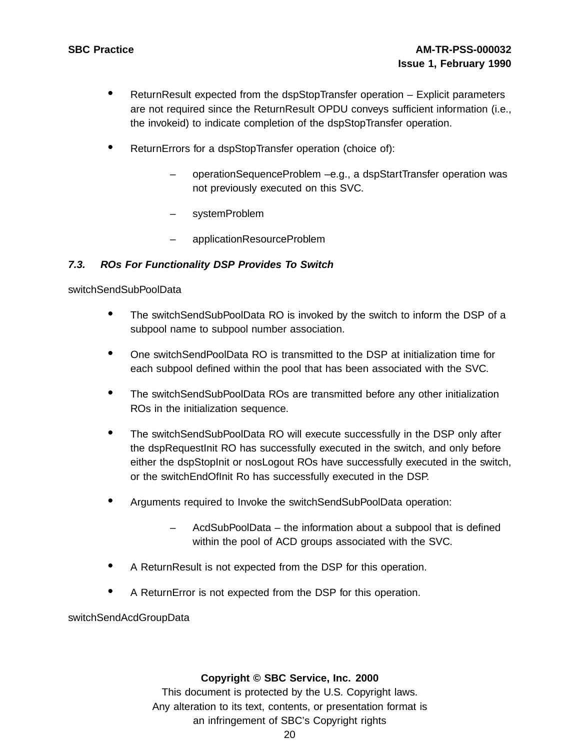- ReturnResult expected from the dspStopTransfer operation Explicit parameters are not required since the ReturnResult OPDU conveys sufficient information (i.e., the invokeid) to indicate completion of the dspStopTransfer operation.
- ReturnErrors for <sup>a</sup> dspStopTransfer operation (choice of):
	- operationSequenceProblem –e.g., a dspStartTransfer operation was not previously executed on this SVC.
	- systemProblem
	- applicationResourceProblem

# **7.3. ROs For Functionality DSP Provides To Switch**

#### switchSendSubPoolData

- The switchSendSubPoolData RO is invoked by the switch to inform the DSP of <sup>a</sup> subpool name to subpool number association.
- One switchSendPoolData RO is transmitted to the DSP at initialization time for each subpool defined within the pool that has been associated with the SVC.
- The switchSendSubPoolData ROs are transmitted before any other initialization ROs in the initialization sequence.
- The switchSendSubPoolData RO will execute successfully in the DSP only after the dspRequestInit RO has successfully executed in the switch, and only before either the dspStopInit or nosLogout ROs have successfully executed in the switch, or the switchEndOfInit Ro has successfully executed in the DSP.
- Arguments required to Invoke the switchSendSubPoolData operation:
	- AcdSubPoolData the information about a subpool that is defined within the pool of ACD groups associated with the SVC.
- <sup>A</sup> ReturnResult is not expected from the DSP for this operation.
- <sup>A</sup> ReturnError is not expected from the DSP for this operation.

switchSendAcdGroupData

#### **Copyright © SBC Service, Inc. 2000**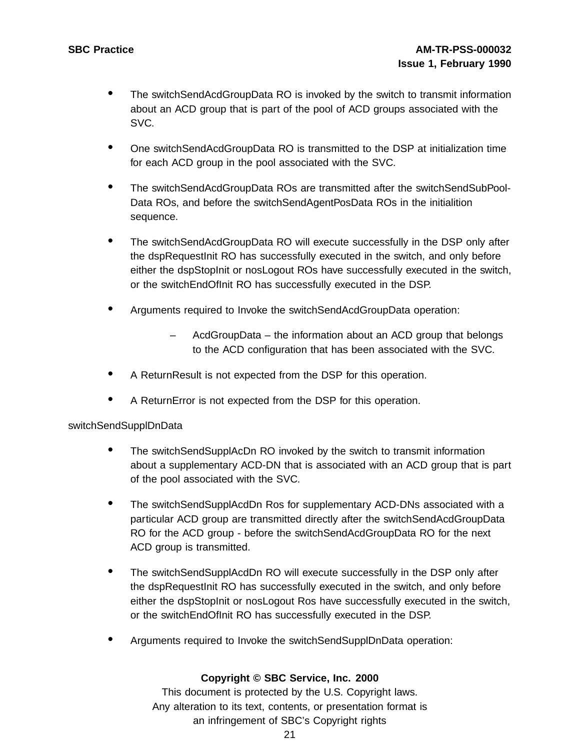- The switchSendAcdGroupData RO is invoked by the switch to transmit information about an ACD group that is part of the pool of ACD groups associated with the SVC.
- One switchSendAcdGroupData RO is transmitted to the DSP at initialization time for each ACD group in the pool associated with the SVC.
- The switchSendAcdGroupData ROs are transmitted after the switchSendSubPool-Data ROs, and before the switchSendAgentPosData ROs in the initialition sequence.
- The switchSendAcdGroupData RO will execute successfully in the DSP only after the dspRequestInit RO has successfully executed in the switch, and only before either the dspStopInit or nosLogout ROs have successfully executed in the switch, or the switchEndOfInit RO has successfully executed in the DSP.
- Arguments required to Invoke the switchSendAcdGroupData operation:
	- AcdGroupData the information about an ACD group that belongs to the ACD configuration that has been associated with the SVC.
- <sup>A</sup> ReturnResult is not expected from the DSP for this operation.
- <sup>A</sup> ReturnError is not expected from the DSP for this operation.

# switchSendSupplDnData

- The switchSendSupplAcDn RO invoked by the switch to transmit information about a supplementary ACD-DN that is associated with an ACD group that is part of the pool associated with the SVC.
- The switchSendSupplAcdDn Ros for supplementary ACD-DNs associated with <sup>a</sup> particular ACD group are transmitted directly after the switchSendAcdGroupData RO for the ACD group - before the switchSendAcdGroupData RO for the next ACD group is transmitted.
- The switchSendSupplAcdDn RO will execute successfully in the DSP only after the dspRequestInit RO has successfully executed in the switch, and only before either the dspStopInit or nosLogout Ros have successfully executed in the switch, or the switchEndOfInit RO has successfully executed in the DSP.
- Arguments required to Invoke the switchSendSupplDnData operation:

# **Copyright © SBC Service, Inc. 2000**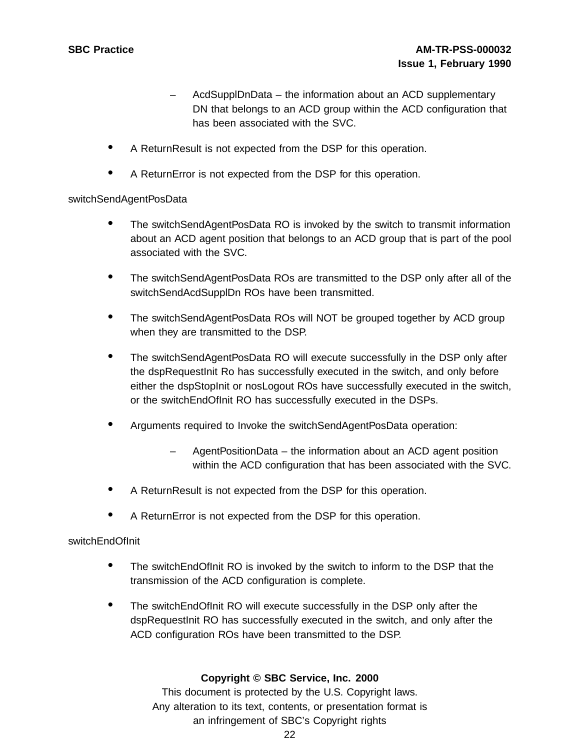- AcdSupplDnData the information about an ACD supplementary DN that belongs to an ACD group within the ACD configuration that has been associated with the SVC.
- <sup>A</sup> ReturnResult is not expected from the DSP for this operation.
- A ReturnError is not expected from the DSP for this operation.

#### switchSendAgentPosData

- The switchSendAgentPosData RO is invoked by the switch to transmit information about an ACD agent position that belongs to an ACD group that is part of the pool associated with the SVC.
- The switchSendAgentPosData ROs are transmitted to the DSP only after all of the switchSendAcdSupplDn ROs have been transmitted.
- The switchSendAgentPosData ROs will NOT be grouped together by ACD group when they are transmitted to the DSP.
- The switchSendAgentPosData RO will execute successfully in the DSP only after the dspRequestInit Ro has successfully executed in the switch, and only before either the dspStopInit or nosLogout ROs have successfully executed in the switch, or the switchEndOfInit RO has successfully executed in the DSPs.
- Arguments required to Invoke the switchSendAgentPosData operation:
	- AgentPositionData the information about an ACD agent position within the ACD configuration that has been associated with the SVC.
- <sup>A</sup> ReturnResult is not expected from the DSP for this operation.
- A ReturnError is not expected from the DSP for this operation.

# switchEndOfInit

- The switchEndOfInit RO is invoked by the switch to inform to the DSP that the transmission of the ACD configuration is complete.
- The switchEndOfInit RO will execute successfully in the DSP only after the dspRequestInit RO has successfully executed in the switch, and only after the ACD configuration ROs have been transmitted to the DSP.

# **Copyright © SBC Service, Inc. 2000**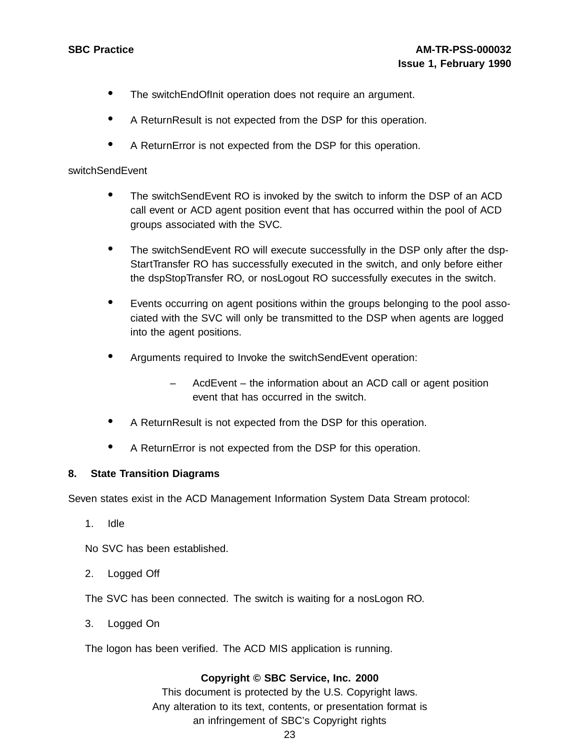- The switch End Of Init operation does not require an argument.
- <sup>A</sup> ReturnResult is not expected from the DSP for this operation.
- <sup>A</sup> ReturnError is not expected from the DSP for this operation.

#### switchSendEvent

- The switchSendEvent RO is invoked by the switch to inform the DSP of an ACD call event or ACD agent position event that has occurred within the pool of ACD groups associated with the SVC.
- The switchSendEvent RO will execute successfully in the DSP only after the dsp-StartTransfer RO has successfully executed in the switch, and only before either the dspStopTransfer RO, or nosLogout RO successfully executes in the switch.
- Events occurring on agent positions within the groups belonging to the pool associated with the SVC will only be transmitted to the DSP when agents are logged into the agent positions.
- Arguments required to Invoke the switchSendEvent operation:
	- AcdEvent the information about an ACD call or agent position event that has occurred in the switch.
- <sup>A</sup> ReturnResult is not expected from the DSP for this operation.
- <sup>A</sup> ReturnError is not expected from the DSP for this operation.

#### **8. State Transition Diagrams**

Seven states exist in the ACD Management Information System Data Stream protocol:

1. Idle

No SVC has been established.

2. Logged Off

The SVC has been connected. The switch is waiting for a nosLogon RO.

3. Logged On

The logon has been verified. The ACD MIS application is running.

#### **Copyright © SBC Service, Inc. 2000**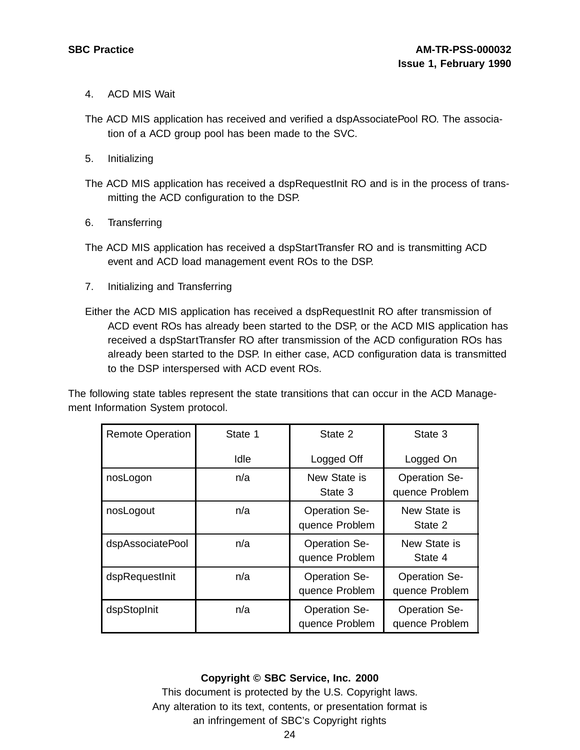- 4. ACD MIS Wait
- The ACD MIS application has received and verified a dspAssociatePool RO. The association of a ACD group pool has been made to the SVC.
- 5. Initializing
- The ACD MIS application has received a dspRequestInit RO and is in the process of transmitting the ACD configuration to the DSP.
- 6. Transferring
- The ACD MIS application has received a dspStartTransfer RO and is transmitting ACD event and ACD load management event ROs to the DSP.
- 7. Initializing and Transferring
- Either the ACD MIS application has received a dspRequestInit RO after transmission of ACD event ROs has already been started to the DSP, or the ACD MIS application has received a dspStartTransfer RO after transmission of the ACD configuration ROs has already been started to the DSP. In either case, ACD configuration data is transmitted to the DSP interspersed with ACD event ROs.

The following state tables represent the state transitions that can occur in the ACD Management Information System protocol.

| <b>Remote Operation</b> | State 1 | State 2                                | State 3                                |
|-------------------------|---------|----------------------------------------|----------------------------------------|
|                         | Idle    | Logged Off                             | Logged On                              |
| nosLogon                | n/a     | New State is<br>State 3                | <b>Operation Se-</b><br>quence Problem |
| nosLogout               | n/a     | <b>Operation Se-</b><br>quence Problem | New State is<br>State 2                |
| dspAssociatePool        | n/a     | <b>Operation Se-</b><br>quence Problem | New State is<br>State 4                |
| dspRequestInit          | n/a     | <b>Operation Se-</b><br>quence Problem | <b>Operation Se-</b><br>quence Problem |
| dspStopInit             | n/a     | <b>Operation Se-</b><br>quence Problem | <b>Operation Se-</b><br>quence Problem |

#### **Copyright © SBC Service, Inc. 2000**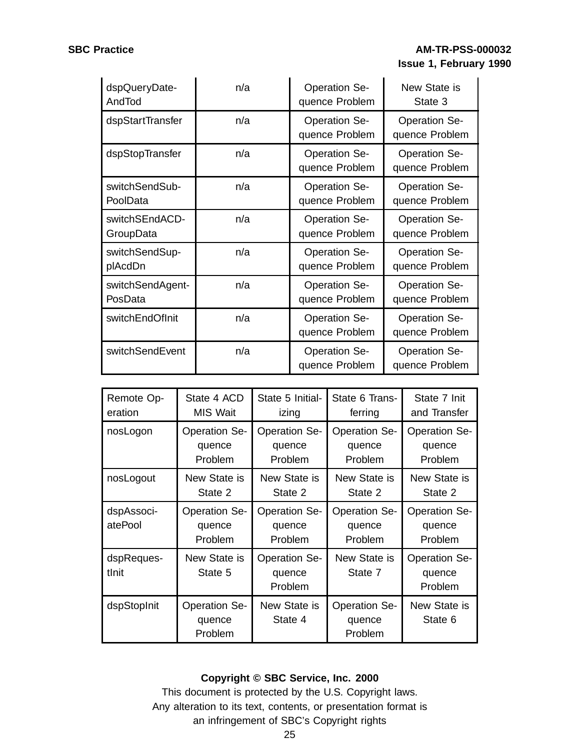# **SBC Practice AM-TR-PSS-000032 Issue 1, February 1990**

| dspQueryDate-    | n/a | <b>Operation Se-</b>                   | New State is                           |
|------------------|-----|----------------------------------------|----------------------------------------|
| AndTod           |     | quence Problem                         | State 3                                |
| dspStartTransfer | n/a | <b>Operation Se-</b><br>quence Problem | <b>Operation Se-</b><br>quence Problem |
| dspStopTransfer  | n/a | <b>Operation Se-</b><br>quence Problem | <b>Operation Se-</b><br>quence Problem |
| switchSendSub-   | n/a | <b>Operation Se-</b>                   | <b>Operation Se-</b>                   |
| PoolData         |     | quence Problem                         | quence Problem                         |
| switchSEndACD-   | n/a | <b>Operation Se-</b>                   | <b>Operation Se-</b>                   |
| GroupData        |     | quence Problem                         | quence Problem                         |
| switchSendSup-   | n/a | <b>Operation Se-</b>                   | <b>Operation Se-</b>                   |
| plAcdDn          |     | quence Problem                         | quence Problem                         |
| switchSendAgent- | n/a | <b>Operation Se-</b>                   | <b>Operation Se-</b>                   |
| PosData          |     | quence Problem                         | quence Problem                         |
| switchEndOfInit  | n/a | <b>Operation Se-</b><br>quence Problem | <b>Operation Se-</b><br>quence Problem |
| switchSendEvent  | n/a | <b>Operation Se-</b><br>quence Problem | <b>Operation Se-</b><br>quence Problem |

| Remote Op-            | State 4 ACD                               | State 5 Initial-                          | State 6 Trans-                            | State 7 Init                              |
|-----------------------|-------------------------------------------|-------------------------------------------|-------------------------------------------|-------------------------------------------|
| eration               | MIS Wait                                  | izing                                     | ferring                                   | and Transfer                              |
| nosLogon              | <b>Operation Se-</b>                      | <b>Operation Se-</b>                      | <b>Operation Se-</b>                      | <b>Operation Se-</b>                      |
|                       | quence                                    | quence                                    | quence                                    | quence                                    |
|                       | Problem                                   | Problem                                   | Problem                                   | Problem                                   |
| nosLogout             | New State is                              | New State is                              | New State is                              | New State is                              |
|                       | State 2                                   | State 2                                   | State 2                                   | State 2                                   |
| dspAssoci-<br>atePool | <b>Operation Se-</b><br>quence<br>Problem | <b>Operation Se-</b><br>quence<br>Problem | <b>Operation Se-</b><br>quence<br>Problem | <b>Operation Se-</b><br>quence<br>Problem |
| dspReques-<br>tlnit   | New State is<br>State 5                   | <b>Operation Se-</b><br>quence<br>Problem | New State is<br>State 7                   | <b>Operation Se-</b><br>quence<br>Problem |
| dspStopInit           | <b>Operation Se-</b><br>quence<br>Problem | New State is<br>State 4                   | <b>Operation Se-</b><br>quence<br>Problem | New State is<br>State 6                   |

# **Copyright © SBC Service, Inc. 2000**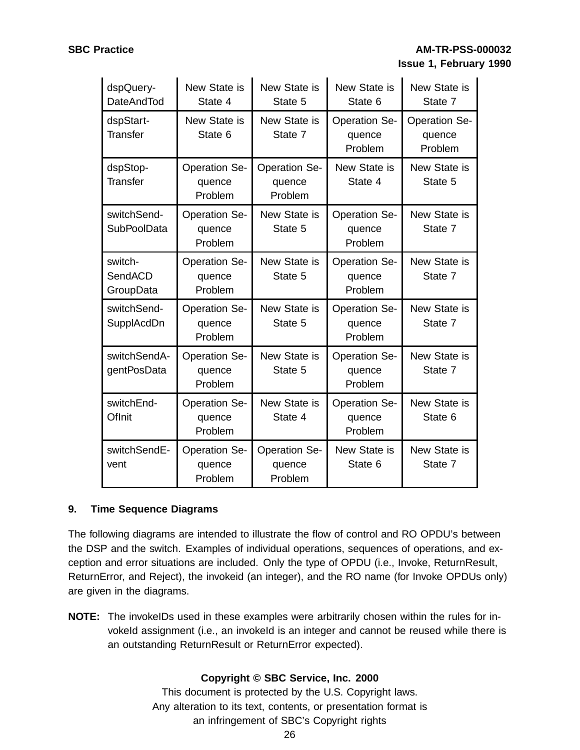| dspQuery-<br><b>DateAndTod</b>    | New State is<br>State 4                   | New State is<br>State 5                   | New State is<br>State 6                   | New State is<br>State 7                   |
|-----------------------------------|-------------------------------------------|-------------------------------------------|-------------------------------------------|-------------------------------------------|
| dspStart-<br><b>Transfer</b>      | New State is<br>State 6                   | New State is<br>State 7                   | <b>Operation Se-</b><br>quence<br>Problem | <b>Operation Se-</b><br>quence<br>Problem |
| dspStop-<br><b>Transfer</b>       | <b>Operation Se-</b><br>quence<br>Problem | <b>Operation Se-</b><br>quence<br>Problem | New State is<br>State 4                   | New State is<br>State 5                   |
| switchSend-<br><b>SubPoolData</b> | <b>Operation Se-</b><br>quence<br>Problem | New State is<br>State 5                   | <b>Operation Se-</b><br>quence<br>Problem | New State is<br>State 7                   |
| switch-<br>SendACD<br>GroupData   | <b>Operation Se-</b><br>quence<br>Problem | New State is<br>State 5                   | <b>Operation Se-</b><br>quence<br>Problem | New State is<br>State 7                   |
| switchSend-<br>SupplAcdDn         | <b>Operation Se-</b><br>quence<br>Problem | New State is<br>State 5                   | <b>Operation Se-</b><br>quence<br>Problem | New State is<br>State 7                   |
| switchSendA-<br>gentPosData       | <b>Operation Se-</b><br>quence<br>Problem | New State is<br>State 5                   | <b>Operation Se-</b><br>quence<br>Problem | New State is<br>State 7                   |
| switchEnd-<br>OfInit              | <b>Operation Se-</b><br>quence<br>Problem | New State is<br>State 4                   | <b>Operation Se-</b><br>quence<br>Problem | New State is<br>State 6                   |
| switchSendE-<br>vent              | <b>Operation Se-</b><br>quence<br>Problem | <b>Operation Se-</b><br>quence<br>Problem | New State is<br>State 6                   | New State is<br>State 7                   |

#### **9. Time Sequence Diagrams**

The following diagrams are intended to illustrate the flow of control and RO OPDU's between the DSP and the switch. Examples of individual operations, sequences of operations, and exception and error situations are included. Only the type of OPDU (i.e., Invoke, ReturnResult, ReturnError, and Reject), the invokeid (an integer), and the RO name (for Invoke OPDUs only) are given in the diagrams.

**NOTE:** The invokeIDs used in these examples were arbitrarily chosen within the rules for invokeId assignment (i.e., an invokeId is an integer and cannot be reused while there is an outstanding ReturnResult or ReturnError expected).

# **Copyright © SBC Service, Inc. 2000**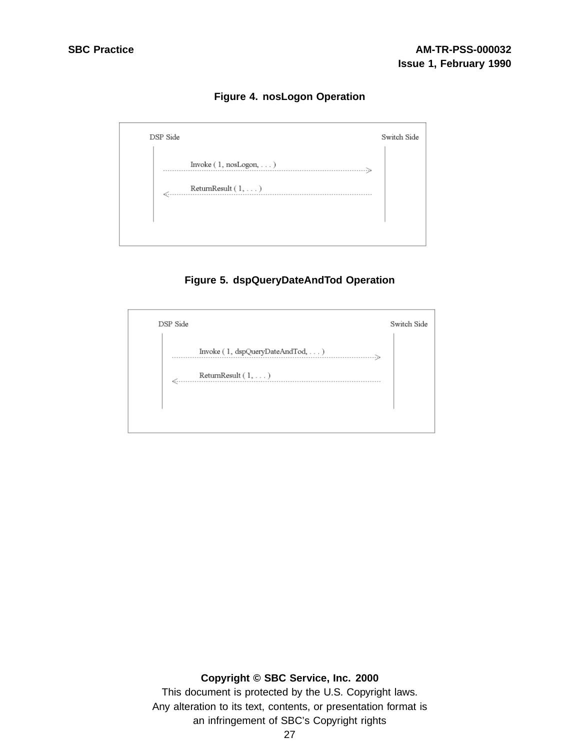**Figure 4. nosLogon Operation**



# **Figure 5. dspQueryDateAndTod Operation**



### **Copyright © SBC Service, Inc. 2000**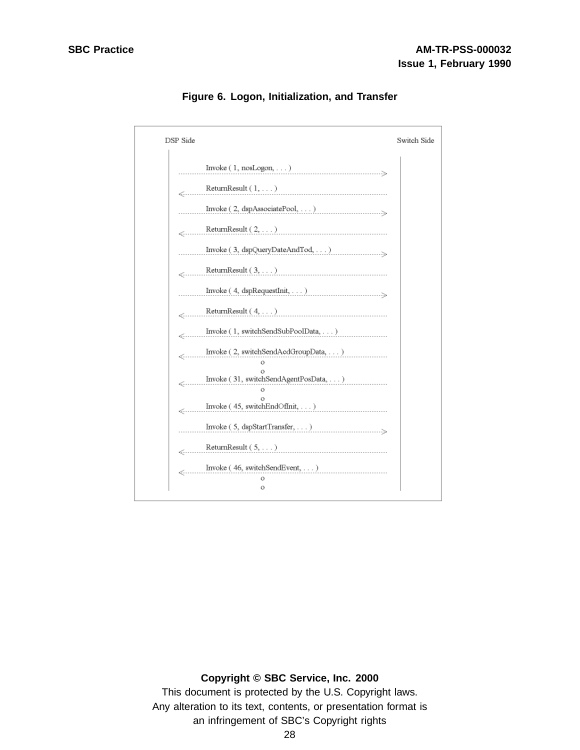

**Figure 6. Logon, Initialization, and Transfer**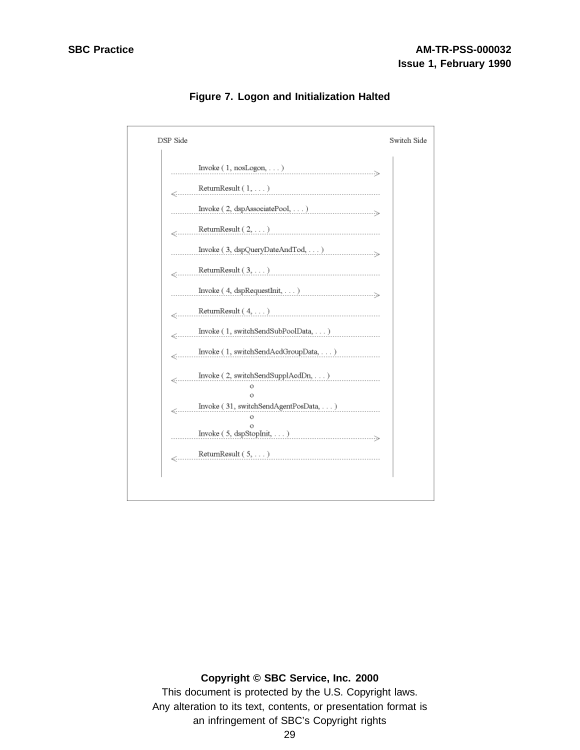| DSP Side                                                                                                                                                                                                                                                         | Switch Side |
|------------------------------------------------------------------------------------------------------------------------------------------------------------------------------------------------------------------------------------------------------------------|-------------|
| $\text{ Invoke } (\hspace{1mm} 1, \hspace{1mm} \text{nosLogon}, \dots)$                                                                                                                                                                                          |             |
| Return<br>Result $(1,\dots)$                                                                                                                                                                                                                                     |             |
| $\text{Invoke}\left(\text{ }2,\text{ }{\text{dsp}A}\text{ssociatePool},\dots\right)$                                                                                                                                                                             |             |
| ${\bf ReturnResult}\left( {\left. {2, \ldots } \right)} \right)$                                                                                                                                                                                                 |             |
| $\label{thm:1} {\rm Invoke}\;(\;3,\;\mathrm{dspQueryDateAndTot},\dots) \;.\;.\;.$                                                                                                                                                                                |             |
| ${\bf ReturnResult}\;(\; {\bf 3},\ \ldots\;)\;$                                                                                                                                                                                                                  |             |
|                                                                                                                                                                                                                                                                  |             |
| ${\bf ReturnResult}\left(\ 4,\ \ldots\ \right)$                                                                                                                                                                                                                  |             |
| Invoke (1, switchSendSubPoolData, )                                                                                                                                                                                                                              |             |
| Invoke (1, switchSendAcdGroupData,  )                                                                                                                                                                                                                            |             |
| Invoke (2, switchSendSupplAcdDn, )<br>$\ll$<br>$\Omega$                                                                                                                                                                                                          |             |
| Invoke (31, switchSendAgentPosData, )<br>$\ll$<br>о                                                                                                                                                                                                              |             |
| $\text{ Invoke } (\ 5, \ \text{dspStopInit}, \ \ldots)$                                                                                                                                                                                                          |             |
| $\label{eq:relaxation} \begin{minipage}[c]{0.9\linewidth} \label{eq:relaxation} \begin{minipage}[c]{0.9\linewidth} \normalsize \begin{minipage}[c]{0.9\linewidth} \normalsize \text{ReturnResult (5,)} \normalsize \end{minipage} \end{minipage} \end{minipage}$ |             |

**Figure 7. Logon and Initialization Halted**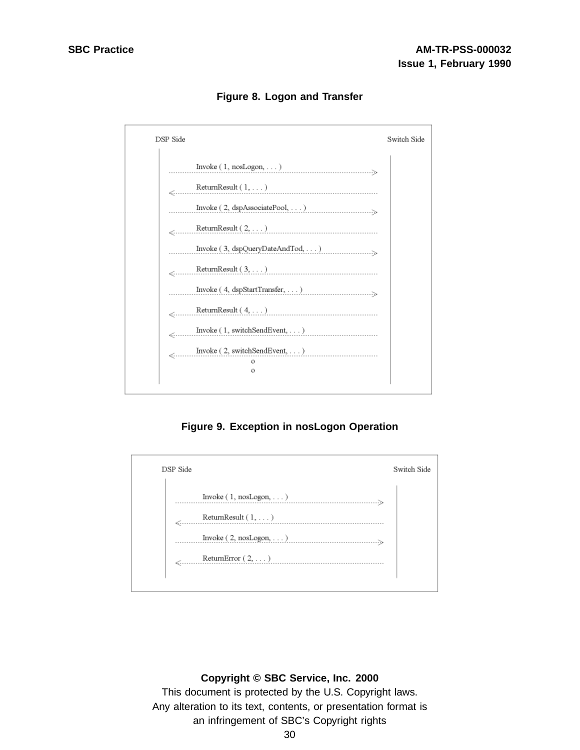

**Figure 8. Logon and Transfer**

**Figure 9. Exception in nosLogon Operation**

| DSP Side                                                                                                                                                                                                                                                                                                                                                                                                                                                                                                                                                                             | Switch Side |
|--------------------------------------------------------------------------------------------------------------------------------------------------------------------------------------------------------------------------------------------------------------------------------------------------------------------------------------------------------------------------------------------------------------------------------------------------------------------------------------------------------------------------------------------------------------------------------------|-------------|
| Invoke $(1, \text{nosLogon}, \dots)$<br>$\substack{\text{ReturnResult}\,( \,1,\,\dots\,) }$<br>$\text{ Invoke }(\text{ 2, nosLogon}, \dots) \text{ \textit{ \textbf{1}} \textit{ \textbf{2}} \textit{ \textbf{3}} \textit{ \textbf{4}} \textit{ \textbf{5}} \textit{ \textbf{6}} \textit{ \textbf{7}} \textit{ \textbf{8}} \textit{ \textbf{9}} \textit{ \textbf{1}} \textit{ \textbf{1}} \textit{ \textbf{1}} \textit{ \textbf{1}} \textit{ \textbf{1}} \textit{ \textbf{1}} \textit{ \textbf{1}} \textit{ \textbf{1}} \textit{ \textbf{1}} \textit{ \textbf{1}} \textit{ \textbf{$ |             |
| ${\rm ReturnError}\; (\; 2, \, \dots)$                                                                                                                                                                                                                                                                                                                                                                                                                                                                                                                                               |             |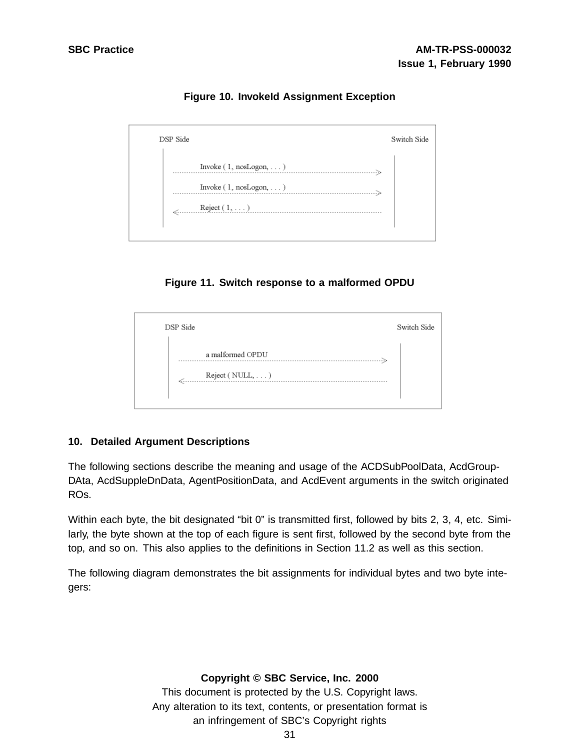| DSP Side                                                           | Switch Side |
|--------------------------------------------------------------------|-------------|
| Invoke $(1, \text{nosLogon}, \dots)$<br>Invoke (1, nosLogon, )<br> |             |
| $\longleftarrow \text{Reject} \left(1, \ldots \right)$             |             |

**Figure 10. InvokeId Assignment Exception**

**Figure 11. Switch response to a malformed OPDU**

| DSP Side                                           | Switch Side |
|----------------------------------------------------|-------------|
| a malformed OPDU<br>Reject (NULL, )<br>$\epsilon'$ |             |

#### **10. Detailed Argument Descriptions**

The following sections describe the meaning and usage of the ACDSubPoolData, AcdGroup-DAta, AcdSuppleDnData, AgentPositionData, and AcdEvent arguments in the switch originated ROs.

Within each byte, the bit designated "bit 0" is transmitted first, followed by bits 2, 3, 4, etc. Similarly, the byte shown at the top of each figure is sent first, followed by the second byte from the top, and so on. This also applies to the definitions in Section 11.2 as well as this section.

The following diagram demonstrates the bit assignments for individual bytes and two byte integers:

#### **Copyright © SBC Service, Inc. 2000**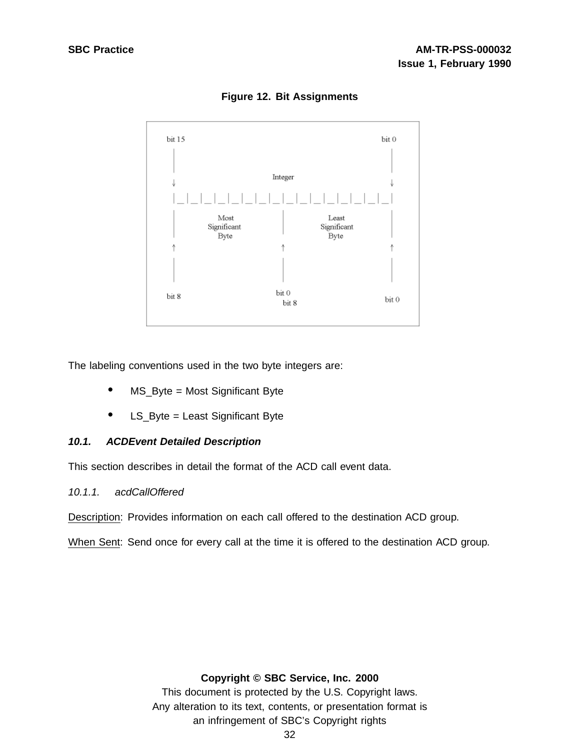

**Figure 12. Bit Assignments**

The labeling conventions used in the two byte integers are:

- MS\_Byte = Most Significant Byte
- LS\_Byte = Least Significant Byte

#### **10.1. ACDEvent Detailed Description**

This section describes in detail the format of the ACD call event data.

#### 10.1.1. acdCallOffered

Description: Provides information on each call offered to the destination ACD group.

When Sent: Send once for every call at the time it is offered to the destination ACD group.

#### **Copyright © SBC Service, Inc. 2000**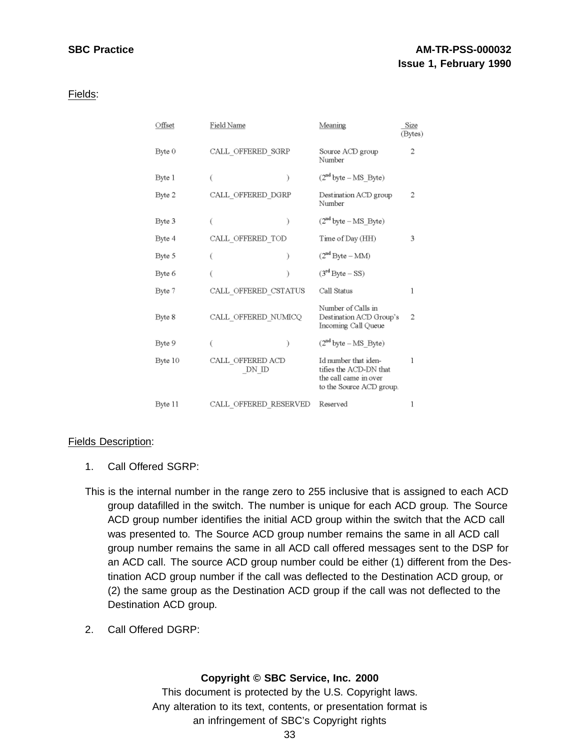Fields:

| Offset  | Field Name                | Meaning                                                                                             | Size<br>(Bytes) |
|---------|---------------------------|-----------------------------------------------------------------------------------------------------|-----------------|
| Byte 0  | CALL OFFERED SGRP         | Source ACD group<br>Number                                                                          |                 |
| Byte 1  | €                         | $(2nd byte - MS_Byte)$                                                                              |                 |
| Byte 2  | CALL OFFERED DGRP         | Destination ACD group<br>Number                                                                     | 2               |
| Byte 3  |                           | $(2nd byte - MS_Byte)$                                                                              |                 |
| Byte 4  | CALL OFFERED TOD          | Time of Day (HH)                                                                                    | 3               |
| Byte 5  |                           | $(2nd Byte - MM)$                                                                                   |                 |
| Byte 6  |                           | $(3rd Byte - SS)$                                                                                   |                 |
| Byte 7  | CALL OFFERED CSTATUS      | Call Status                                                                                         | 1               |
| Byte 8  | CALL OFFERED NUMICQ       | Number of Calls in<br>Destination ACD Group's<br>Incoming Call Queue                                | 2               |
| Byte 9  |                           | $(2nd byte - MS)$ Byte)                                                                             |                 |
| Byte 10 | CALL OFFERED ACD<br>DN ID | Id number that iden-<br>tifies the ACD-DN that<br>the call came in over<br>to the Source ACD group. | 1               |
| Byte 11 | CALL OFFERED RESERVED     | Reserved                                                                                            |                 |

## Fields Description:

- 1. Call Offered SGRP:
- This is the internal number in the range zero to 255 inclusive that is assigned to each ACD group datafilled in the switch. The number is unique for each ACD group. The Source ACD group number identifies the initial ACD group within the switch that the ACD call was presented to. The Source ACD group number remains the same in all ACD call group number remains the same in all ACD call offered messages sent to the DSP for an ACD call. The source ACD group number could be either (1) different from the Destination ACD group number if the call was deflected to the Destination ACD group, or (2) the same group as the Destination ACD group if the call was not deflected to the Destination ACD group.
- 2. Call Offered DGRP:

# **Copyright © SBC Service, Inc. 2000**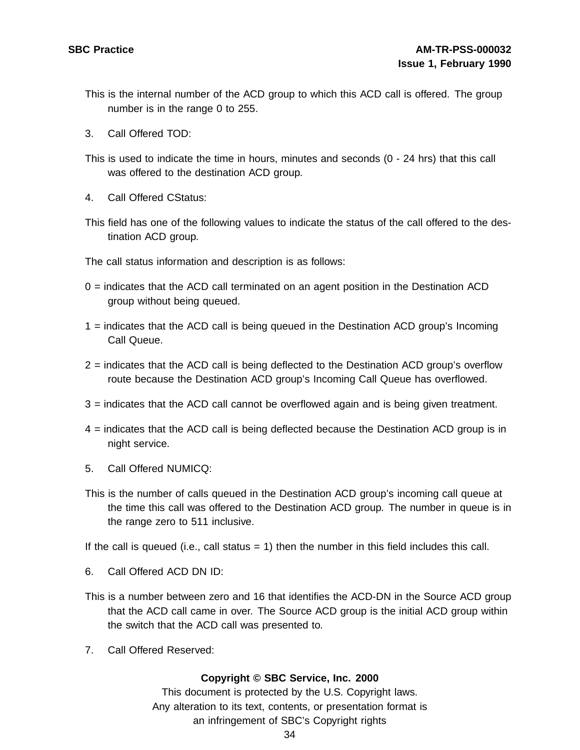- This is the internal number of the ACD group to which this ACD call is offered. The group number is in the range 0 to 255.
- 3. Call Offered TOD:
- This is used to indicate the time in hours, minutes and seconds (0 24 hrs) that this call was offered to the destination ACD group.
- 4. Call Offered CStatus:
- This field has one of the following values to indicate the status of the call offered to the destination ACD group.

The call status information and description is as follows:

- $0 =$  indicates that the ACD call terminated on an agent position in the Destination ACD group without being queued.
- 1 = indicates that the ACD call is being queued in the Destination ACD group's Incoming Call Queue.
- 2 = indicates that the ACD call is being deflected to the Destination ACD group's overflow route because the Destination ACD group's Incoming Call Queue has overflowed.
- 3 = indicates that the ACD call cannot be overflowed again and is being given treatment.
- 4 = indicates that the ACD call is being deflected because the Destination ACD group is in night service.
- 5. Call Offered NUMICQ:
- This is the number of calls queued in the Destination ACD group's incoming call queue at the time this call was offered to the Destination ACD group. The number in queue is in the range zero to 511 inclusive.

If the call is queued (i.e., call status  $= 1$ ) then the number in this field includes this call.

- 6. Call Offered ACD DN ID:
- This is a number between zero and 16 that identifies the ACD-DN in the Source ACD group that the ACD call came in over. The Source ACD group is the initial ACD group within the switch that the ACD call was presented to.
- 7. Call Offered Reserved:

## **Copyright © SBC Service, Inc. 2000**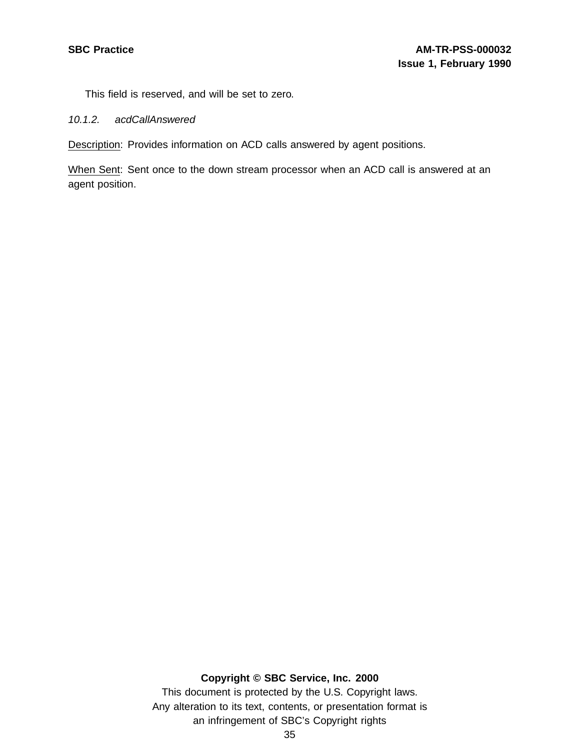This field is reserved, and will be set to zero.

10.1.2. acdCallAnswered

Description: Provides information on ACD calls answered by agent positions.

When Sent: Sent once to the down stream processor when an ACD call is answered at an agent position.

## **Copyright © SBC Service, Inc. 2000**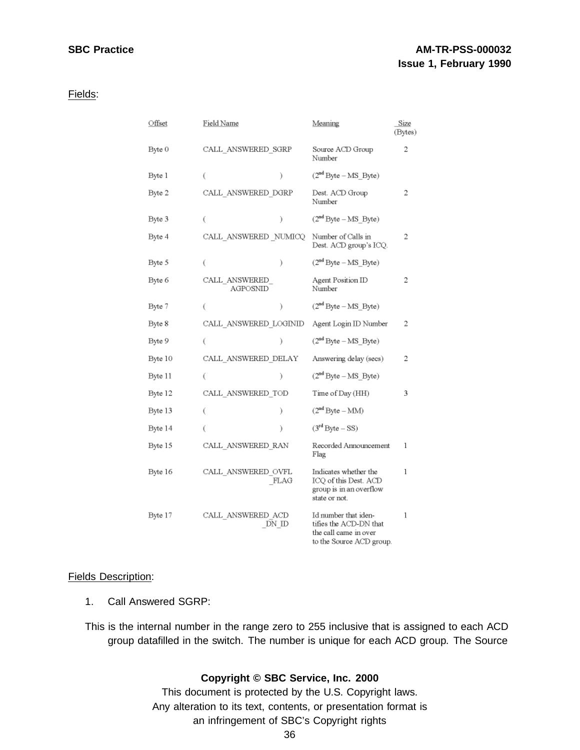# **SBC Practice AM-TR-PSS-000032 Issue 1, February 1990**

#### Fields:

| Offset  | Field Name                |       | Meaning                                                                                             | Size<br>(Bytes) |
|---------|---------------------------|-------|-----------------------------------------------------------------------------------------------------|-----------------|
| Byte 0  | CALL ANSWERED SGRP        |       | Source ACD Group<br>Number                                                                          | 2               |
| Byte 1  | €                         | λ     | $(2nd Byte - MS_Byte)$                                                                              |                 |
| Byte 2  | CALL ANSWERED DGRP        |       | Dest. ACD Group<br>Number                                                                           | 2               |
| Byte 3  | €                         | €     | $(2nd Byte - MS Byte)$                                                                              |                 |
| Byte 4  | CALL ANSWERED NUMICQ      |       | Number of Calls in<br>Dest. ACD group's ICQ.                                                        | 2               |
| Byte 5  | C                         | ì     | $(2nd Byte - MS Byte)$                                                                              |                 |
| Byte 6  | CALL ANSWERED<br>AGPOSNID |       | Agent Position ID<br>Number                                                                         | 2               |
| Byte 7  | €                         | ì     | $(2nd Byte - MS_Byte)$                                                                              |                 |
| Byte 8  | CALL ANSWERED LOGINID     |       | Agent Login ID Number                                                                               | 2               |
| Byte 9  | Ć                         | λ     | $(2nd Byte - MS_Byte)$                                                                              |                 |
| Byte 10 | CALL ANSWERED DELAY       |       | Answering delay (secs)                                                                              | 2               |
| Byte 11 | €                         | ).    | $(2nd Byte - MS Byte)$                                                                              |                 |
| Byte 12 | CALL ANSWERED TOD         |       | Time of Day (HH)                                                                                    | 3               |
| Byte 13 | €                         | ì.    | $(2nd Byte - MM)$                                                                                   |                 |
| Byte 14 | €                         | ì.    | $(3rd Byte - SS)$                                                                                   |                 |
| Byte 15 | CALL ANSWERED RAN         |       | Recorded Announcement<br>Flag                                                                       | 1               |
| Byte 16 | CALL ANSWERED OVFL        | FLAG  | Indicates whether the<br>ICQ of this Dest. ACD<br>group is in an overflow<br>state or not.          | 1               |
| Byte 17 | CALL_ANSWERED_ACD         | DN ID | Id number that iden-<br>tifies the ACD-DN that<br>the call came in over<br>to the Source ACD group. | 1               |

## Fields Description:

1. Call Answered SGRP:

This is the internal number in the range zero to 255 inclusive that is assigned to each ACD group datafilled in the switch. The number is unique for each ACD group. The Source

## **Copyright © SBC Service, Inc. 2000**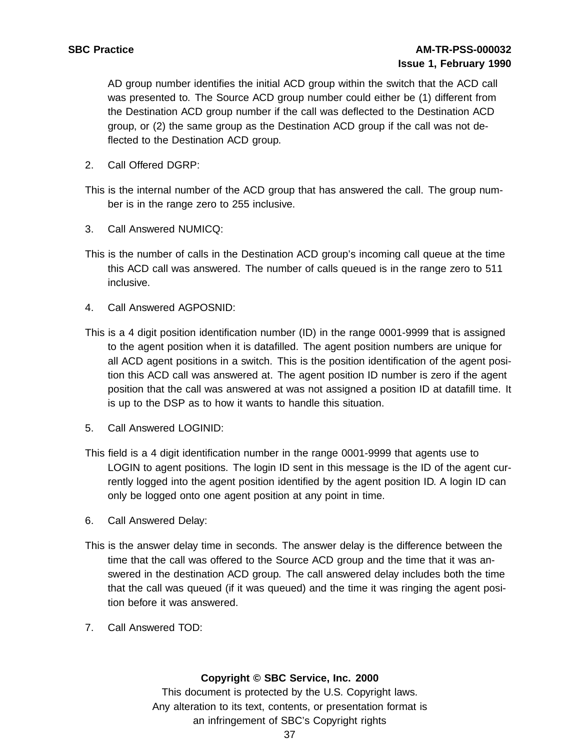AD group number identifies the initial ACD group within the switch that the ACD call was presented to. The Source ACD group number could either be (1) different from the Destination ACD group number if the call was deflected to the Destination ACD group, or (2) the same group as the Destination ACD group if the call was not deflected to the Destination ACD group.

2. Call Offered DGRP:

This is the internal number of the ACD group that has answered the call. The group number is in the range zero to 255 inclusive.

- 3. Call Answered NUMICQ:
- This is the number of calls in the Destination ACD group's incoming call queue at the time this ACD call was answered. The number of calls queued is in the range zero to 511 inclusive.
- 4. Call Answered AGPOSNID:
- This is a 4 digit position identification number (ID) in the range 0001-9999 that is assigned to the agent position when it is datafilled. The agent position numbers are unique for all ACD agent positions in a switch. This is the position identification of the agent position this ACD call was answered at. The agent position ID number is zero if the agent position that the call was answered at was not assigned a position ID at datafill time. It is up to the DSP as to how it wants to handle this situation.
- 5. Call Answered LOGINID:
- This field is a 4 digit identification number in the range 0001-9999 that agents use to LOGIN to agent positions. The login ID sent in this message is the ID of the agent currently logged into the agent position identified by the agent position ID. A login ID can only be logged onto one agent position at any point in time.
- 6. Call Answered Delay:
- This is the answer delay time in seconds. The answer delay is the difference between the time that the call was offered to the Source ACD group and the time that it was answered in the destination ACD group. The call answered delay includes both the time that the call was queued (if it was queued) and the time it was ringing the agent position before it was answered.
- 7. Call Answered TOD:

## **Copyright © SBC Service, Inc. 2000**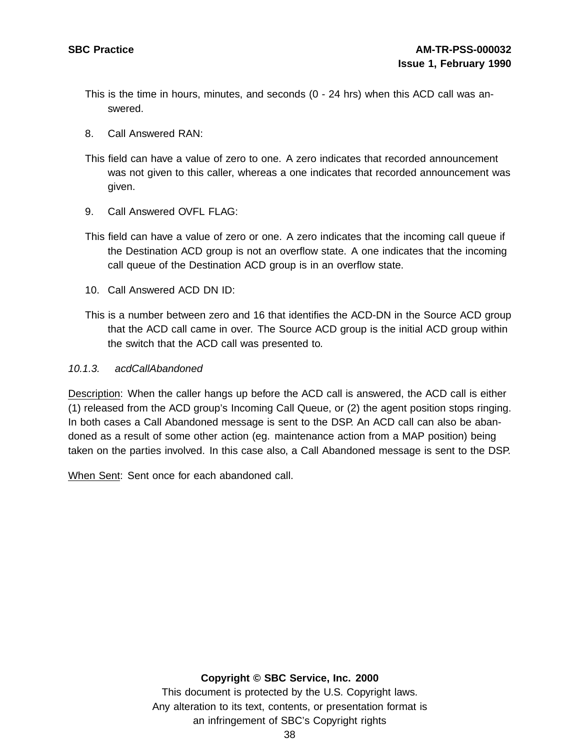- This is the time in hours, minutes, and seconds (0 24 hrs) when this ACD call was answered.
- 8. Call Answered RAN:
- This field can have a value of zero to one. A zero indicates that recorded announcement was not given to this caller, whereas a one indicates that recorded announcement was given.
- 9. Call Answered OVFL FLAG:
- This field can have a value of zero or one. A zero indicates that the incoming call queue if the Destination ACD group is not an overflow state. A one indicates that the incoming call queue of the Destination ACD group is in an overflow state.
- 10. Call Answered ACD DN ID:
- This is a number between zero and 16 that identifies the ACD-DN in the Source ACD group that the ACD call came in over. The Source ACD group is the initial ACD group within the switch that the ACD call was presented to.

## 10.1.3. acdCallAbandoned

Description: When the caller hangs up before the ACD call is answered, the ACD call is either (1) released from the ACD group's Incoming Call Queue, or (2) the agent position stops ringing. In both cases a Call Abandoned message is sent to the DSP. An ACD call can also be abandoned as a result of some other action (eg. maintenance action from a MAP position) being taken on the parties involved. In this case also, a Call Abandoned message is sent to the DSP.

When Sent: Sent once for each abandoned call.

## **Copyright © SBC Service, Inc. 2000**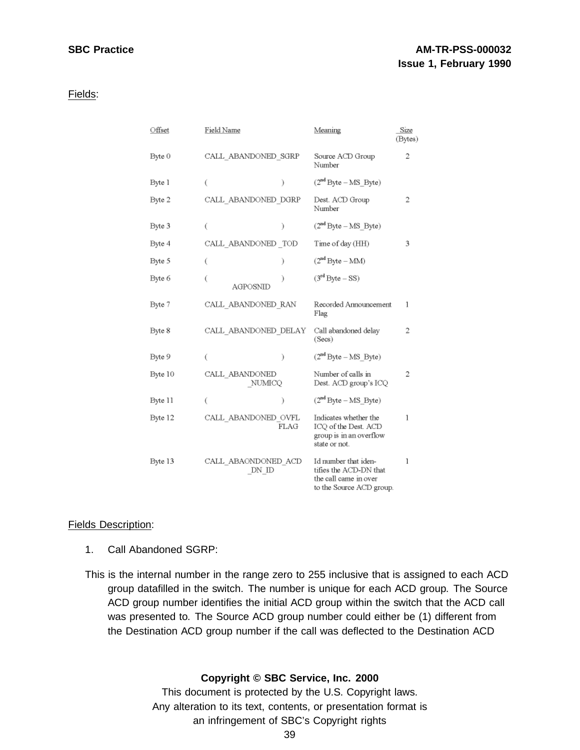# **SBC Practice AM-TR-PSS-000032 Issue 1, February 1990**

Fields:

| Offset  | Field Name                   |      | Meaning                                                                                             | Size<br>(Bytes) |
|---------|------------------------------|------|-----------------------------------------------------------------------------------------------------|-----------------|
| Byte 0  | CALL ABANDONED SGRP          |      | Source ACD Group<br>Number                                                                          | 2               |
| Byte 1  | €                            | ì    | $(2nd Byte - MS_Byte)$                                                                              |                 |
| Byte 2  | CALL ABANDONED DGRP          |      | Dest. ACD Group<br>Number                                                                           | 2               |
| Byte 3  | €                            | €    | $(2nd Byte - MS Byte)$                                                                              |                 |
| Byte 4  | CALL ABANDONED TOD           |      | Time of day (HH)                                                                                    | 3               |
| Byte 5  | €                            | Ι    | $(2nd Byte - MM)$                                                                                   |                 |
| Byte 6  | €<br>AGPOSNID                |      | $(3rd Byte - SS)$                                                                                   |                 |
| Byte 7  | CALL ABANDONED RAN           |      | Recorded Announcement<br>Flag                                                                       | 1               |
| Byte 8  | CALL ABANDONED DELAY         |      | Call abandoned delay<br>(Secs)                                                                      | 2               |
| Byte 9  | €                            | ì    | $(2nd Byte - MS Byte)$                                                                              |                 |
| Byte 10 | CALL ABANDONED<br>NUMICQ     |      | Number of calls in<br>Dest. ACD group's ICQ                                                         | 2               |
| Byte 11 | €                            | Ι    | $(2nd Byte - MS Byte)$                                                                              |                 |
| Byte 12 | CALL ABANDONED OVFL          | FLAG | Indicates whether the<br>ICQ of the Dest. ACD<br>group is in an overflow<br>state or not.           | 1               |
| Byte 13 | CALL_ABAONDONED_ACD<br>DN ID |      | Id number that iden-<br>tifies the ACD-DN that<br>the call came in over<br>to the Source ACD group. | 1               |

## Fields Description:

- 1. Call Abandoned SGRP:
- This is the internal number in the range zero to 255 inclusive that is assigned to each ACD group datafilled in the switch. The number is unique for each ACD group. The Source ACD group number identifies the initial ACD group within the switch that the ACD call was presented to. The Source ACD group number could either be (1) different from the Destination ACD group number if the call was deflected to the Destination ACD

## **Copyright © SBC Service, Inc. 2000**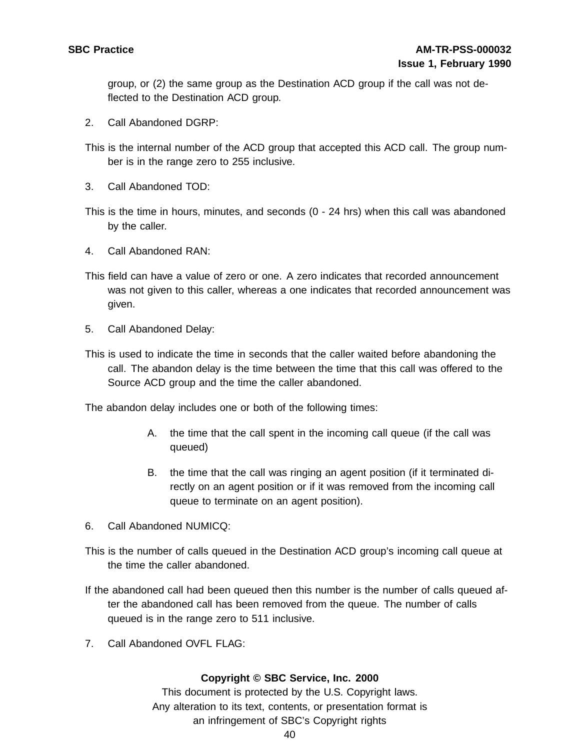group, or (2) the same group as the Destination ACD group if the call was not deflected to the Destination ACD group.

2. Call Abandoned DGRP:

This is the internal number of the ACD group that accepted this ACD call. The group number is in the range zero to 255 inclusive.

3. Call Abandoned TOD:

This is the time in hours, minutes, and seconds (0 - 24 hrs) when this call was abandoned by the caller.

- 4. Call Abandoned RAN:
- This field can have a value of zero or one. A zero indicates that recorded announcement was not given to this caller, whereas a one indicates that recorded announcement was given.
- 5. Call Abandoned Delay:
- This is used to indicate the time in seconds that the caller waited before abandoning the call. The abandon delay is the time between the time that this call was offered to the Source ACD group and the time the caller abandoned.

The abandon delay includes one or both of the following times:

- A. the time that the call spent in the incoming call queue (if the call was queued)
- B. the time that the call was ringing an agent position (if it terminated directly on an agent position or if it was removed from the incoming call queue to terminate on an agent position).
- 6. Call Abandoned NUMICQ:
- This is the number of calls queued in the Destination ACD group's incoming call queue at the time the caller abandoned.
- If the abandoned call had been queued then this number is the number of calls queued after the abandoned call has been removed from the queue. The number of calls queued is in the range zero to 511 inclusive.
- 7. Call Abandoned OVFL FLAG:

## **Copyright © SBC Service, Inc. 2000**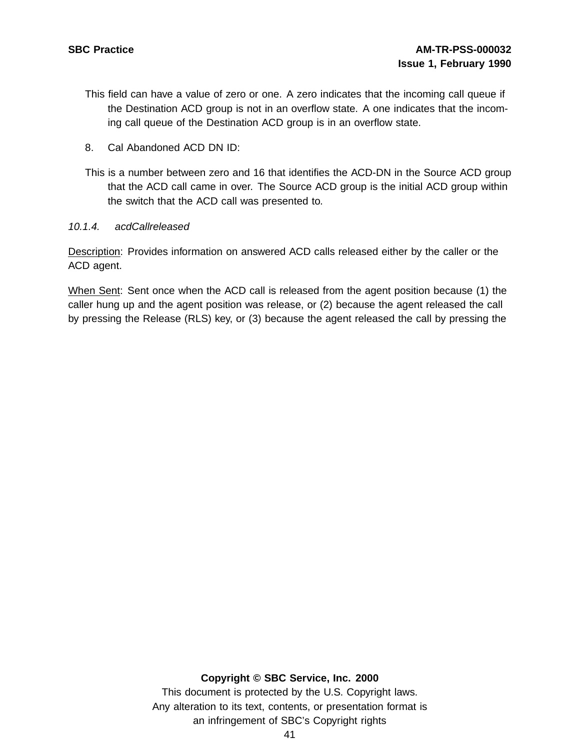- This field can have a value of zero or one. A zero indicates that the incoming call queue if the Destination ACD group is not in an overflow state. A one indicates that the incoming call queue of the Destination ACD group is in an overflow state.
- 8. Cal Abandoned ACD DN ID:
- This is a number between zero and 16 that identifies the ACD-DN in the Source ACD group that the ACD call came in over. The Source ACD group is the initial ACD group within the switch that the ACD call was presented to.
- 10.1.4. acdCallreleased

Description: Provides information on answered ACD calls released either by the caller or the ACD agent.

When Sent: Sent once when the ACD call is released from the agent position because (1) the caller hung up and the agent position was release, or (2) because the agent released the call by pressing the Release (RLS) key, or (3) because the agent released the call by pressing the

## **Copyright © SBC Service, Inc. 2000**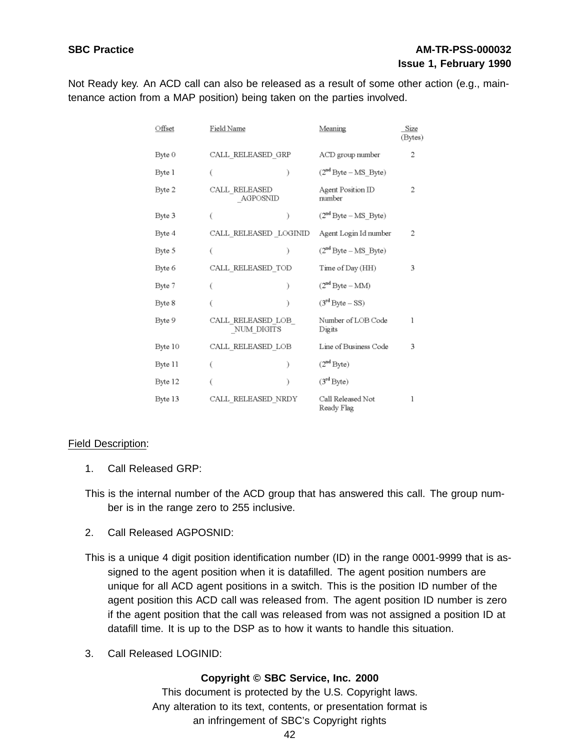# **SBC Practice AM-TR-PSS-000032 Issue 1, February 1990**

Not Ready key. An ACD call can also be released as a result of some other action (e.g., maintenance action from a MAP position) being taken on the parties involved.

| Offset  | Field Name                      | Meaning                         | Size<br>(Bytes) |
|---------|---------------------------------|---------------------------------|-----------------|
| Byte 0  | CALL RELEASED GRP               | ACD group number                | 2               |
| Byte 1  | €                               | $(2nd Byte - MS Byte)$          |                 |
| Byte 2  | CALL RELEASED<br>AGPOSNID       | Agent Position ID<br>number     | 2               |
| Byte 3  | )                               | $(2nd Byte - MS Byte)$          |                 |
| Byte 4  | CALL_RELEASED _LOGINID          | Agent Login Id number           | 2               |
| Byte 5  | €<br>€                          | $(2nd Byte - MS Byte)$          |                 |
| Byte 6  | CALL RELEASED TOD               | Time of Day (HH)                | 3               |
| Byte 7  | Ì                               | $(2nd Byte - MM)$               |                 |
| Byte 8  | ì                               | $(3rd Byte - SS)$               |                 |
| Byte 9  | CALL RELEASED LOB<br>NUM DIGITS | Number of LOB Code<br>Digits    | 1               |
| Byte 10 | CALL RELEASED LOB               | Line of Business Code           | 3               |
| Byte 11 |                                 | (2 <sup>nd</sup> Byte)          |                 |
| Byte 12 | λ                               | (3 <sup>rd</sup> Byte)          |                 |
| Byte 13 | CALL RELEASED NRDY              | Call Released Not<br>Ready Flag | 1               |

## Field Description:

- 1. Call Released GRP:
- This is the internal number of the ACD group that has answered this call. The group number is in the range zero to 255 inclusive.
- 2. Call Released AGPOSNID:
- This is a unique 4 digit position identification number (ID) in the range 0001-9999 that is assigned to the agent position when it is datafilled. The agent position numbers are unique for all ACD agent positions in a switch. This is the position ID number of the agent position this ACD call was released from. The agent position ID number is zero if the agent position that the call was released from was not assigned a position ID at datafill time. It is up to the DSP as to how it wants to handle this situation.
- 3. Call Released LOGINID:

## **Copyright © SBC Service, Inc. 2000**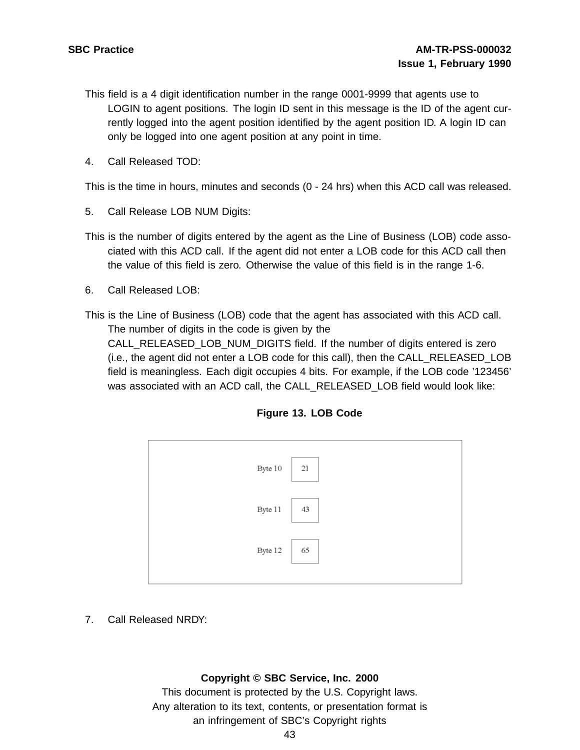- This field is a 4 digit identification number in the range 0001-9999 that agents use to LOGIN to agent positions. The login ID sent in this message is the ID of the agent currently logged into the agent position identified by the agent position ID. A login ID can only be logged into one agent position at any point in time.
- 4. Call Released TOD:

This is the time in hours, minutes and seconds (0 - 24 hrs) when this ACD call was released.

- 5. Call Release LOB NUM Digits:
- This is the number of digits entered by the agent as the Line of Business (LOB) code associated with this ACD call. If the agent did not enter a LOB code for this ACD call then the value of this field is zero. Otherwise the value of this field is in the range 1-6.
- 6. Call Released LOB:
- This is the Line of Business (LOB) code that the agent has associated with this ACD call. The number of digits in the code is given by the CALL\_RELEASED\_LOB\_NUM\_DIGITS field. If the number of digits entered is zero (i.e., the agent did not enter a LOB code for this call), then the CALL\_RELEASED\_LOB field is meaningless. Each digit occupies 4 bits. For example, if the LOB code '123456' was associated with an ACD call, the CALL\_RELEASED\_LOB field would look like:

| Liguie 19. LOD Code |  |
|---------------------|--|
| Byte 10 21          |  |
|                     |  |

43

65

Byte 11

Byte 12

**Figure 13. LOB Code**

7. Call Released NRDY:

## **Copyright © SBC Service, Inc. 2000**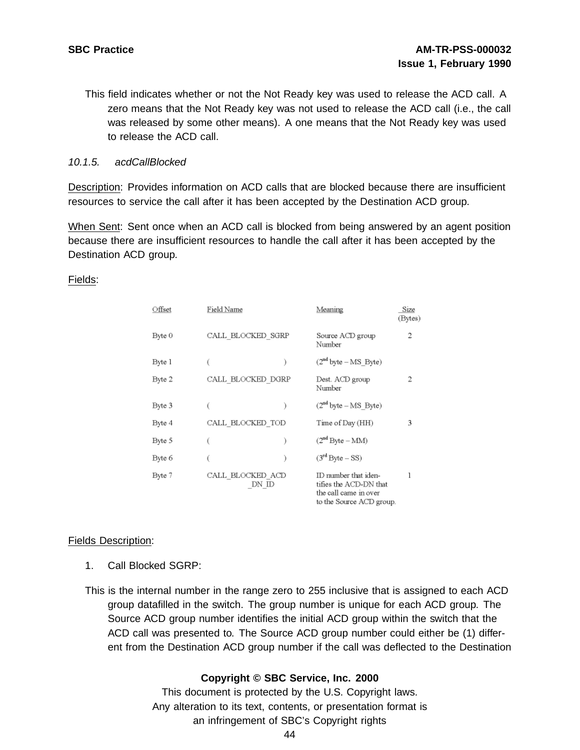This field indicates whether or not the Not Ready key was used to release the ACD call. A zero means that the Not Ready key was not used to release the ACD call (i.e., the call was released by some other means). A one means that the Not Ready key was used to release the ACD call.

## 10.1.5. acdCallBlocked

Description: Provides information on ACD calls that are blocked because there are insufficient resources to service the call after it has been accepted by the Destination ACD group.

When Sent: Sent once when an ACD call is blocked from being answered by an agent position because there are insufficient resources to handle the call after it has been accepted by the Destination ACD group.

## Fields:

| Offset | Field Name                | Meaning                                                                                             | Size<br>(Bytes) |
|--------|---------------------------|-----------------------------------------------------------------------------------------------------|-----------------|
| Byte 0 | CALL BLOCKED SGRP         | Source ACD group<br>Number                                                                          | 2               |
| Byte 1 |                           | $(2nd byte - MS]$ Byte)                                                                             |                 |
| Byte 2 | CALL BLOCKED DGRP         | Dest. ACD group<br>Number                                                                           | 2               |
| Byte 3 | €                         | $(2nd byte - MS]$ Byte)                                                                             |                 |
| Byte 4 | CALL BLOCKED TOD          | Time of Day (HH)                                                                                    | 3               |
| Byte 5 |                           | $(2nd Byte - MM)$                                                                                   |                 |
| Byte 6 | €                         | $(3rd Byte - SS)$                                                                                   |                 |
| Byte 7 | CALL BLOCKED ACD<br>DN ID | ID number that iden-<br>tifies the ACD-DN that<br>the call came in over<br>to the Source ACD group. |                 |

## Fields Description:

- 1. Call Blocked SGRP:
- This is the internal number in the range zero to 255 inclusive that is assigned to each ACD group datafilled in the switch. The group number is unique for each ACD group. The Source ACD group number identifies the initial ACD group within the switch that the ACD call was presented to. The Source ACD group number could either be (1) different from the Destination ACD group number if the call was deflected to the Destination

## **Copyright © SBC Service, Inc. 2000**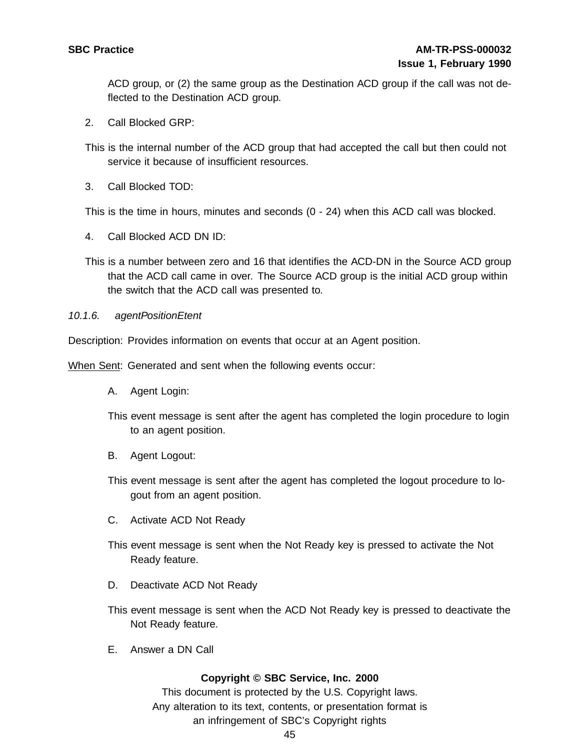ACD group, or (2) the same group as the Destination ACD group if the call was not deflected to the Destination ACD group.

2. Call Blocked GRP:

This is the internal number of the ACD group that had accepted the call but then could not service it because of insufficient resources.

3. Call Blocked TOD:

This is the time in hours, minutes and seconds (0 - 24) when this ACD call was blocked.

- 4. Call Blocked ACD DN ID:
- This is a number between zero and 16 that identifies the ACD-DN in the Source ACD group that the ACD call came in over. The Source ACD group is the initial ACD group within the switch that the ACD call was presented to.
- 10.1.6. agentPositionEtent

Description: Provides information on events that occur at an Agent position.

When Sent: Generated and sent when the following events occur:

- A. Agent Login:
- This event message is sent after the agent has completed the login procedure to login to an agent position.
- B. Agent Logout:
- This event message is sent after the agent has completed the logout procedure to logout from an agent position.
- C. Activate ACD Not Ready
- This event message is sent when the Not Ready key is pressed to activate the Not Ready feature.
- D. Deactivate ACD Not Ready
- This event message is sent when the ACD Not Ready key is pressed to deactivate the Not Ready feature.
- E. Answer a DN Call

## **Copyright © SBC Service, Inc. 2000**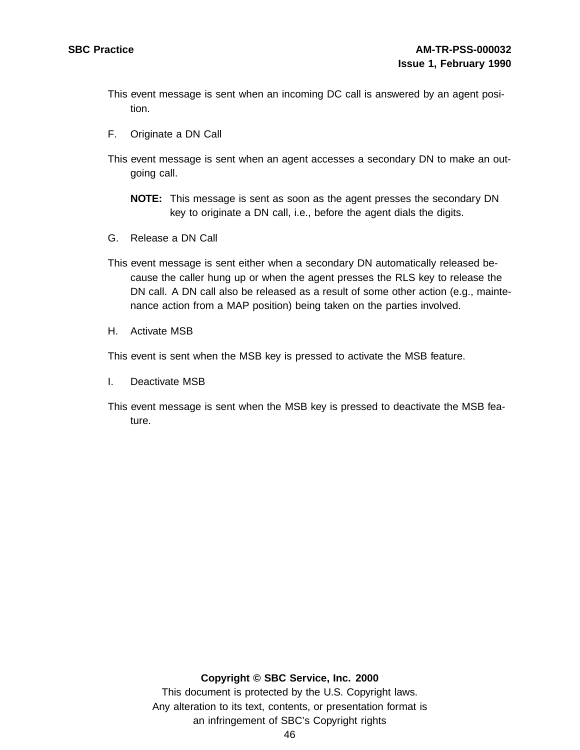- This event message is sent when an incoming DC call is answered by an agent position.
- F. Originate a DN Call
- This event message is sent when an agent accesses a secondary DN to make an outgoing call.
	- **NOTE:** This message is sent as soon as the agent presses the secondary DN key to originate a DN call, i.e., before the agent dials the digits.
- G. Release a DN Call
- This event message is sent either when a secondary DN automatically released because the caller hung up or when the agent presses the RLS key to release the DN call. A DN call also be released as a result of some other action (e.g., maintenance action from a MAP position) being taken on the parties involved.
- H. Activate MSB

This event is sent when the MSB key is pressed to activate the MSB feature.

- I. Deactivate MSB
- This event message is sent when the MSB key is pressed to deactivate the MSB feature.

## **Copyright © SBC Service, Inc. 2000**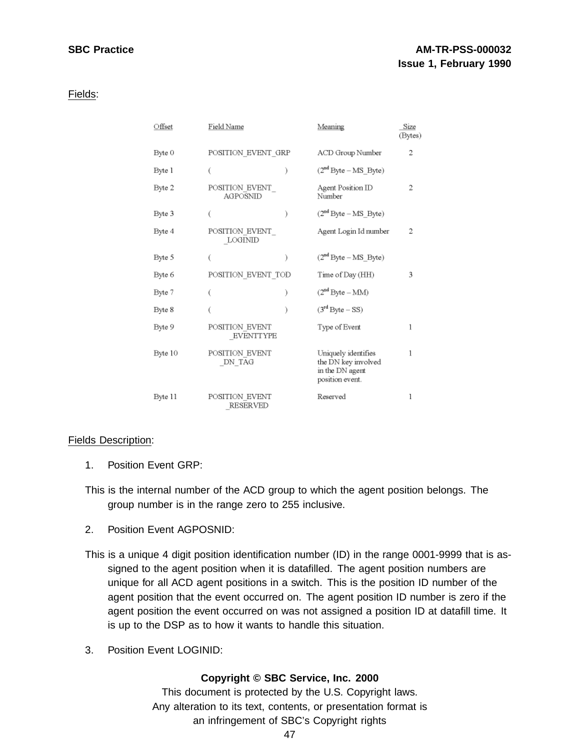# **SBC Practice AM-TR-PSS-000032 Issue 1, February 1990**

## Fields:

| Offset  | Field Name                        |   | Meaning                                                                          | Size<br>(Bytes) |
|---------|-----------------------------------|---|----------------------------------------------------------------------------------|-----------------|
| Byte 0  | POSITION EVENT GRP                |   | ACD Group Number                                                                 | 2               |
| Byte 1  |                                   |   | $(2nd Byte - MS_Byte)$                                                           |                 |
| Byte 2  | POSITION EVENT<br>AGPOSNID        |   | Agent Position ID<br>Number                                                      | 2               |
| Byte 3  |                                   | € | $(2nd Byte - MS Byte)$                                                           |                 |
| Byte 4  | POSITION EVENT<br>LOGINID         |   | Agent Login Id number                                                            | 2               |
| Byte 5  |                                   |   | $(2nd Byte - MS_Byte)$                                                           |                 |
| Byte 6  | POSITION EVENT TOD                |   | Time of Day (HH)                                                                 | 3               |
| Byte 7  |                                   | € | $(2nd Byte - MM)$                                                                |                 |
| Byte 8  |                                   |   | $(3rd Byte - SS)$                                                                |                 |
| Byte 9  | POSITION EVENT<br>EVENTTYPE       |   | Type of Event                                                                    | 1               |
| Byte 10 | POSITION_EVENT<br>DN TAG          |   | Uniquely identifies<br>the DN key involved<br>in the DN agent<br>position event. | 1               |
| Byte 11 | POSITION EVENT<br><b>RESERVED</b> |   | Reserved                                                                         | 1               |

## Fields Description:

- 1. Position Event GRP:
- This is the internal number of the ACD group to which the agent position belongs. The group number is in the range zero to 255 inclusive.
- 2. Position Event AGPOSNID:

This is a unique 4 digit position identification number (ID) in the range 0001-9999 that is assigned to the agent position when it is datafilled. The agent position numbers are unique for all ACD agent positions in a switch. This is the position ID number of the agent position that the event occurred on. The agent position ID number is zero if the agent position the event occurred on was not assigned a position ID at datafill time. It is up to the DSP as to how it wants to handle this situation.

3. Position Event LOGINID:

## **Copyright © SBC Service, Inc. 2000**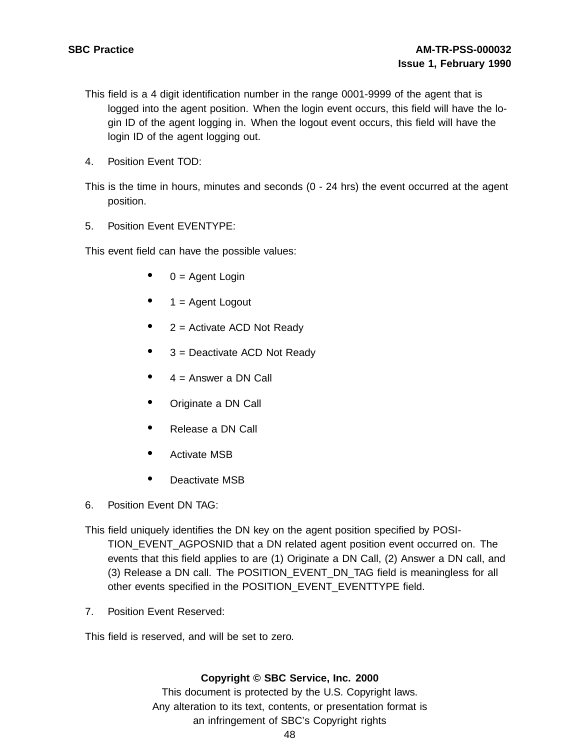- This field is a 4 digit identification number in the range 0001-9999 of the agent that is logged into the agent position. When the login event occurs, this field will have the login ID of the agent logging in. When the logout event occurs, this field will have the login ID of the agent logging out.
- 4. Position Event TOD:

This is the time in hours, minutes and seconds (0 - 24 hrs) the event occurred at the agent position.

5. Position Event EVENTYPE:

This event field can have the possible values:

- $0 =$  Agent Login
- $1 =$  Agent Logout
- $2 =$  Activate ACD Not Ready
- <sup>3</sup> <sup>=</sup> Deactivate ACD Not Ready
- $4$  = Answer a DN Call
- Originate <sup>a</sup> DN Call
- Release <sup>a</sup> DN Call
- Activate MSB
- Deactivate MSB
- 6. Position Event DN TAG:
- This field uniquely identifies the DN key on the agent position specified by POSI-TION\_EVENT\_AGPOSNID that a DN related agent position event occurred on. The events that this field applies to are (1) Originate a DN Call, (2) Answer a DN call, and (3) Release a DN call. The POSITION\_EVENT\_DN\_TAG field is meaningless for all other events specified in the POSITION\_EVENT\_EVENTTYPE field.
- 7. Position Event Reserved:

This field is reserved, and will be set to zero.

## **Copyright © SBC Service, Inc. 2000**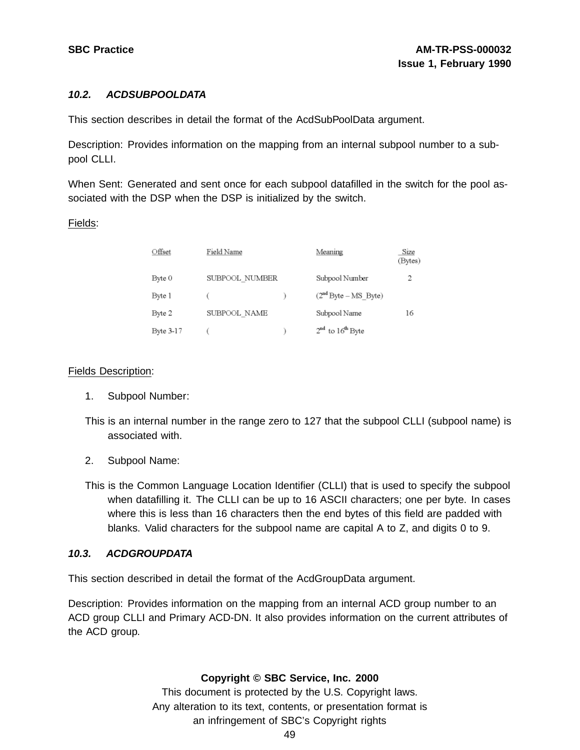# **10.2. ACDSUBPOOLDATA**

This section describes in detail the format of the AcdSubPoolData argument.

Description: Provides information on the mapping from an internal subpool number to a subpool CLLI.

When Sent: Generated and sent once for each subpool datafilled in the switch for the pool associated with the DSP when the DSP is initialized by the switch.

## Fields:

| Offset    | Field Name     | Meaning                | Size<br>(Bytes) |
|-----------|----------------|------------------------|-----------------|
| Byte 0    | SUBPOOL NUMBER | Subpool Number         |                 |
| Byte 1    |                | $(2nd Byte - MS Byte)$ |                 |
| Byte 2    | SUBPOOL NAME   | Subpool Name           | 16              |
| Byte 3-17 |                | $2nd$ to $16th$ Byte   |                 |

# Fields Description:

- 1. Subpool Number:
- This is an internal number in the range zero to 127 that the subpool CLLI (subpool name) is associated with.
- 2. Subpool Name:
- This is the Common Language Location Identifier (CLLI) that is used to specify the subpool when datafilling it. The CLLI can be up to 16 ASCII characters; one per byte. In cases where this is less than 16 characters then the end bytes of this field are padded with blanks. Valid characters for the subpool name are capital A to Z, and digits 0 to 9.

# **10.3. ACDGROUPDATA**

This section described in detail the format of the AcdGroupData argument.

Description: Provides information on the mapping from an internal ACD group number to an ACD group CLLI and Primary ACD-DN. It also provides information on the current attributes of the ACD group.

# **Copyright © SBC Service, Inc. 2000**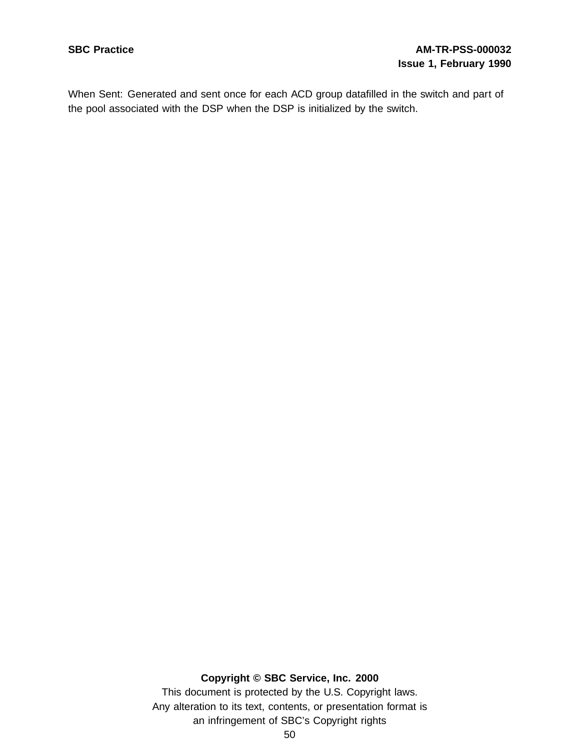# **SBC Practice AM-TR-PSS-000032 Issue 1, February 1990**

When Sent: Generated and sent once for each ACD group datafilled in the switch and part of the pool associated with the DSP when the DSP is initialized by the switch.

## **Copyright © SBC Service, Inc. 2000**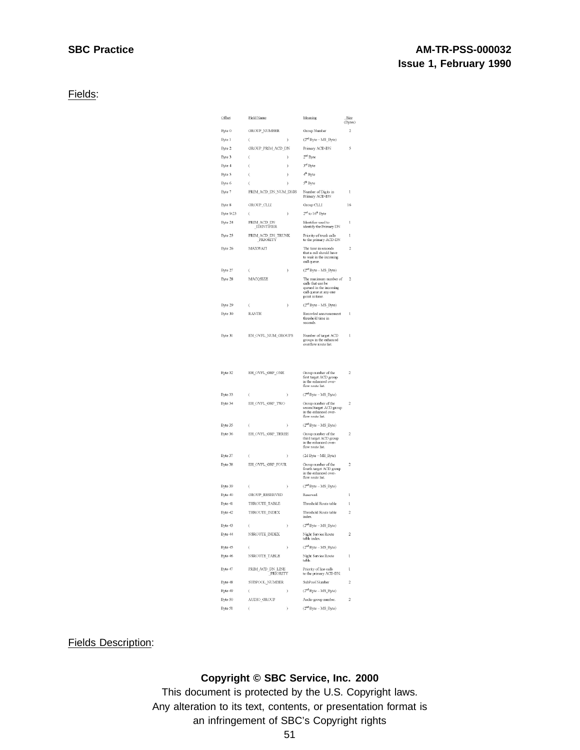# **SBC Practice AM-TR-PSS-000032 Issue 1, February 1990**

Fields:

| Offset    | Field Name                               |               | Meaning                                                                                                         | Size<br>(Bytes)         |
|-----------|------------------------------------------|---------------|-----------------------------------------------------------------------------------------------------------------|-------------------------|
| Byte 0    | <b>GROUP_NUMBER</b>                      |               | Group Number                                                                                                    | $\overline{\mathbf{c}}$ |
| Byte 1    | $\overline{(\ }$                         | $\big)$       | $(2nd Byte - MS_Byte)$                                                                                          |                         |
| Byte 2    | GROUP_PRIM_ACD_DN                        |               | Primary ACD-DN                                                                                                  | 5                       |
| Byte 3    | ί                                        | $\big)$       | 2 <sup>nd</sup> Byte                                                                                            |                         |
| Byte 4    | (                                        | ١             | 3rd Byte                                                                                                        |                         |
| Byte 5    | ί                                        | ١             | 4 <sup>th</sup> Byte                                                                                            |                         |
| Byte 6    | (                                        | )             | 5 <sup>th</sup> Byte                                                                                            |                         |
| Byte 7    | PRIM_ACD_DN_NUM_DIGS                     |               | Number of Digits in<br>Primary ACD-DN                                                                           | 1                       |
| Byte 8    | GROUP CLLI                               |               | Group CLLI                                                                                                      | 16                      |
| Byte 9-23 | (                                        | $\lambda$     | 2 <sup>nd</sup> to 16 <sup>th</sup> Byte                                                                        |                         |
| Byte 24   | ACD DN<br>PRIM<br><b>IDENTIFIER</b>      |               | Identifier used to<br>identify the Primary DN                                                                   | ı                       |
| Byte 25   | <b>PRIM</b><br>ACD_DN_TRUNK<br>_PRIORITY |               | Priority of trunk calls<br>to the primary ACD-DN                                                                | ī                       |
| Byte 26   | <b>MAXWAIT</b>                           |               | The time in seconds<br>that a call should have<br>to wait in the incoming<br>call queue.                        | ,                       |
| Byte 27   | ί                                        | ١             | $(2nd Byte - MS_Byte)$                                                                                          |                         |
| Byte 28   | <b>MACOSIZE</b>                          |               | The maximum number of<br>calls that can be<br>queued in the incoming<br>call queue at any one<br>point in time. | $\overline{2}$          |
| Byte 29   |                                          | )             | $(2^{\rm nd}$ Byte -- MS_Byte)                                                                                  |                         |
| Byte 30   | RANTH                                    |               | Recorded announcement<br>threshold time in<br>seconds.                                                          | 1                       |
| Byte 31   | EN OVFL NUM GROUPS                       |               | Number of target ACD<br>groups in the enhanced<br>overflow route list.                                          | l                       |
| Byte 32   | EH OVFL GRP ONE                          |               | Group number of the<br>first target ACD group<br>in the enhanced over-<br>flow route list.                      | $\overline{c}$          |
| Byte 33   | ί                                        | )             | $(2^{nd}$ Byte -- $MS\_Byte$                                                                                    |                         |
| Byte 34   | EH_OVFL_GRP_TWO                          |               | Group number of the<br>second target ACD group<br>in the enhanced over-<br>flow route list.                     | $\overline{c}$          |
| Byte 35   | (                                        | 1             | $(2nd Byte - MS Byte)$                                                                                          |                         |
| Byte 36   | EH_OVFL_GRP_THREE                        |               | Group number of the<br>third target ACD group<br>in the enhanced over-<br>flow route list.                      | 2                       |
| Byte 37   | (                                        | )             | (2d Byte - MS_Byte)                                                                                             |                         |
| Byte 38   | EH_OVFL_GRP_FOUR                         |               | Group number of the<br>fourth target ACD group<br>in the enhanced over-<br>flow route list.                     | $\overline{c}$          |
| Byte 39   | ί                                        | ĭ             | $(2nd Byte - MS Byte)$                                                                                          |                         |
| Byte 40   | <b>GROUP RESERVED</b>                    |               | Reserved.                                                                                                       | ï                       |
| Byte 41   | THROUTE_TABLE                            |               | Threshold Route table                                                                                           | 1                       |
| Byte 42   | THROUTE_INDEX                            |               | Threshold Route table<br>index.                                                                                 | $\overline{c}$          |
| Byte 43   | $\overline{\phantom{a}}$                 | I             | $(2nd Byte - MS_Byte)$                                                                                          |                         |
| Byte 44   | NSROUTE INDEX                            |               | Night Service Route<br>table index.                                                                             | 2                       |
| Byte 45   | (                                        | $\mathfrak z$ | $(2nd Byte - MS_Byte)$                                                                                          |                         |
| Byte 46   | NSROUTE TABLE                            |               | Night Service Route<br>table.                                                                                   | 1                       |
| Byte 47   | PRIM_ACD_DN_LINE<br>_PRIORITY            |               | Priority of line calls<br>to the primary ACD-DN.                                                                | 1                       |
| Byte 48   | SUBPOOL_NUMBER                           |               | SubPool Number                                                                                                  | $\overline{c}$          |
| Byte 49   | (                                        | $\lambda$     | $(2nd Byte - MS_Byte)$                                                                                          |                         |
| Byte 50   | AUDIO_GROUP                              |               | Audio group number.                                                                                             | $\overline{\mathbf{c}}$ |
| Byte 51   | Í                                        | ì             | $(2nd Byte - MS Byte)$                                                                                          |                         |

Fields Description:

# **Copyright © SBC Service, Inc. 2000**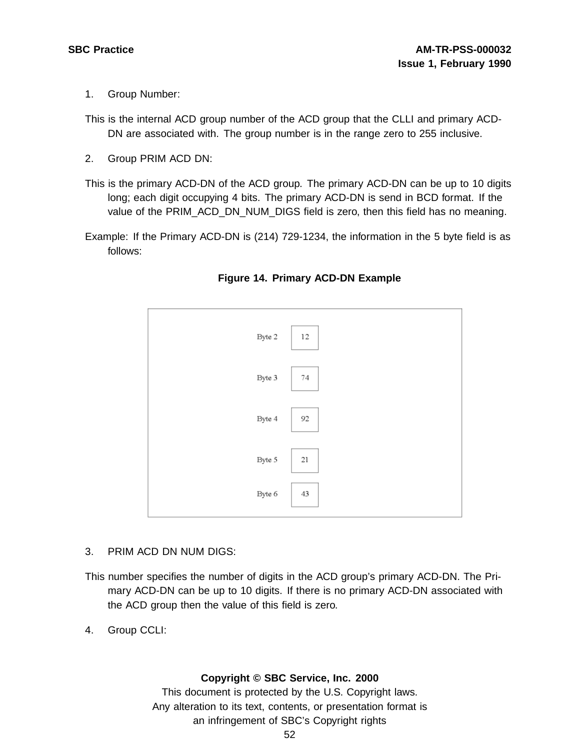- 1. Group Number:
- This is the internal ACD group number of the ACD group that the CLLI and primary ACD-DN are associated with. The group number is in the range zero to 255 inclusive.
- 2. Group PRIM ACD DN:
- This is the primary ACD-DN of the ACD group. The primary ACD-DN can be up to 10 digits long; each digit occupying 4 bits. The primary ACD-DN is send in BCD format. If the value of the PRIM\_ACD\_DN\_NUM\_DIGS field is zero, then this field has no meaning.
- Example: If the Primary ACD-DN is (214) 729-1234, the information in the 5 byte field is as follows:



## **Figure 14. Primary ACD-DN Example**

- 3. PRIM ACD DN NUM DIGS:
- This number specifies the number of digits in the ACD group's primary ACD-DN. The Primary ACD-DN can be up to 10 digits. If there is no primary ACD-DN associated with the ACD group then the value of this field is zero.
- 4. Group CCLI:

## **Copyright © SBC Service, Inc. 2000**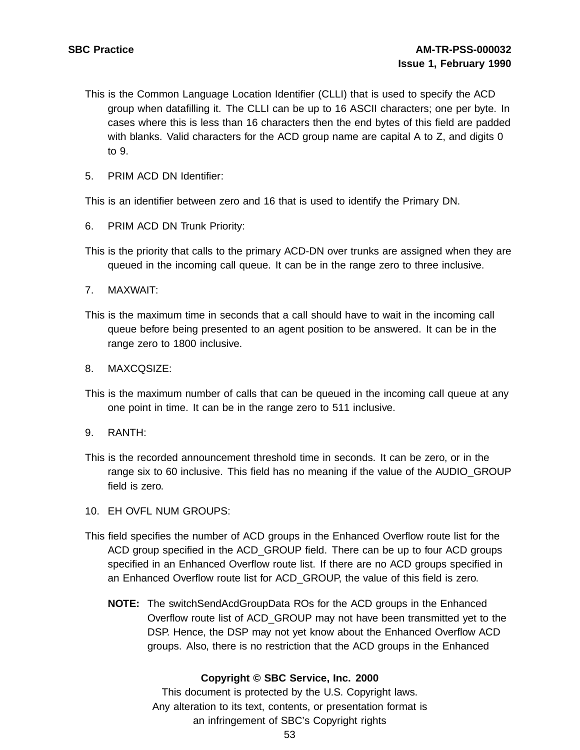- This is the Common Language Location Identifier (CLLI) that is used to specify the ACD group when datafilling it. The CLLI can be up to 16 ASCII characters; one per byte. In cases where this is less than 16 characters then the end bytes of this field are padded with blanks. Valid characters for the ACD group name are capital A to Z, and digits 0 to 9.
- 5. PRIM ACD DN Identifier:

This is an identifier between zero and 16 that is used to identify the Primary DN.

- 6. PRIM ACD DN Trunk Priority:
- This is the priority that calls to the primary ACD-DN over trunks are assigned when they are queued in the incoming call queue. It can be in the range zero to three inclusive.
- 7. MAXWAIT:
- This is the maximum time in seconds that a call should have to wait in the incoming call queue before being presented to an agent position to be answered. It can be in the range zero to 1800 inclusive.
- 8. MAXCQSIZE:
- This is the maximum number of calls that can be queued in the incoming call queue at any one point in time. It can be in the range zero to 511 inclusive.
- 9. RANTH:
- This is the recorded announcement threshold time in seconds. It can be zero, or in the range six to 60 inclusive. This field has no meaning if the value of the AUDIO GROUP field is zero.
- 10. EH OVFL NUM GROUPS:
- This field specifies the number of ACD groups in the Enhanced Overflow route list for the ACD group specified in the ACD\_GROUP field. There can be up to four ACD groups specified in an Enhanced Overflow route list. If there are no ACD groups specified in an Enhanced Overflow route list for ACD\_GROUP, the value of this field is zero.
	- **NOTE:** The switchSendAcdGroupData ROs for the ACD groups in the Enhanced Overflow route list of ACD\_GROUP may not have been transmitted yet to the DSP. Hence, the DSP may not yet know about the Enhanced Overflow ACD groups. Also, there is no restriction that the ACD groups in the Enhanced

## **Copyright © SBC Service, Inc. 2000**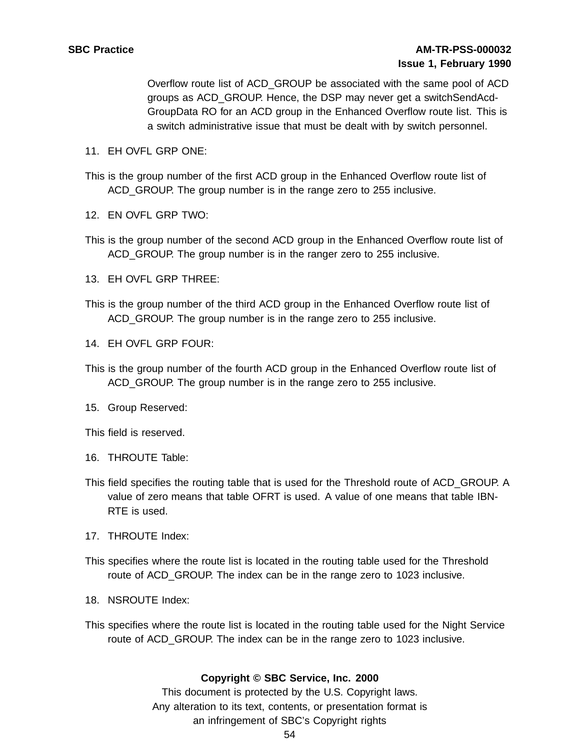Overflow route list of ACD\_GROUP be associated with the same pool of ACD groups as ACD\_GROUP. Hence, the DSP may never get a switchSendAcd-GroupData RO for an ACD group in the Enhanced Overflow route list. This is a switch administrative issue that must be dealt with by switch personnel.

- 11. EH OVFL GRP ONE:
- This is the group number of the first ACD group in the Enhanced Overflow route list of ACD\_GROUP. The group number is in the range zero to 255 inclusive.
- 12. EN OVFL GRP TWO:
- This is the group number of the second ACD group in the Enhanced Overflow route list of ACD\_GROUP. The group number is in the ranger zero to 255 inclusive.
- 13. EH OVFL GRP THREE:
- This is the group number of the third ACD group in the Enhanced Overflow route list of ACD\_GROUP. The group number is in the range zero to 255 inclusive.
- 14. EH OVFL GRP FOUR:
- This is the group number of the fourth ACD group in the Enhanced Overflow route list of ACD GROUP. The group number is in the range zero to 255 inclusive.
- 15. Group Reserved:

This field is reserved.

- 16. THROUTE Table:
- This field specifies the routing table that is used for the Threshold route of ACD\_GROUP. A value of zero means that table OFRT is used. A value of one means that table IBN-RTE is used.
- 17. THROUTE Index:
- This specifies where the route list is located in the routing table used for the Threshold route of ACD\_GROUP. The index can be in the range zero to 1023 inclusive.
- 18. NSROUTE Index:
- This specifies where the route list is located in the routing table used for the Night Service route of ACD GROUP. The index can be in the range zero to 1023 inclusive.

## **Copyright © SBC Service, Inc. 2000**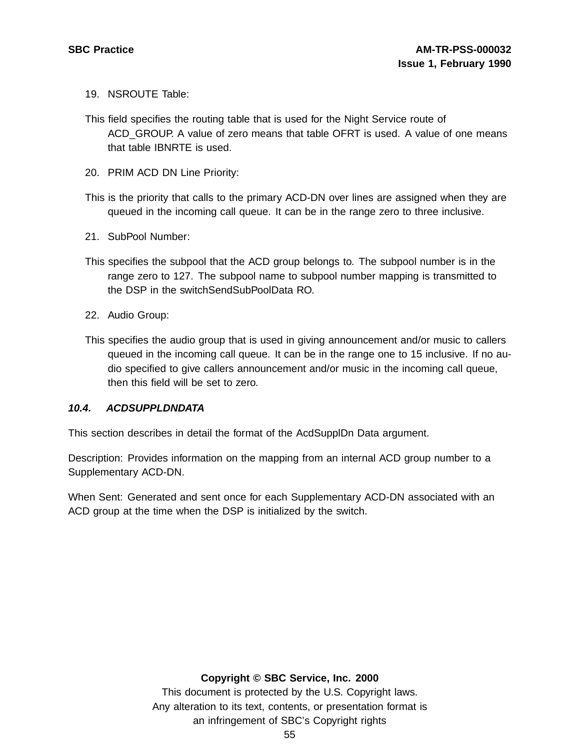- 19. NSROUTE Table:
- This field specifies the routing table that is used for the Night Service route of ACD\_GROUP. A value of zero means that table OFRT is used. A value of one means that table IBNRTE is used.
- 20. PRIM ACD DN Line Priority:
- This is the priority that calls to the primary ACD-DN over lines are assigned when they are queued in the incoming call queue. It can be in the range zero to three inclusive.
- 21. SubPool Number:
- This specifies the subpool that the ACD group belongs to. The subpool number is in the range zero to 127. The subpool name to subpool number mapping is transmitted to the DSP in the switchSendSubPoolData RO.
- 22. Audio Group:
- This specifies the audio group that is used in giving announcement and/or music to callers queued in the incoming call queue. It can be in the range one to 15 inclusive. If no audio specified to give callers announcement and/or music in the incoming call queue, then this field will be set to zero.

## **10.4. ACDSUPPLDNDATA**

This section describes in detail the format of the AcdSupplDn Data argument.

Description: Provides information on the mapping from an internal ACD group number to a Supplementary ACD-DN.

When Sent: Generated and sent once for each Supplementary ACD-DN associated with an ACD group at the time when the DSP is initialized by the switch.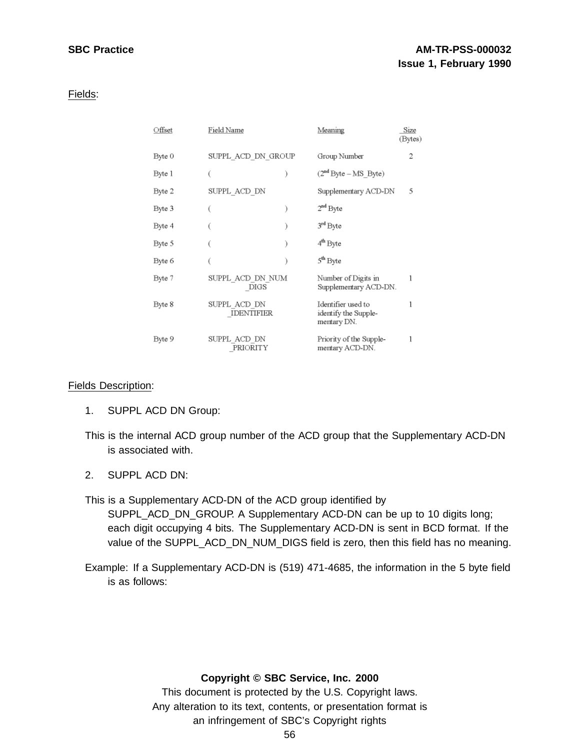Fields:

| Offset | Field Name                        | Meaning                                                   | Size<br>(Bytes) |
|--------|-----------------------------------|-----------------------------------------------------------|-----------------|
| Byte 0 | SUPPL ACD DN GROUP                | Group Number                                              | 2               |
| Byte 1 |                                   | $(2nd Byte - MS Byte)$                                    |                 |
| Byte 2 | SUPPL_ACD_DN                      | Supplementary ACD-DN                                      | 5               |
| Byte 3 |                                   | $2nd$ Byte                                                |                 |
| Byte 4 |                                   | 3rd Byte                                                  |                 |
| Byte 5 |                                   | 4 <sup>th</sup> Byte                                      |                 |
| Byte 6 |                                   | 5 <sup>th</sup> Byte                                      |                 |
| Byte 7 | SUPPL ACD DN NUM<br>DIGS          | Number of Digits in<br>Supplementary ACD-DN.              |                 |
| Byte 8 | SUPPL_ACD_DN<br><b>IDENTIFIER</b> | Identifier used to<br>identify the Supple-<br>mentary DN. |                 |
| Byte 9 | SUPPL ACD DN<br>PRIORITY          | Priority of the Supple-<br>mentary ACD-DN.                |                 |

## Fields Description:

- 1. SUPPL ACD DN Group:
- This is the internal ACD group number of the ACD group that the Supplementary ACD-DN is associated with.
- 2. SUPPL ACD DN:

This is a Supplementary ACD-DN of the ACD group identified by SUPPL\_ACD\_DN\_GROUP. A Supplementary ACD-DN can be up to 10 digits long; each digit occupying 4 bits. The Supplementary ACD-DN is sent in BCD format. If the value of the SUPPL\_ACD\_DN\_NUM\_DIGS field is zero, then this field has no meaning.

Example: If a Supplementary ACD-DN is (519) 471-4685, the information in the 5 byte field is as follows:

## **Copyright © SBC Service, Inc. 2000**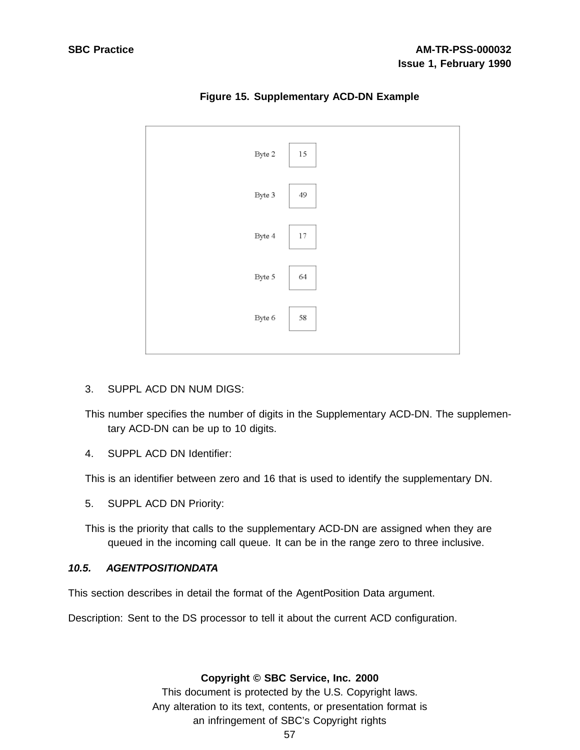

**Figure 15. Supplementary ACD-DN Example**

3. SUPPL ACD DN NUM DIGS:

This number specifies the number of digits in the Supplementary ACD-DN. The supplementary ACD-DN can be up to 10 digits.

4. SUPPL ACD DN Identifier:

This is an identifier between zero and 16 that is used to identify the supplementary DN.

5. SUPPL ACD DN Priority:

This is the priority that calls to the supplementary ACD-DN are assigned when they are queued in the incoming call queue. It can be in the range zero to three inclusive.

## **10.5. AGENTPOSITIONDATA**

This section describes in detail the format of the AgentPosition Data argument.

Description: Sent to the DS processor to tell it about the current ACD configuration.

## **Copyright © SBC Service, Inc. 2000**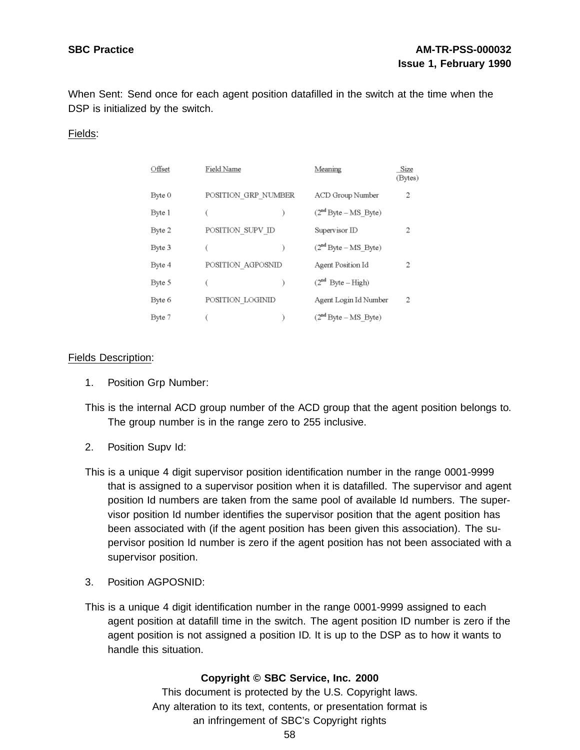When Sent: Send once for each agent position datafilled in the switch at the time when the DSP is initialized by the switch.

## Fields:

| Offset | Field Name          | Meaning                | Size<br>(Bytes) |
|--------|---------------------|------------------------|-----------------|
| Byte 0 | POSITION GRP NUMBER | ACD Group Number       | 2               |
| Byte 1 |                     | $(2nd Byte - MS Byte)$ |                 |
| Byte 2 | POSITION_SUPV_ID    | Supervisor ID          | 2               |
| Byte 3 |                     | $(2nd Bvte - MS Bvte)$ |                 |
| Byte 4 | POSITION AGPOSNID   | Agent Position Id      | 2               |
| Byte 5 |                     | $(2^{nd}$ Byte – High) |                 |
| Byte 6 | POSITION LOGINID    | Agent Login Id Number  | 2               |
| Byte 7 |                     | $(2nd Byte - MS Byte)$ |                 |

## Fields Description:

1. Position Grp Number:

This is the internal ACD group number of the ACD group that the agent position belongs to. The group number is in the range zero to 255 inclusive.

- 2. Position Supv Id:
- This is a unique 4 digit supervisor position identification number in the range 0001-9999 that is assigned to a supervisor position when it is datafilled. The supervisor and agent position Id numbers are taken from the same pool of available Id numbers. The supervisor position Id number identifies the supervisor position that the agent position has been associated with (if the agent position has been given this association). The supervisor position Id number is zero if the agent position has not been associated with a supervisor position.
- 3. Position AGPOSNID:
- This is a unique 4 digit identification number in the range 0001-9999 assigned to each agent position at datafill time in the switch. The agent position ID number is zero if the agent position is not assigned a position ID. It is up to the DSP as to how it wants to handle this situation.

## **Copyright © SBC Service, Inc. 2000**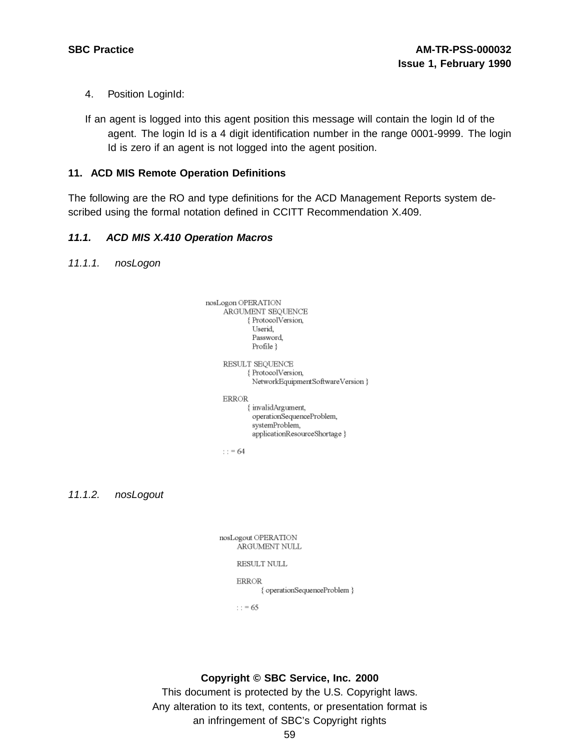- 4. Position LoginId:
- If an agent is logged into this agent position this message will contain the login Id of the agent. The login Id is a 4 digit identification number in the range 0001-9999. The login Id is zero if an agent is not logged into the agent position.

## **11. ACD MIS Remote Operation Definitions**

The following are the RO and type definitions for the ACD Management Reports system described using the formal notation defined in CCITT Recommendation X.409.

# **11.1. ACD MIS X.410 Operation Macros**

11.1.1. nosLogon



11.1.2. nosLogout

| nosLogout OPERATION | ARGUMENT NULL                |
|---------------------|------------------------------|
| RESULT NULL         |                              |
| <b>ERROR</b>        | { operationSequenceProblem } |

 $\therefore$  = 65

## **Copyright © SBC Service, Inc. 2000**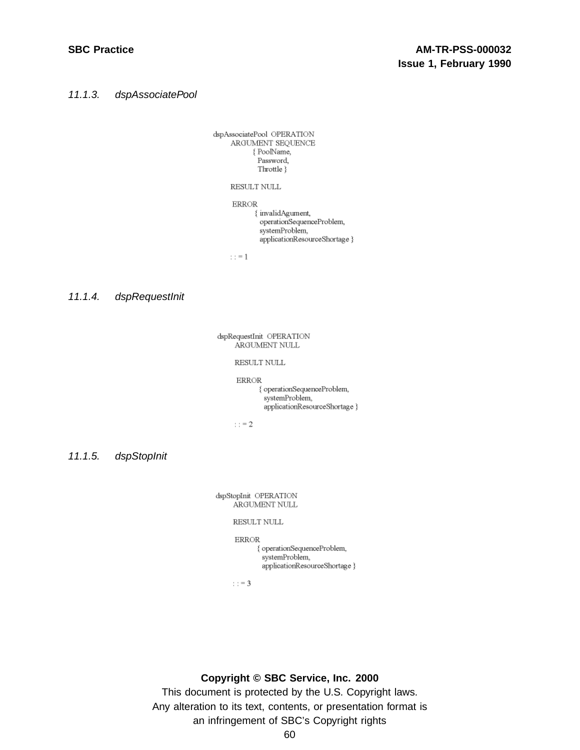11.1.3. dspAssociatePool

dspAssociatePool OPERATION ARGUMENT SEQUENCE { PoolName, Password. Throttle }

RESULT NULL

**ERROR** { invalidAgument, operationSequenceProblem, systemProblem, applicationResourceShortage }

 $: := 1$ 

11.1.4. dspRequestInit

dspRequestInit OPERATION ARGUMENT NULL

RESULT NULL

**ERROR** 

{ operationSequenceProblem, systemProblem, applicationResourceShortage }

: : = 2

11.1.5. dspStopInit

dspStopInit OPERATION ARGUMENT NULL

RESULT NULL

**ERROR** { operationSequenceProblem, systemProblem, applicationResourceShortage }

 $: z = 3$ 

#### **Copyright © SBC Service, Inc. 2000**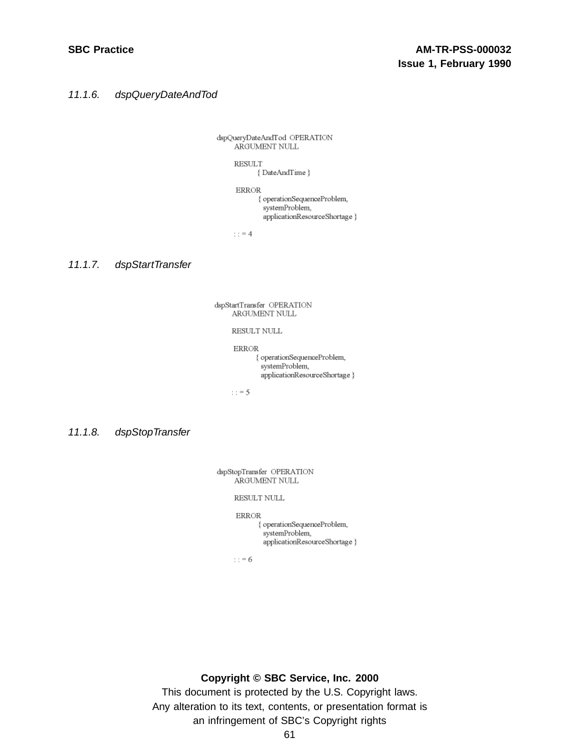11.1.6. dspQueryDateAndTod

dspQueryDateAndTod OPERATION ARGUMENT NULL

> **RESULT** {DateAndTime}

**ERROR** { operationSequenceProblem, systemProblem, applicationResourceShortage }

: :  $\equiv 4$ 

11.1.7. dspStartTransfer

dspStartTransfer OPERATION ARGUMENT NULL

RESULT NULL

**ERROR** { operationSequenceProblem, systemProblem, applicationResourceShortage }

 $: z = 5$ 

11.1.8. dspStopTransfer

dspStopTransfer OPERATION ARGUMENT NULL

RESULT NULL

**ERROR** 

{ operationSequenceProblem, systemProblem. applicationResourceShortage }

 $: 5 = 6$ 

#### **Copyright © SBC Service, Inc. 2000**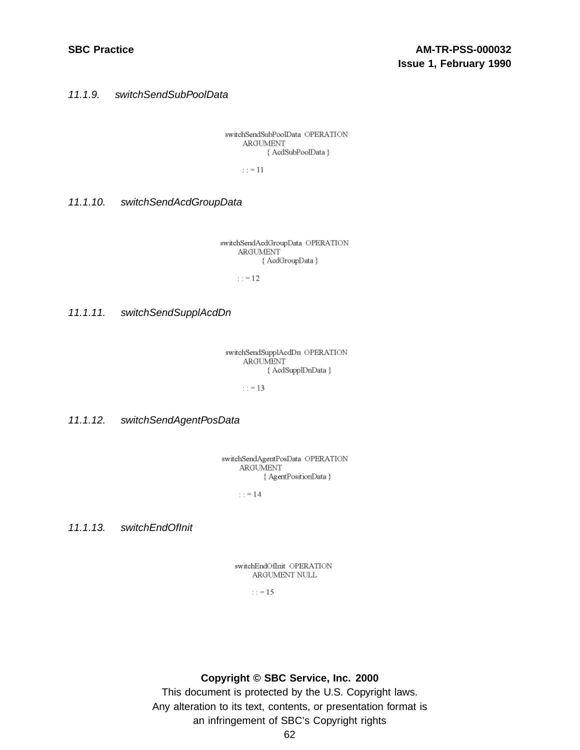11.1.9. switchSendSubPoolData

switchSendSubPoolData OPERATION ARGUMENT { AcdSubPoolData }

 $: := 11$ 

11.1.10. switchSendAcdGroupData

switchSendAcdGroupData OPERATION ARGUMENT { AcdGroupData }

 $: := 12$ 

11.1.11. switchSendSupplAcdDn

switchSendSupplAcdDn OPERATION ARGUMENT { AcdSupplDnData }

 $: z = 13$ 

11.1.12. switchSendAgentPosData

switchSendAgentPosData OPERATION ARGUMENT { AgentPositionData }

 $: z = 14$ 

11.1.13. switchEndOfInit

switchEndOfInit\_OPERATION ARGUMENT NULL

 $: = 15$ 

**Copyright © SBC Service, Inc. 2000**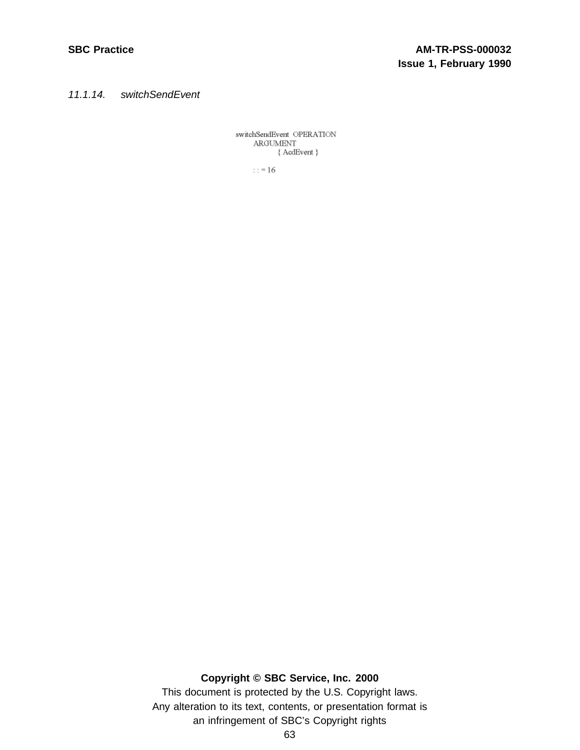11.1.14. switchSendEvent

switchSendEvent OPERATION ARGUMENT { AcdEvent }

 $\therefore$  = 16

# **Copyright © SBC Service, Inc. 2000**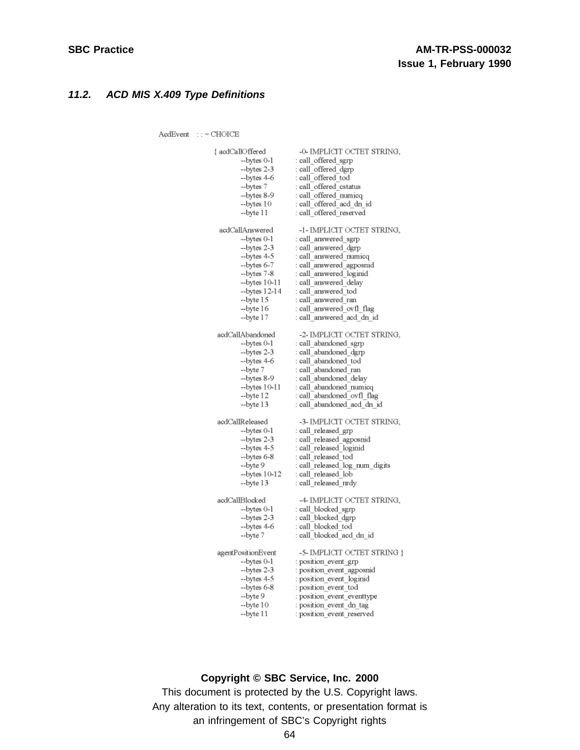# **11.2. ACD MIS X.409 Type Definitions**

 ${\bf AcdEvent} \quad : \; : = {\bf CHOICE}$ 

| { acdCallOffered   | -0- IMPLICIT OCTET STRING,     |
|--------------------|--------------------------------|
| --bytes 0-1        | : call_offered_sgrp            |
| --bytes 2-3        | : call offered dgrp            |
| --bytes 4-6        | : call offered tod             |
| --bytes 7          | : call offered cstatus         |
| --bytes 8-9        | : call offered numicq          |
| --bytes 10         | : call offered acd dn id       |
| --byte 11          | : call offered reserved        |
| acdCallAnswered    | -1- IMPLICIT OCTET STRING,     |
| --bytes 0-1        | : call_answered_sgrp           |
| --bytes 2-3        | call answered dgrp:            |
| --bytes 4-5        | : call_answered_numicq         |
| --bytes 6-7        | call answered agposnid:        |
| --bytes 7-8        | : call answered loginid        |
| --bytes 10-11      | : call answered delay          |
| --bytes 12-14      | : call answered tod            |
| --byte 15          | : call answered ran            |
| --byte 16          | call answered ovfl flag        |
| --byte 17          | : call answered acd dn id      |
| acdCallAbandoned   | -2- IMPLICIT OCTET STRING,     |
| --bytes 0-1        | : call abandoned sgrp          |
| --bytes 2-3        | : call_abandoned_dgrp          |
| --bytes 4-6        | : call abandoned tod           |
| --byte 7           | : call abandoned ran           |
| --bytes 8-9        | : call_abandoned_delay         |
| --bytes 10-11      | call abandoned numicq:         |
| --byte 12          | : call abandoned ovfl flag     |
| --byte 13          | : call abandoned acd dn id     |
| acdCallReleased    | -3- IMPLICIT OCTET STRING,     |
| --bytes 0-1        | ∶ call_released_grp            |
| --bytes 2-3        | call released_agposnid         |
| --bytes 4-5        | : call_released_loginid        |
| --bytes 6-8        | : call_released_tod            |
| --byte 9           | call released log num digits : |
| --bytes 10-12      | : call released lob            |
| --byte 13          | ∷call_released_nrdy            |
| acdCallBlocked     | -4- IMPLICIT OCTET STRING,     |
| --bytes 0-1        | : call_blocked_sgrp            |
| --bytes 2-3        | : call blocked dgrp            |
| --bytes 4-6        | : call blocked tod             |
| --byte 7           | : call blocked acd dn id       |
| agentPositionEvent | -5- IMPLICIT OCTET STRING }    |
| --bytes 0-1        | : position event grp           |
| --bytes 2-3        | position event agposnid :      |
| --bytes 4-5        | position event loginid         |
| --bytes 6-8        | position event tod :           |
| --byte 9           | : position event eventtype     |
| --byte 10          | position event dn tag:         |
| --byte 11          | : position_event_reserved      |

# **Copyright © SBC Service, Inc. 2000**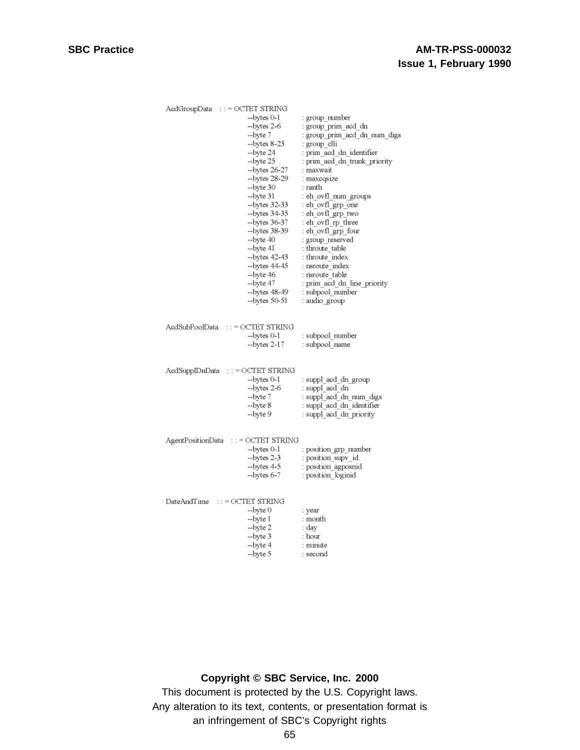| AcdGroupData :: = OCTET STRING                                                                         |                                                        |                                           |
|--------------------------------------------------------------------------------------------------------|--------------------------------------------------------|-------------------------------------------|
|                                                                                                        | --bytes 0-1                                            | : group number                            |
|                                                                                                        | --bytes 2-6                                            | : group_prim_acd_dn                       |
|                                                                                                        | --byte 7                                               | : group_prim_acd_dn_num_digs              |
|                                                                                                        | --bytes 8-23                                           | : group_clli                              |
|                                                                                                        | --byte 24                                              | : prim_acd_dn_identifier                  |
|                                                                                                        | --byte 25                                              | prim aed dn trunk priority :              |
|                                                                                                        | --bytes 26-27                                          | : maxwait                                 |
|                                                                                                        | --bytes 28-29                                          | : maxcqsize                               |
|                                                                                                        |                                                        | : ranth                                   |
|                                                                                                        | --byte 30                                              |                                           |
|                                                                                                        | --byte 31                                              | : eh_ovfl_num_groups                      |
|                                                                                                        | --bytes 32-33                                          | : eh_ovfl_grp_one                         |
|                                                                                                        | --bytes 34-35                                          | : eh_ovfl_grp_two                         |
|                                                                                                        | --bytes 36-37                                          | : eh_ovfl_rp_three                        |
|                                                                                                        | --bytes 38-39                                          | : eh ovfl grp four                        |
|                                                                                                        | --byte 40                                              | : group_reserved                          |
|                                                                                                        | --byte 41                                              | : throute table                           |
|                                                                                                        | --bytes 42-43                                          | : throute index                           |
|                                                                                                        | --bytes 44-45                                          | : nsroute index                           |
|                                                                                                        | --byte 46                                              | : nsroute table                           |
|                                                                                                        | --byte 47                                              | : prim_acd_dn_line_priority               |
|                                                                                                        | --bytes 48-49                                          | : subpool_number                          |
|                                                                                                        | --bytes 50-51                                          | : audio group                             |
| AcdSubPoolData                                                                                         | $\cdots$ = OCTET STRING<br>--bytes 0-1<br>--bytes 2-17 | : subpool number<br>: subpool_name        |
|                                                                                                        |                                                        |                                           |
| AcdSupplDnData ::= OCTET STRING                                                                        |                                                        |                                           |
|                                                                                                        | --bytes 0-1                                            | suppl acd dn group:                       |
|                                                                                                        | --bytes 2-6                                            | : suppl acd dn                            |
|                                                                                                        | --byte 7                                               | : suppl_acd_dn_num_digs                   |
|                                                                                                        | --byte 8                                               | : suppl acd dn identifier                 |
|                                                                                                        | --byte 9                                               | suppl acd dn priority                     |
| AgentPositionData<br>$\overline{\phantom{a}}$ : = OCTET STRING<br>--bytes 0-1<br>: position grp number |                                                        |                                           |
|                                                                                                        | --bytes 2-3<br>--bytes 4-5                             | position supv id:                         |
|                                                                                                        | $-$ bytes $6-7$                                        | : position agposnid<br>: position loginid |
|                                                                                                        |                                                        |                                           |
| $DateAndTime$ ::= $OCTET$ $STRING$                                                                     |                                                        |                                           |
|                                                                                                        | --byte 0                                               | : year                                    |
|                                                                                                        | --byte 1                                               | : month                                   |
|                                                                                                        | --byte 2                                               | : day                                     |
|                                                                                                        | --byte 3                                               | : hour                                    |
|                                                                                                        | --byte 4                                               | : minute                                  |
|                                                                                                        | --byte 5                                               | : second                                  |
|                                                                                                        |                                                        |                                           |

# **Copyright © SBC Service, Inc. 2000**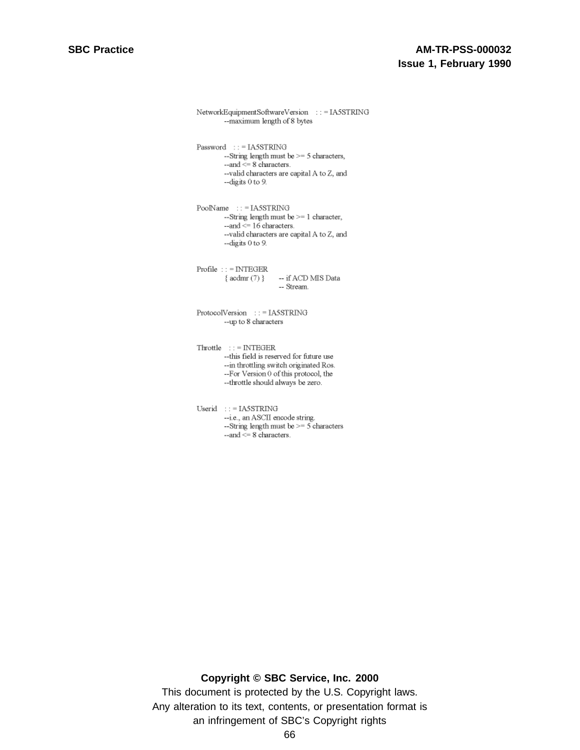```
NetworkEquipmentSoftwareVersion ::=IA5STRING
              --maximum length of 8 bytes
Password: = IASSTRING--String length must be >= 5 characters,
              -and \leq 8 characters.
              --valid characters are capital A to Z, and
              --digits 0 to 9.
PoolName ::=IA5STRING
              --String length must be >= 1 character,
              -- and \leq 16 characters.
              --valid characters are capital A to Z, and
              --digits 0 to 9.
Problem: 1 = INTEGR\{acdmr(7)\,\} \qquad -- if ACD MIS Data
                                          -- Stream.
ProtocolVersion ::= IA5STRING
              --up to 8 characters
\label{eq:th:tn:time:time:time} \begin{minipage}{0.9\linewidth} \begin{tabular}{ll} \multicolumn{2}{l}{\textbf{Tr} } \multicolumn{2}{l}{\textbf{Int} } \multicolumn{2}{l}{\textbf{Int} } \multicolumn{2}{l}{\textbf{Int} } \multicolumn{2}{l}{\textbf{Int} } \multicolumn{2}{l}{\textbf{Int} } \multicolumn{2}{l}{\textbf{Int} } \multicolumn{2}{l}{\textbf{Int} } \multicolumn{2}{l}{\textbf{Int} } \multicolumn{2}{l}{\textbf{Int} } \multicolumn{2}{l}{\textbf{Int} } \multicolumn{2}{l--this field is reserved for future use
              -- in throttling switch originated Ros.
              --For Version 0 of this protocol, the
              --throttle should always be zero.
\begin{minipage}{0.9\linewidth} \hspace*{0.2cm} \textbf{Userid} \hspace*{0.2cm} \textbf{::} \hspace*{0.2cm} \textbf{= IASSTRING} \end{minipage}--i.e., an ASCII encode string.
              --String length must be >= 5 characters
              --and <= 8 characters.
```
#### **Copyright © SBC Service, Inc. 2000**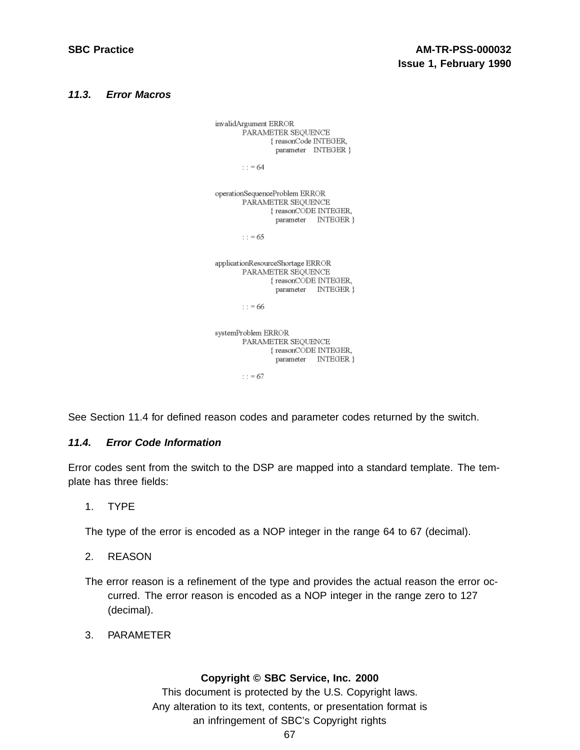#### **11.3. Error Macros**

invalidArgument ERROR PARAMETER SEQUENCE {reasonCode INTEGER, parameter INTEGER }  $\therefore$  = 64

operationSequenceProblem ERROR PARAMETER SEQUENCE { reasonCODE INTEGER, parameter INTEGER }

 $\therefore$  = 65

applicationResourceShortage ERROR PARAMETER SEQUENCE {reasonCODE INTEGER, parameter INTEGER }

 $\therefore$  = 66

systemProblem ERROR PARAMETER SEQUENCE { reasonCODE INTEGER, parameter INTEGER }

 $: = 67$ 

See Section 11.4 for defined reason codes and parameter codes returned by the switch.

## **11.4. Error Code Information**

Error codes sent from the switch to the DSP are mapped into a standard template. The template has three fields:

1. TYPE

The type of the error is encoded as a NOP integer in the range 64 to 67 (decimal).

- 2. REASON
- The error reason is a refinement of the type and provides the actual reason the error occurred. The error reason is encoded as a NOP integer in the range zero to 127 (decimal).
- 3. PARAMETER

## **Copyright © SBC Service, Inc. 2000**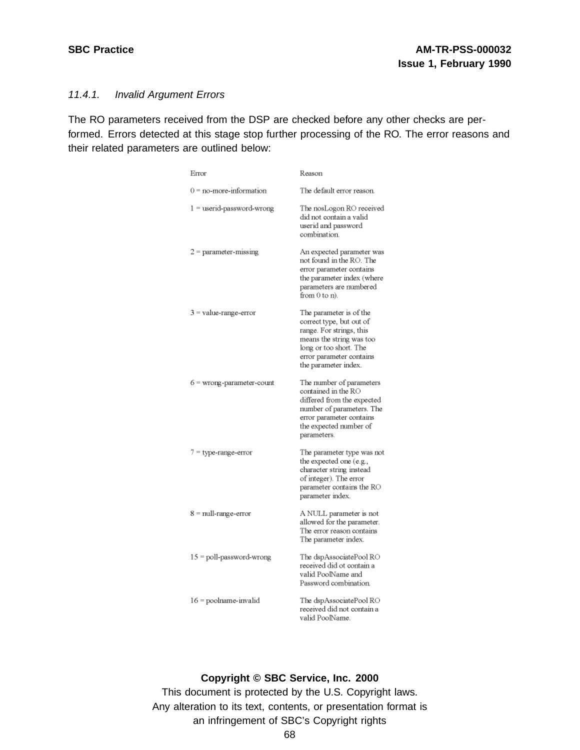## 11.4.1. Invalid Argument Errors

The RO parameters received from the DSP are checked before any other checks are performed. Errors detected at this stage stop further processing of the RO. The error reasons and their related parameters are outlined below:

| Error                       | Reason                                                                                                                                                                                    |
|-----------------------------|-------------------------------------------------------------------------------------------------------------------------------------------------------------------------------------------|
| $0 = no$ -more-information  | The default error reason.                                                                                                                                                                 |
| 1 = userid-password-wrong   | The nosLogon RO received<br>did not contain a valid<br>userid and password<br>combination.                                                                                                |
| $2 =$ parameter-missing     | An expected parameter was<br>not found in the RO. The<br>error parameter contains<br>the parameter index (where<br>parameters are numbered<br>from 0 to n).                               |
| 3 = value-range-error       | The parameter is of the<br>correct type, but out of<br>range. For strings, this<br>means the string was too<br>long or too short. The<br>error parameter contains<br>the parameter index. |
| $6 =$ wrong-parameter-count | The number of parameters<br>contained in the RO<br>differed from the expected<br>number of parameters. The<br>error parameter contains<br>the expected number of<br>parameters.           |
| 7 = type-range-error        | The parameter type was not<br>the expected one (e.g.,<br>character string instead<br>of integer). The error<br>parameter contains the RO<br>parameter index.                              |
| 8 = null-range-error        | A NULL parameter is not<br>allowed for the parameter.<br>The error reason contains<br>The parameter index.                                                                                |
| 15 = poll-password-wrong    | The dspAssociatePool RO<br>received did ot contain a<br>valid PoolName and<br>Password combination.                                                                                       |
| 16 = poolname-invalid       | The dspAssociatePool RO<br>received did not contain a<br>valid PoolName.                                                                                                                  |

#### **Copyright © SBC Service, Inc. 2000**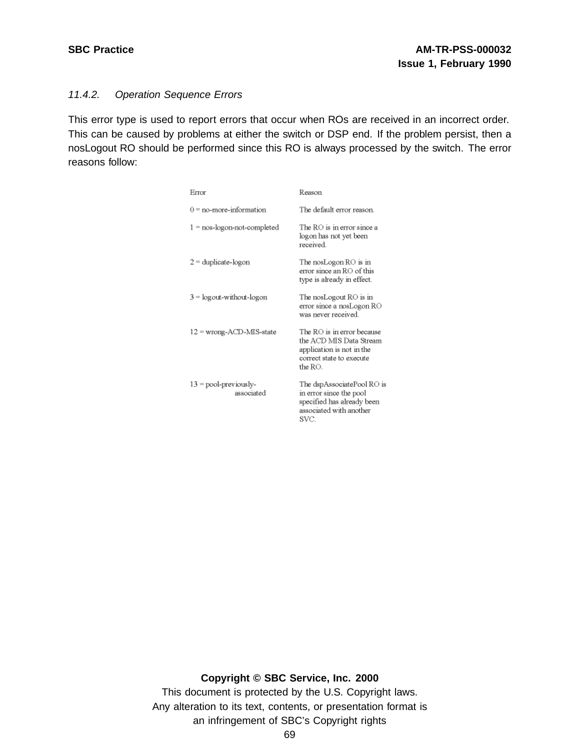## 11.4.2. Operation Sequence Errors

This error type is used to report errors that occur when ROs are received in an incorrect order. This can be caused by problems at either the switch or DSP end. If the problem persist, then a nosLogout RO should be performed since this RO is always processed by the switch. The error reasons follow:

| Error                                | Reason                                                                                                                    |
|--------------------------------------|---------------------------------------------------------------------------------------------------------------------------|
| $0 = no$ -more-information           | The default error reason.                                                                                                 |
| $1 =$ nos-logon-not-completed        | The RO is in error since a<br>logon has not yet been<br>received                                                          |
| $2 =$ duplicate-logon                | The nosLogon $RO$ is in<br>error since an RO of this<br>type is already in effect.                                        |
| $3 =$ logout-without-logon           | The nosLogout $RO$ is in<br>error since a nosLogon RO<br>was never received.                                              |
| $12 =$ wrong-ACD-MIS-state           | The RO is in error because<br>the ACD MIS Data Stream<br>application is not in the<br>correct state to execute<br>the RO. |
| $13 = pool-previously$<br>associated | The dspAssociatePool RO is<br>in error since the pool<br>specified has already been<br>associated with another<br>SVC.    |

### **Copyright © SBC Service, Inc. 2000**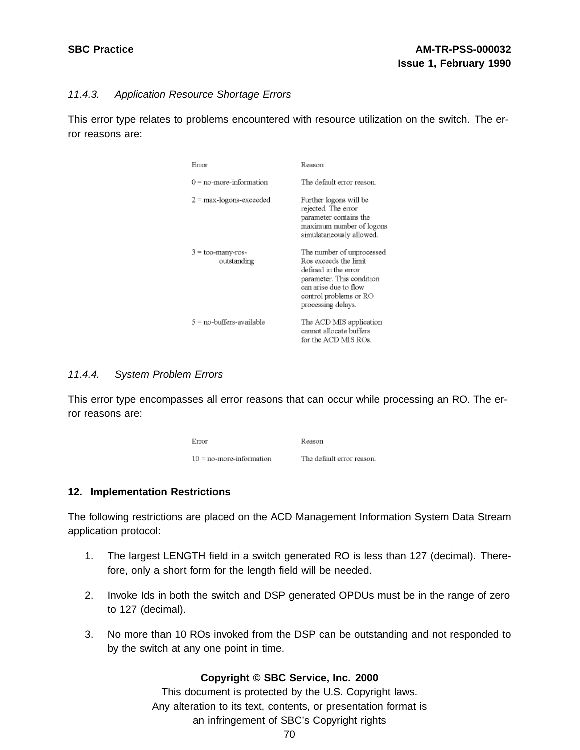### 11.4.3. Application Resource Shortage Errors

This error type relates to problems encountered with resource utilization on the switch. The error reasons are:

| Error                              | Reason                                                                                                                                                                           |
|------------------------------------|----------------------------------------------------------------------------------------------------------------------------------------------------------------------------------|
| $0 = no$ -more-information         | The default error reason.                                                                                                                                                        |
| $2 =$ max-logons-exceeded          | Further logons will be<br>rejected. The error<br>parameter contains the<br>maximum number of logons<br>simulataneously allowed.                                                  |
| $3 =$ too-many-ros-<br>outstanding | The number of unprocessed<br>Ros exceeds the limit<br>defined in the error<br>parameter. This condition<br>can arise due to flow<br>control problems or RO<br>processing delays. |
| 5 = no-buffers-available           | The ACD MIS application<br>cannot allocate buffers<br>for the ACD MIS ROs.                                                                                                       |

### 11.4.4. System Problem Errors

This error type encompasses all error reasons that can occur while processing an RO. The error reasons are:

| Error                       | Reason                    |
|-----------------------------|---------------------------|
| $10 = no$ -more-information | The default error reason. |

### **12. Implementation Restrictions**

The following restrictions are placed on the ACD Management Information System Data Stream application protocol:

- 1. The largest LENGTH field in a switch generated RO is less than 127 (decimal). Therefore, only a short form for the length field will be needed.
- 2. Invoke Ids in both the switch and DSP generated OPDUs must be in the range of zero to 127 (decimal).
- 3. No more than 10 ROs invoked from the DSP can be outstanding and not responded to by the switch at any one point in time.

### **Copyright © SBC Service, Inc. 2000**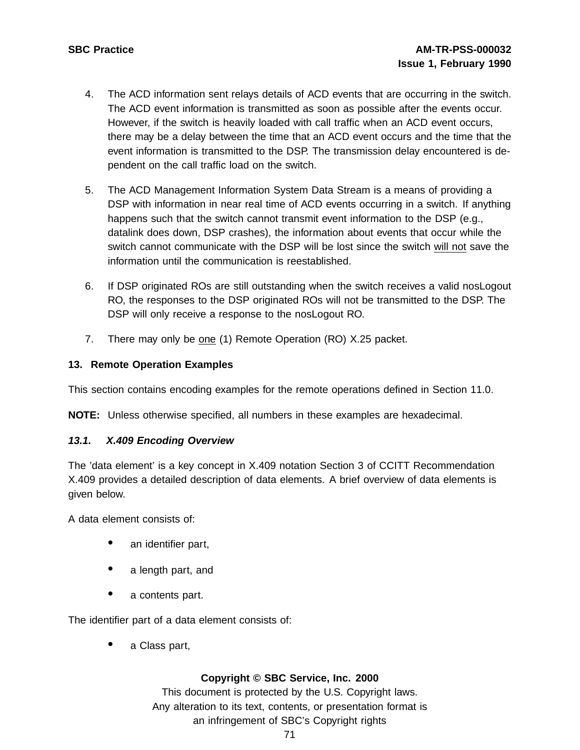- 4. The ACD information sent relays details of ACD events that are occurring in the switch. The ACD event information is transmitted as soon as possible after the events occur. However, if the switch is heavily loaded with call traffic when an ACD event occurs, there may be a delay between the time that an ACD event occurs and the time that the event information is transmitted to the DSP. The transmission delay encountered is dependent on the call traffic load on the switch.
- 5. The ACD Management Information System Data Stream is a means of providing a DSP with information in near real time of ACD events occurring in a switch. If anything happens such that the switch cannot transmit event information to the DSP (e.g., datalink does down, DSP crashes), the information about events that occur while the switch cannot communicate with the DSP will be lost since the switch will not save the information until the communication is reestablished.
- 6. If DSP originated ROs are still outstanding when the switch receives a valid nosLogout RO, the responses to the DSP originated ROs will not be transmitted to the DSP. The DSP will only receive a response to the nosLogout RO.
- 7. There may only be one (1) Remote Operation (RO) X.25 packet.

## **13. Remote Operation Examples**

This section contains encoding examples for the remote operations defined in Section 11.0.

**NOTE:** Unless otherwise specified, all numbers in these examples are hexadecimal.

### **13.1. X.409 Encoding Overview**

The 'data element' is a key concept in X.409 notation Section 3 of CCITT Recommendation X.409 provides a detailed description of data elements. A brief overview of data elements is given below.

A data element consists of:

- an identifier part,
- a length part, and
- a contents part.

The identifier part of a data element consists of:

• <sup>a</sup> Class part,

### **Copyright © SBC Service, Inc. 2000**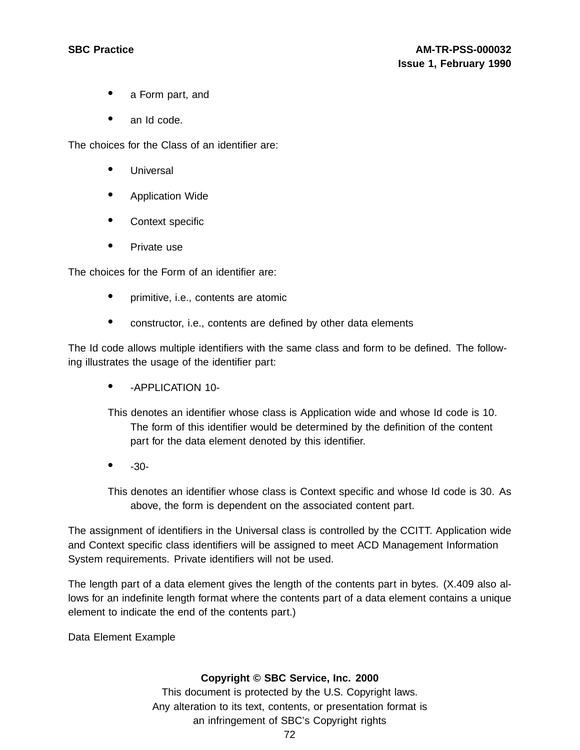- <sup>a</sup> Form part, and
- an Id code.

The choices for the Class of an identifier are:

- Universal
- Application Wide
- Context specific
- Private use

The choices for the Form of an identifier are:

- primitive, i.e., contents are atomic
- constructor, i.e., contents are defined by other data elements

The Id code allows multiple identifiers with the same class and form to be defined. The following illustrates the usage of the identifier part:

• -APPLICATION 10-

This denotes an identifier whose class is Application wide and whose Id code is 10. The form of this identifier would be determined by the definition of the content part for the data element denoted by this identifier.

 $• • 30-$ 

This denotes an identifier whose class is Context specific and whose Id code is 30. As above, the form is dependent on the associated content part.

The assignment of identifiers in the Universal class is controlled by the CCITT. Application wide and Context specific class identifiers will be assigned to meet ACD Management Information System requirements. Private identifiers will not be used.

The length part of a data element gives the length of the contents part in bytes. (X.409 also allows for an indefinite length format where the contents part of a data element contains a unique element to indicate the end of the contents part.)

Data Element Example

### **Copyright © SBC Service, Inc. 2000**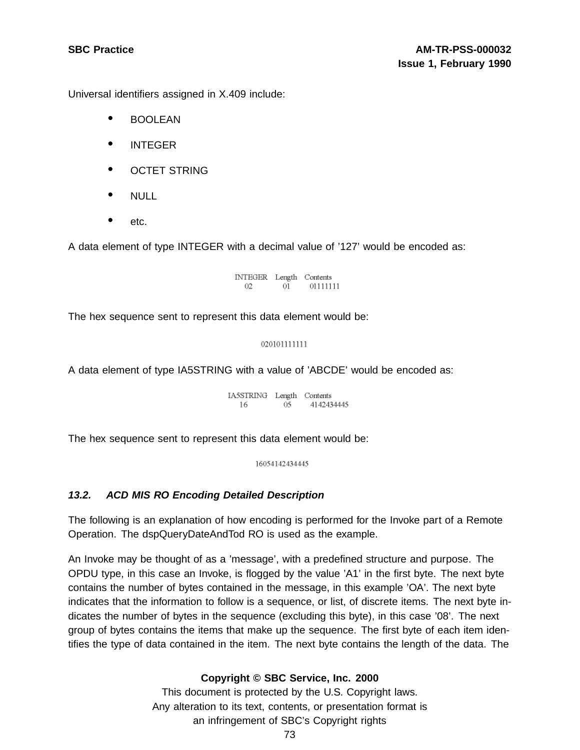Universal identifiers assigned in X.409 include:

- BOOLEAN
- INTEGER
- OCTET STRING
- $\bullet$  NULL
- etc.

A data element of type INTEGER with a decimal value of '127' would be encoded as:

INTEGER Length Contents  $02 \qquad 01 \qquad 01111111$ 

The hex sequence sent to represent this data element would be:

### 020101111111

A data element of type IA5STRING with a value of 'ABCDE' would be encoded as:

IA5STRING Length Contents 16 05 4142434445

The hex sequence sent to represent this data element would be:

16054142434445

### **13.2. ACD MIS RO Encoding Detailed Description**

The following is an explanation of how encoding is performed for the Invoke part of a Remote Operation. The dspQueryDateAndTod RO is used as the example.

An Invoke may be thought of as a 'message', with a predefined structure and purpose. The OPDU type, in this case an Invoke, is flogged by the value 'A1' in the first byte. The next byte contains the number of bytes contained in the message, in this example 'OA'. The next byte indicates that the information to follow is a sequence, or list, of discrete items. The next byte indicates the number of bytes in the sequence (excluding this byte), in this case '08'. The next group of bytes contains the items that make up the sequence. The first byte of each item identifies the type of data contained in the item. The next byte contains the length of the data. The

### **Copyright © SBC Service, Inc. 2000**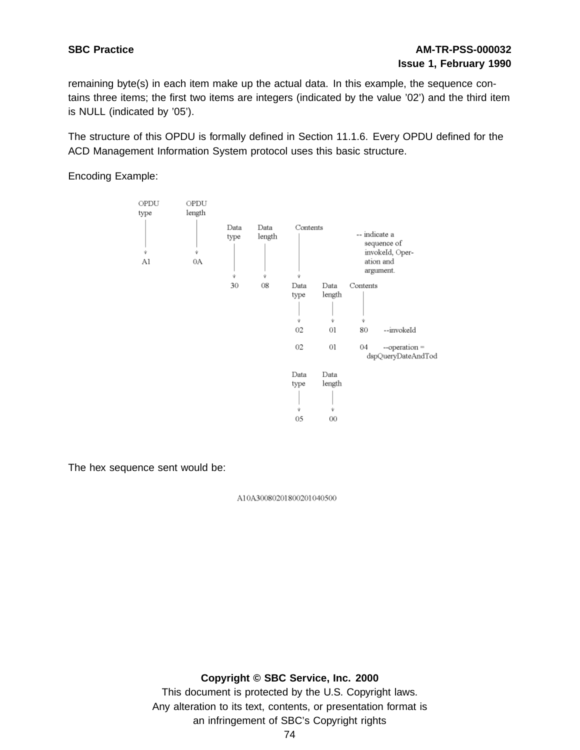remaining byte(s) in each item make up the actual data. In this example, the sequence contains three items; the first two items are integers (indicated by the value '02') and the third item is NULL (indicated by '05').

The structure of this OPDU is formally defined in Section 11.1.6. Every OPDU defined for the ACD Management Information System protocol uses this basic structure.

Encoding Example:



The hex sequence sent would be:

A10A30080201800201040500

### **Copyright © SBC Service, Inc. 2000**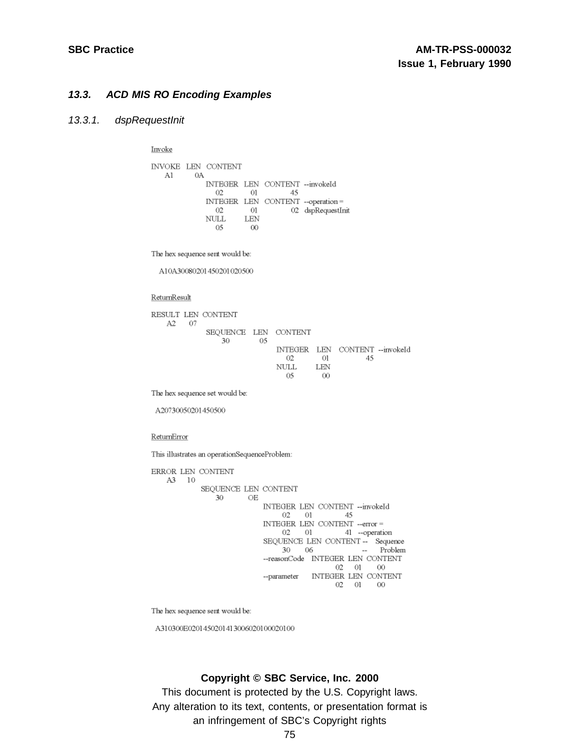### **13.3. ACD MIS RO Encoding Examples**

#### 13.3.1. dspRequestInit

Invoke

|    |    | <b>INVOKE LEN CONTENT</b> |     |                                 |                                   |
|----|----|---------------------------|-----|---------------------------------|-----------------------------------|
| Al | 0A |                           |     |                                 |                                   |
|    |    |                           |     | INTEGER LEN CONTENT -- invokeId |                                   |
|    |    | 02.                       | 01  | 45                              |                                   |
|    |    |                           |     |                                 | INTEGER LEN CONTENT --operation = |
|    |    | 02                        | 01  |                                 | 02 dspRequestInit                 |
|    |    | NULL.                     | LEN |                                 |                                   |
|    |    | 05                        | ΩO  |                                 |                                   |

The hex sequence sent would be:

A10A30080201450201020500

ReturnResult

RESULT LEN CONTENT  $A2 \t07$ SEQUENCE LEN CONTENT 30 05 INTEGER LEN CONTENT -- invokeId  $02 \t\t 01 \t\t 45$  $\begin{array}{ccc}\n\text{NULL} & \text{LEN} \\
05 & 00\n\end{array}$ 

The hex sequence set would be:

A20730050201450500

ReturnError

This illustrates an operationSequenceProblem:

ERROR LEN CONTENT A3 10 SEQUENCE LEN CONTENT 30 OE INTEGER LEN CONTENT -- invokeId 02 01 45 INTEGER LEN CONTENT  $\!$  --error  $\!=$ 02 01 41 -- operation SEQUENCE LEN CONTENT -- Sequence<br>30 06 -- Problem --reasonCode INTEGER LEN CONTENT  $02 \t 01 \t 00$ --parameter INTEGER LEN CONTENT 02 01 00

The hex sequence sent would be:

A310300E0201450201413006020100020100

### **Copyright © SBC Service, Inc. 2000**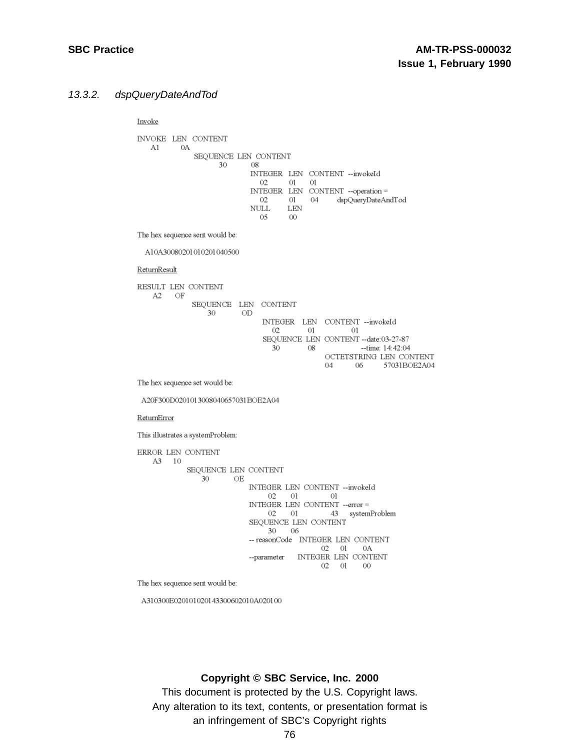#### 13.3.2. dspQueryDateAndTod

Invoke

**INVOKE LEN CONTENT** Al 0A SEQUENCE LEN CONTENT 30 08 INTEGER LEN CONTENT -- invokeId  $02 \t 01 \t 01$ INTEGER LEN CONTENT -- operation = 02 01 04 dspQueryDateAndTod **LEN NULL** 05  $-00$ The hex sequence sent would be: A10A30080201010201040500 ReturnResult RESULT LEN CONTENT  $A2$  OF SEQUENCE LEN CONTENT  $30$  OD INTEGER LEN CONTENT -- invokeId  $02$  $01$  $_{\odot}$ SEQUENCE LEN CONTENT -- date:03-27-87 30 08 -- time: 14:42:04 OCTETSTRING LEN CONTENT 04 06 57031BOE2A04 The hex sequence set would be: A20F300D0201013008040657031BOE2A04 ReturnError This illustrates a systemProblem: ERROR LEN CONTENT A3 10 SEQUENCE LEN CONTENT 30 OE INTEGER LEN CONTENT -- invokeId  $02 \t 01 \t 01$ INTEGER LEN CONTENT -- error =  $02$  01 43 systemProblem SEQUENCE LEN CONTENT  $30 \t 06$ -- reasonCode INTEGER LEN CONTENT 02 01 0A --parameter INTEGER LEN CONTENT  $02 \t 01 \t 00$ 

The hex sequence sent would be:

A310300E020101020143300602010A020100

### **Copyright © SBC Service, Inc. 2000**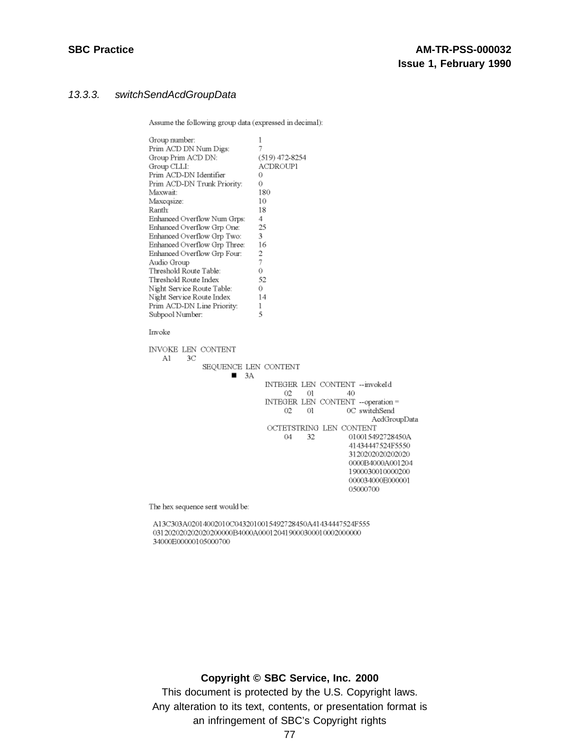### 13.3.3. switchSendAcdGroupData

Assume the following group data (expressed in decimal):

| Group number:<br>Prim ACD DN Num Digs:<br>Group Prim ACD DN: | 1<br>7<br>$(519)$ 472-8254        |  |
|--------------------------------------------------------------|-----------------------------------|--|
| Group CLLI:                                                  | ACDROUP1                          |  |
| Prim ACD-DN Identifier                                       | 0                                 |  |
| Prim ACD-DN Trunk Priority:                                  | 0                                 |  |
| Maxwait:                                                     | 180                               |  |
| Maxcqsize:                                                   | 10                                |  |
| Ranth:                                                       | 18                                |  |
| Enhanced Overflow Num Grps:                                  | 4.                                |  |
| Enhanced Overflow Grp One:                                   | 25                                |  |
| Enhanced Overflow Grp Two:                                   | 3                                 |  |
| Enhanced Overflow Grp Three:                                 | 16                                |  |
| Enhanced Overflow Grp Four:                                  | 2                                 |  |
| Audio Group                                                  | 7                                 |  |
| Threshold Route Table:                                       | 0                                 |  |
| Threshold Route Index                                        | 52                                |  |
| Night Service Route Table:                                   | 0                                 |  |
| Night Service Route Index                                    | 14                                |  |
| Prim ACD-DN Line Priority:                                   | 1                                 |  |
| Subpool Number:                                              | 5                                 |  |
| Invoke                                                       |                                   |  |
| <b>INVOKE LEN CONTENT</b>                                    |                                   |  |
| 3С<br>Al                                                     |                                   |  |
| SEQUENCE LEN CONTENT                                         |                                   |  |
| 3A                                                           |                                   |  |
|                                                              | INTEGER LEN CONTENT --invokeId    |  |
|                                                              | 02<br>40<br>01                    |  |
|                                                              | INTEGER LEN CONTENT --operation = |  |
|                                                              | 02<br>01<br>0C switchSend         |  |
|                                                              | AedGroupData                      |  |
|                                                              | OCTETSTRING LEN CONTENT           |  |
|                                                              | 04<br>32<br>010015492728450A      |  |
|                                                              | 41434447524F5550                  |  |
|                                                              | 3120202020202020                  |  |
|                                                              | 0000B4000A001204                  |  |
|                                                              | 1900030010000200                  |  |
|                                                              | 000034000E000001                  |  |
|                                                              | 05000700                          |  |
|                                                              |                                   |  |

The hex sequence sent would be:

A13C303A02014002010C0432010015492728450A41434447524F555 031202020202020200000B4000A000120419000300010002000000 34000E00000105000700

### **Copyright © SBC Service, Inc. 2000**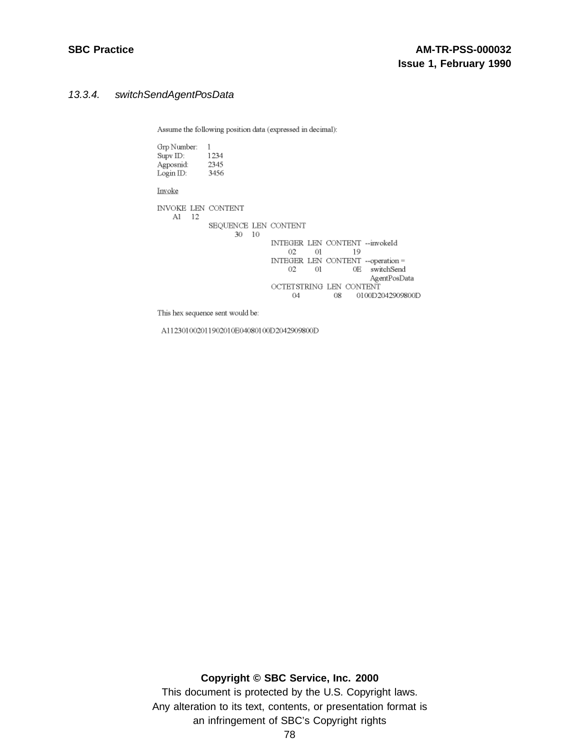## 13.3.4. switchSendAgentPosData

Assume the following position data (expressed in decimal):

| Grp Number:<br>Supv ID: 1234<br>Agposnid: 2345<br>Login ID: 3456 | $\overline{1}$       |    |                               |      |    |                                                    |
|------------------------------------------------------------------|----------------------|----|-------------------------------|------|----|----------------------------------------------------|
| Invoke                                                           |                      |    |                               |      |    |                                                    |
| INVOKE LEN CONTENT<br>-12<br>Al                                  |                      |    |                               |      |    |                                                    |
|                                                                  | SEQUENCE LEN CONTENT |    |                               |      |    |                                                    |
|                                                                  | 30                   | 10 | 02                            | 01 — | 19 | INTEGER LEN CONTENT --invokeId                     |
|                                                                  |                      |    | 02                            | 01   |    | INTEGER LEN CONTENT --operation =<br>0E switchSend |
|                                                                  |                      |    | OCTETSTRING LEN CONTENT<br>04 |      | 08 | AgentPosData<br>0100D2042909800D                   |

This hex sequence sent would be:

A112301002011902010E04080100D2042909800D

**Copyright © SBC Service, Inc. 2000**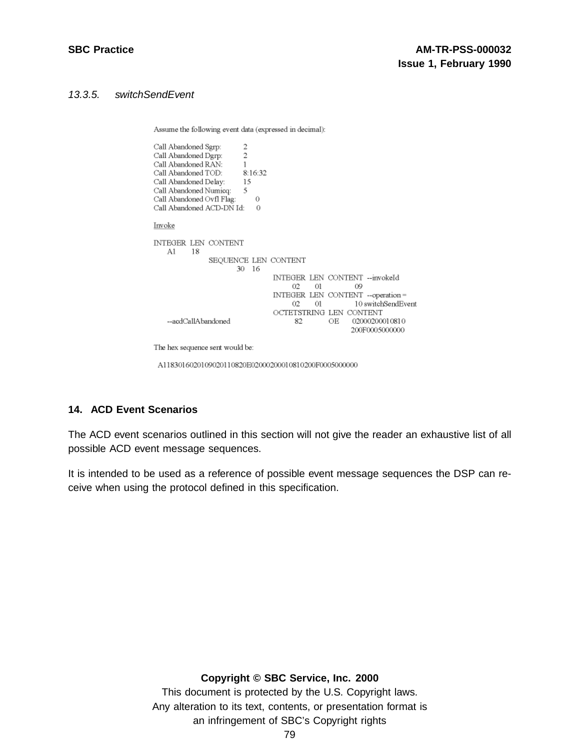## 13.3.5. switchSendEvent

Assume the following event data (expressed in decimal):

| Call Abandoned Sgrp:<br>$\overline{2}$<br>Call Abandoned Dgrp:<br>Call Abandoned RAN:<br>8:16:32<br>Call Abandoned TOD:<br>Call Abandoned Delay:<br>- 15<br>5<br>Call Abandoned Numicq:<br>Call Abandoned Ovfl Flag:<br>0<br>Call Abandoned ACD-DN Id:<br>Ω |                                                                                                           |
|-------------------------------------------------------------------------------------------------------------------------------------------------------------------------------------------------------------------------------------------------------------|-----------------------------------------------------------------------------------------------------------|
| Invoke                                                                                                                                                                                                                                                      |                                                                                                           |
| INTEGER LEN CONTENT<br>A1<br>18<br>SEQUENCE LEN CONTENT<br>16<br>30                                                                                                                                                                                         | INTEGER LEN CONTENT --invokeId                                                                            |
|                                                                                                                                                                                                                                                             | 02.<br>01<br>09<br>INTEGER LEN CONTENT --operation =                                                      |
| --acdCallAbandoned                                                                                                                                                                                                                                          | 10 switchSendEvent<br>02<br>01<br>OCTETSTRING LEN CONTENT<br>02000200010810<br>OE<br>82<br>200F0005000000 |

The hex sequence sent would be:

A1183016020109020110820E02000200010810200F0005000000

### **14. ACD Event Scenarios**

The ACD event scenarios outlined in this section will not give the reader an exhaustive list of all possible ACD event message sequences.

It is intended to be used as a reference of possible event message sequences the DSP can receive when using the protocol defined in this specification.

### **Copyright © SBC Service, Inc. 2000**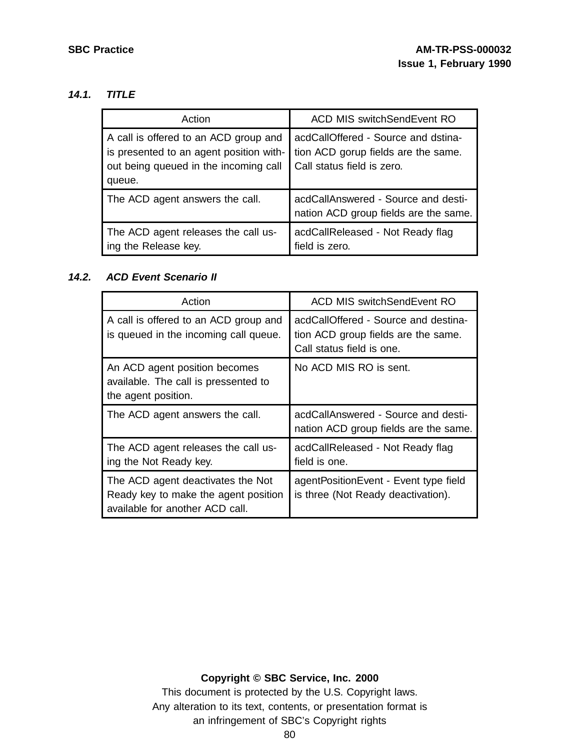## **14.1. TITLE**

| Action                                                                                                                              | <b>ACD MIS switchSendEvent RO</b>                                                                        |
|-------------------------------------------------------------------------------------------------------------------------------------|----------------------------------------------------------------------------------------------------------|
| A call is offered to an ACD group and<br>is presented to an agent position with-<br>out being queued in the incoming call<br>queue. | acdCallOffered - Source and dstina-<br>tion ACD gorup fields are the same.<br>Call status field is zero. |
| The ACD agent answers the call.                                                                                                     | acdCallAnswered - Source and desti-<br>nation ACD group fields are the same.                             |
| The ACD agent releases the call us-<br>ing the Release key.                                                                         | acdCallReleased - Not Ready flag<br>field is zero.                                                       |

### **14.2. ACD Event Scenario II**

| Action                                                                                       | <b>ACD MIS switchSendEvent RO</b>                                                                        |
|----------------------------------------------------------------------------------------------|----------------------------------------------------------------------------------------------------------|
| A call is offered to an ACD group and<br>is queued in the incoming call queue.               | acdCallOffered - Source and destina-<br>tion ACD group fields are the same.<br>Call status field is one. |
| An ACD agent position becomes<br>available. The call is pressented to<br>the agent position. | No ACD MIS RO is sent.                                                                                   |
| The ACD agent answers the call.                                                              | acdCallAnswered - Source and desti-<br>nation ACD group fields are the same.                             |
| The ACD agent releases the call us-<br>ing the Not Ready key.                                | acdCallReleased - Not Ready flag<br>field is one.                                                        |
| The ACD agent deactivates the Not<br>Ready key to make the agent position                    | agentPositionEvent - Event type field<br>is three (Not Ready deactivation).                              |

## **Copyright © SBC Service, Inc. 2000**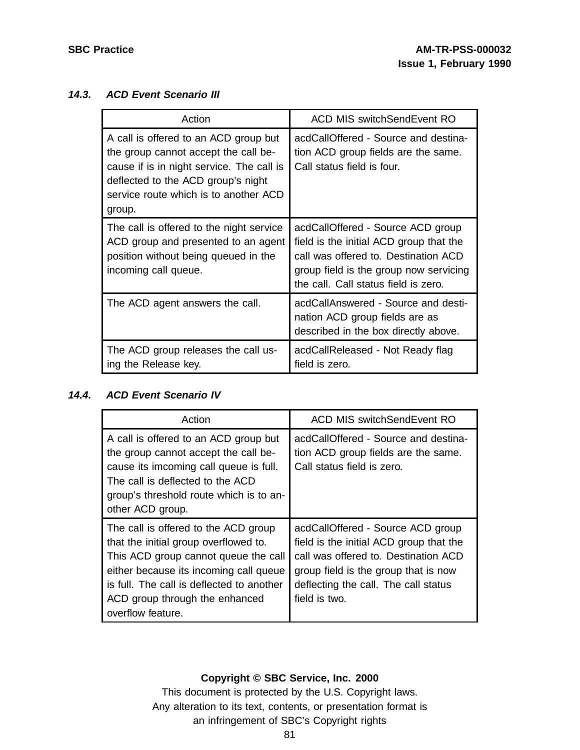## **14.3. ACD Event Scenario III**

| Action                                                                                                                                                                                                              | <b>ACD MIS switchSendEvent RO</b>                                                                                                                                                                      |
|---------------------------------------------------------------------------------------------------------------------------------------------------------------------------------------------------------------------|--------------------------------------------------------------------------------------------------------------------------------------------------------------------------------------------------------|
| A call is offered to an ACD group but<br>the group cannot accept the call be-<br>cause if is in night service. The call is<br>deflected to the ACD group's night<br>service route which is to another ACD<br>group. | acdCallOffered - Source and destina-<br>tion ACD group fields are the same.<br>Call status field is four.                                                                                              |
| The call is offered to the night service<br>ACD group and presented to an agent<br>position without being queued in the<br>incoming call queue.                                                                     | acdCallOffered - Source ACD group<br>field is the initial ACD group that the<br>call was offered to. Destination ACD<br>group field is the group now servicing<br>the call. Call status field is zero. |
| The ACD agent answers the call.                                                                                                                                                                                     | acdCallAnswered - Source and desti-<br>nation ACD group fields are as<br>described in the box directly above.                                                                                          |
| The ACD group releases the call us-<br>ing the Release key.                                                                                                                                                         | acdCallReleased - Not Ready flag<br>field is zero.                                                                                                                                                     |

# **14.4. ACD Event Scenario IV**

| Action                                                                                                                                                                                                                                                              | ACD MIS switchSendEvent RO                                                                                                                                                                                            |
|---------------------------------------------------------------------------------------------------------------------------------------------------------------------------------------------------------------------------------------------------------------------|-----------------------------------------------------------------------------------------------------------------------------------------------------------------------------------------------------------------------|
| A call is offered to an ACD group but<br>the group cannot accept the call be-<br>cause its imcoming call queue is full.<br>The call is deflected to the ACD<br>group's threshold route which is to an-<br>other ACD group.                                          | acdCallOffered - Source and destina-<br>tion ACD group fields are the same.<br>Call status field is zero.                                                                                                             |
| The call is offered to the ACD group<br>that the initial group overflowed to.<br>This ACD group cannot queue the call<br>either because its incoming call queue<br>is full. The call is deflected to another<br>ACD group through the enhanced<br>overflow feature. | acdCallOffered - Source ACD group<br>field is the initial ACD group that the<br>call was offered to. Destination ACD<br>group field is the group that is now<br>deflecting the call. The call status<br>field is two. |

## **Copyright © SBC Service, Inc. 2000**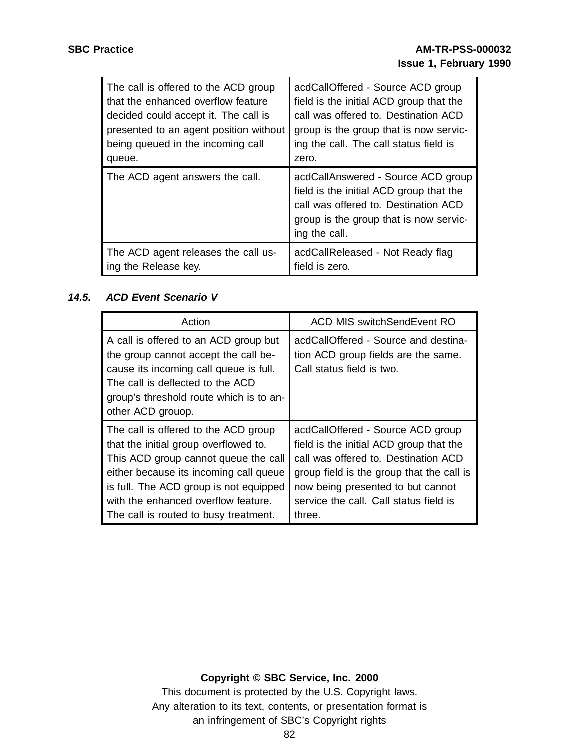| The call is offered to the ACD group   | acdCallOffered - Source ACD group                                                                                                                                                |
|----------------------------------------|----------------------------------------------------------------------------------------------------------------------------------------------------------------------------------|
| that the enhanced overflow feature     | field is the initial ACD group that the                                                                                                                                          |
| decided could accept it. The call is   | call was offered to. Destination ACD                                                                                                                                             |
| presented to an agent position without | group is the group that is now servic-                                                                                                                                           |
| being queued in the incoming call      | ing the call. The call status field is                                                                                                                                           |
| queue.                                 | zero.                                                                                                                                                                            |
| The ACD agent answers the call.        | acdCallAnswered - Source ACD group<br>field is the initial ACD group that the<br>call was offered to. Destination ACD<br>group is the group that is now servic-<br>ing the call. |
| The ACD agent releases the call us-    | acdCallReleased - Not Ready flag                                                                                                                                                 |
| ing the Release key.                   | field is zero.                                                                                                                                                                   |

# **14.5. ACD Event Scenario V**

| Action                                                                                                                                                                                                                                                                                    | ACD MIS switchSendEvent RO                                                                                                                                                                                                                                 |
|-------------------------------------------------------------------------------------------------------------------------------------------------------------------------------------------------------------------------------------------------------------------------------------------|------------------------------------------------------------------------------------------------------------------------------------------------------------------------------------------------------------------------------------------------------------|
| A call is offered to an ACD group but<br>the group cannot accept the call be-<br>cause its incoming call queue is full.<br>The call is deflected to the ACD<br>group's threshold route which is to an-<br>other ACD grouop.                                                               | acdCallOffered - Source and destina-<br>tion ACD group fields are the same.<br>Call status field is two.                                                                                                                                                   |
| The call is offered to the ACD group<br>that the initial group overflowed to.<br>This ACD group cannot queue the call<br>either because its incoming call queue<br>is full. The ACD group is not equipped<br>with the enhanced overflow feature.<br>The call is routed to busy treatment. | acdCallOffered - Source ACD group<br>field is the initial ACD group that the<br>call was offered to. Destination ACD<br>group field is the group that the call is<br>now being presented to but cannot<br>service the call. Call status field is<br>three. |

# **Copyright © SBC Service, Inc. 2000**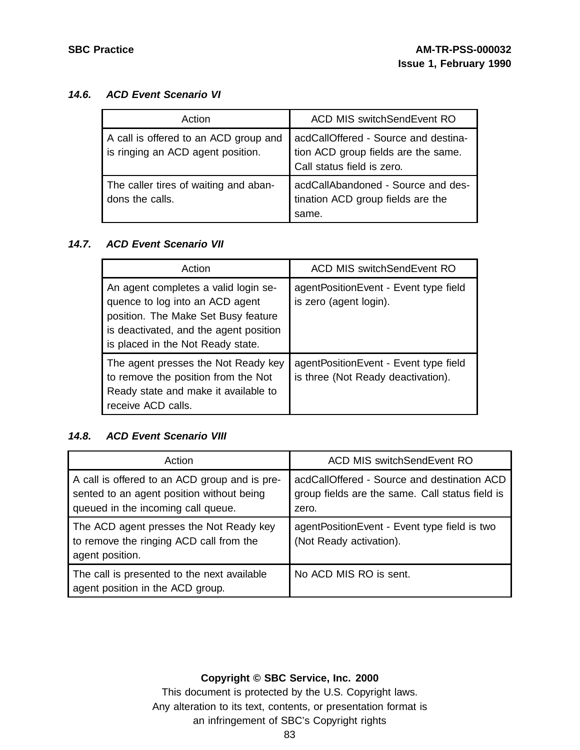## **14.6. ACD Event Scenario VI**

| Action                                                                     | <b>ACD MIS switchSendEvent RO</b>                                                                         |
|----------------------------------------------------------------------------|-----------------------------------------------------------------------------------------------------------|
| A call is offered to an ACD group and<br>is ringing an ACD agent position. | acdCallOffered - Source and destina-<br>tion ACD group fields are the same.<br>Call status field is zero. |
| The caller tires of waiting and aban-<br>dons the calls.                   | acdCallAbandoned - Source and des-<br>tination ACD group fields are the<br>same.                          |

## **14.7. ACD Event Scenario VII**

| Action                                                                                                                                                                                        | <b>ACD MIS switchSendEvent RO</b>                                           |
|-----------------------------------------------------------------------------------------------------------------------------------------------------------------------------------------------|-----------------------------------------------------------------------------|
| An agent completes a valid login se-<br>quence to log into an ACD agent<br>position. The Make Set Busy feature<br>is deactivated, and the agent position<br>is placed in the Not Ready state. | agentPositionEvent - Event type field<br>is zero (agent login).             |
| The agent presses the Not Ready key<br>to remove the position from the Not<br>Ready state and make it available to<br>receive ACD calls.                                                      | agentPositionEvent - Event type field<br>is three (Not Ready deactivation). |

## **14.8. ACD Event Scenario VIII**

| Action                                                                                                                           | <b>ACD MIS switchSendEvent RO</b>                                                                       |
|----------------------------------------------------------------------------------------------------------------------------------|---------------------------------------------------------------------------------------------------------|
| A call is offered to an ACD group and is pre-<br>sented to an agent position without being<br>queued in the incoming call queue. | acdCallOffered - Source and destination ACD<br>group fields are the same. Call status field is<br>zero. |
| The ACD agent presses the Not Ready key<br>to remove the ringing ACD call from the<br>agent position.                            | agentPositionEvent - Event type field is two<br>(Not Ready activation).                                 |
| The call is presented to the next available<br>agent position in the ACD group.                                                  | No ACD MIS RO is sent.                                                                                  |

## **Copyright © SBC Service, Inc. 2000**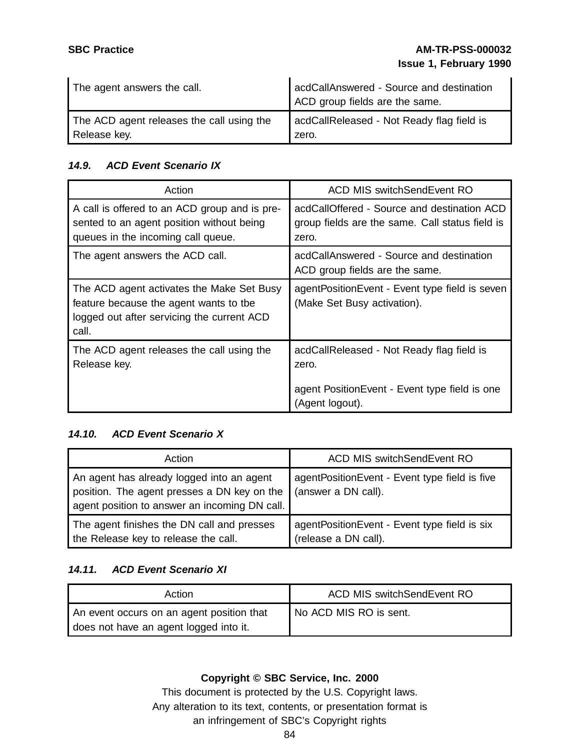| The agent answers the call.               | acdCallAnswered - Source and destination<br>ACD group fields are the same. |
|-------------------------------------------|----------------------------------------------------------------------------|
| The ACD agent releases the call using the | acdCallReleased - Not Ready flag field is                                  |
| Release key.                              | zero.                                                                      |

# **14.9. ACD Event Scenario IX**

| Action                                                                                                                                     | ACD MIS switchSendEvent RO                                                                                              |
|--------------------------------------------------------------------------------------------------------------------------------------------|-------------------------------------------------------------------------------------------------------------------------|
| A call is offered to an ACD group and is pre-<br>sented to an agent position without being<br>queues in the incoming call queue.           | acdCallOffered - Source and destination ACD<br>group fields are the same. Call status field is<br>zero.                 |
| The agent answers the ACD call.                                                                                                            | acdCallAnswered - Source and destination<br>ACD group fields are the same.                                              |
| The ACD agent activates the Make Set Busy<br>feature because the agent wants to the<br>logged out after servicing the current ACD<br>call. | agentPositionEvent - Event type field is seven<br>(Make Set Busy activation).                                           |
| The ACD agent releases the call using the<br>Release key.                                                                                  | acdCallReleased - Not Ready flag field is<br>zero.<br>agent Position Event - Event type field is one<br>(Agent logout). |

## **14.10. ACD Event Scenario X**

| Action                                                                                                                                    | <b>ACD MIS switchSendEvent RO</b>                                    |
|-------------------------------------------------------------------------------------------------------------------------------------------|----------------------------------------------------------------------|
| An agent has already logged into an agent<br>position. The agent presses a DN key on the<br>agent position to answer an incoming DN call. | agentPositionEvent - Event type field is five<br>(answer a DN call). |
| The agent finishes the DN call and presses<br>the Release key to release the call.                                                        | agentPositionEvent - Event type field is six<br>(release a DN call). |

# **14.11. ACD Event Scenario XI**

| Action                                                                              | <b>ACD MIS switchSendEvent RO</b> |
|-------------------------------------------------------------------------------------|-----------------------------------|
| An event occurs on an agent position that<br>does not have an agent logged into it. | No ACD MIS RO is sent.            |

# **Copyright © SBC Service, Inc. 2000**